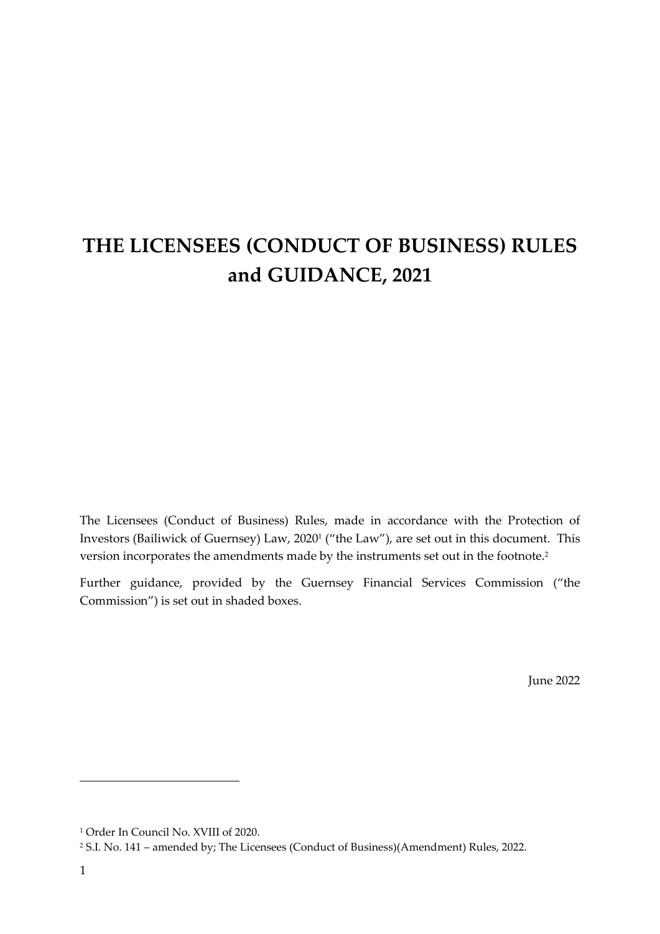# **THE LICENSEES (CONDUCT OF BUSINESS) RULES and GUIDANCE, 2021**

The Licensees (Conduct of Business) Rules, made in accordance with the Protection of Investors (Bailiwick of Guernsey) Law, 2020<sup>1</sup> ("the Law"), are set out in this document. This version incorporates the amendments made by the instruments set out in the footnote.<sup>2</sup>

Further guidance, provided by the Guernsey Financial Services Commission ("the Commission") is set out in shaded boxes.

June 2022

<sup>1</sup> Order In Council No. XVIII of 2020.

<sup>2</sup> S.I. No. 141 – amended by; The Licensees (Conduct of Business)(Amendment) Rules, 2022.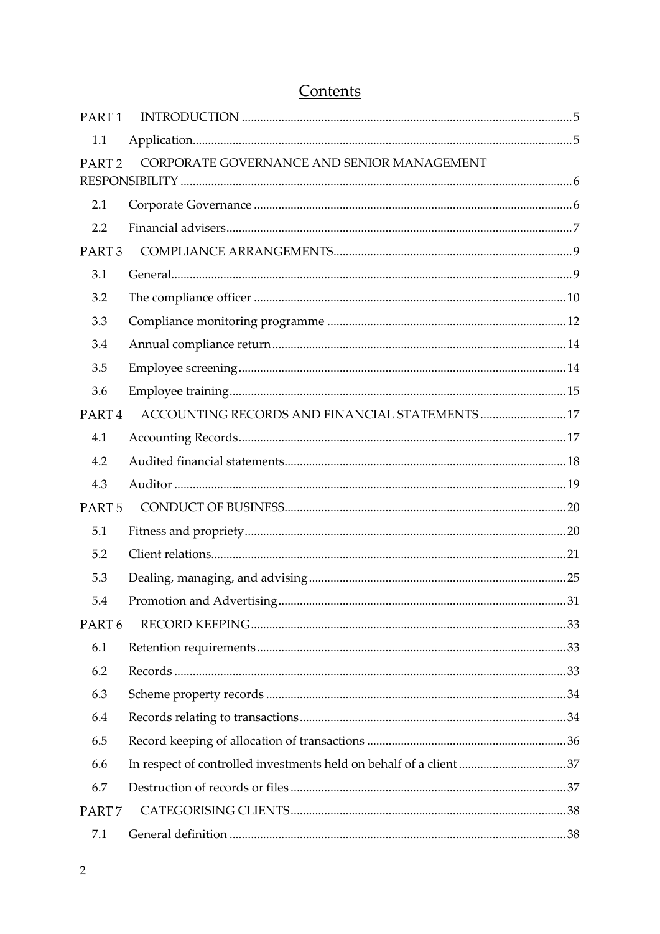## Contents

| PART <sub>1</sub> |                                                 |  |
|-------------------|-------------------------------------------------|--|
| 1.1               |                                                 |  |
| PART <sub>2</sub> | CORPORATE GOVERNANCE AND SENIOR MANAGEMENT      |  |
|                   |                                                 |  |
| 2.1               |                                                 |  |
| 2.2               |                                                 |  |
| PART <sub>3</sub> |                                                 |  |
| 3.1               |                                                 |  |
| 3.2               |                                                 |  |
| 3.3               |                                                 |  |
| 3.4               |                                                 |  |
| 3.5               |                                                 |  |
| 3.6               |                                                 |  |
| PART <sub>4</sub> | ACCOUNTING RECORDS AND FINANCIAL STATEMENTS  17 |  |
| 4.1               |                                                 |  |
| 4.2               |                                                 |  |
| 4.3               |                                                 |  |
| PART <sub>5</sub> |                                                 |  |
| 5.1               |                                                 |  |
| 5.2               |                                                 |  |
| 5.3               |                                                 |  |
| 5.4               |                                                 |  |
| PART <sub>6</sub> |                                                 |  |
| 6.1               |                                                 |  |
| 6.2               |                                                 |  |
| 6.3               |                                                 |  |
| 6.4               |                                                 |  |
| 6.5               |                                                 |  |
| 6.6               |                                                 |  |
| 6.7               |                                                 |  |
| PART <sub>7</sub> |                                                 |  |
| 7.1               |                                                 |  |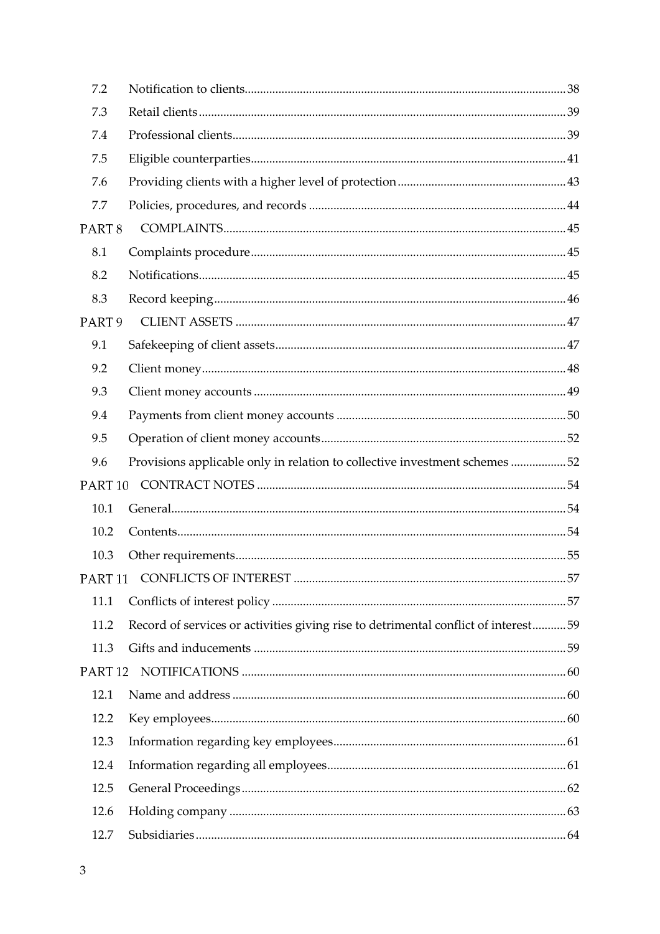| 7.2                |                                                                                    |  |
|--------------------|------------------------------------------------------------------------------------|--|
| 7.3                |                                                                                    |  |
| 7.4                |                                                                                    |  |
| 7.5                |                                                                                    |  |
| 7.6                |                                                                                    |  |
| 7.7                |                                                                                    |  |
| PART <sub>8</sub>  |                                                                                    |  |
| 8.1                |                                                                                    |  |
| 8.2                |                                                                                    |  |
| 8.3                |                                                                                    |  |
| PART <sub>9</sub>  |                                                                                    |  |
| 9.1                |                                                                                    |  |
| 9.2                |                                                                                    |  |
| 9.3                |                                                                                    |  |
| 9.4                |                                                                                    |  |
| 9.5                |                                                                                    |  |
| 9.6                | Provisions applicable only in relation to collective investment schemes 52         |  |
| PART <sub>10</sub> |                                                                                    |  |
| 10.1               |                                                                                    |  |
| 10.2               |                                                                                    |  |
| 10.3               |                                                                                    |  |
|                    |                                                                                    |  |
| 11.1               |                                                                                    |  |
| 11.2               | Record of services or activities giving rise to detrimental conflict of interest59 |  |
| 11.3               |                                                                                    |  |
| PART <sub>12</sub> |                                                                                    |  |
| 12.1               |                                                                                    |  |
| 12.2               |                                                                                    |  |
| 12.3               |                                                                                    |  |
| 12.4               |                                                                                    |  |
| 12.5               |                                                                                    |  |
| 12.6               |                                                                                    |  |
| 12.7               |                                                                                    |  |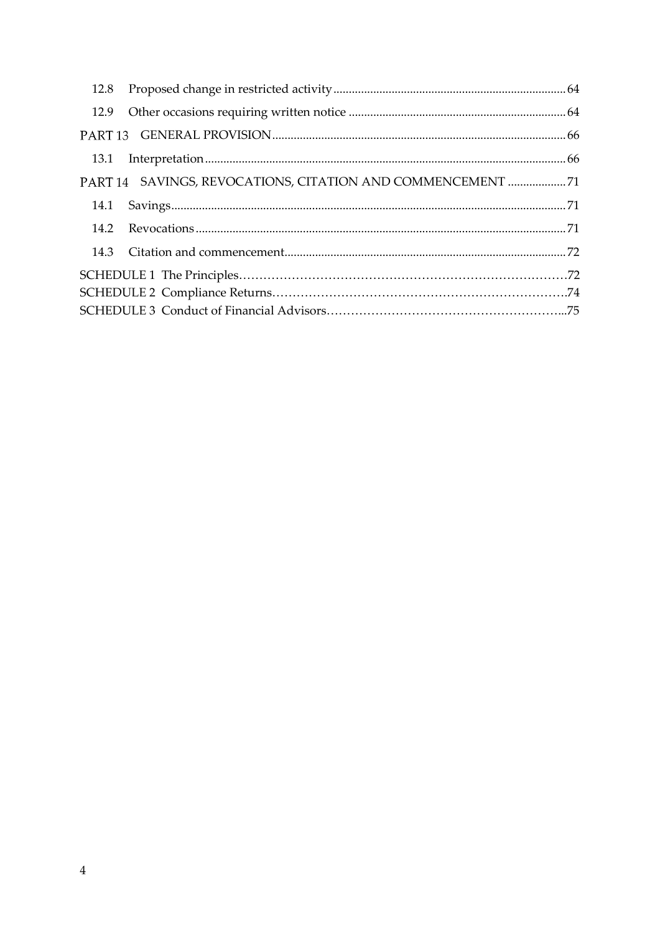|  | PART 14 SAVINGS, REVOCATIONS, CITATION AND COMMENCEMENT 71 |  |
|--|------------------------------------------------------------|--|
|  |                                                            |  |
|  |                                                            |  |
|  |                                                            |  |
|  |                                                            |  |
|  |                                                            |  |
|  |                                                            |  |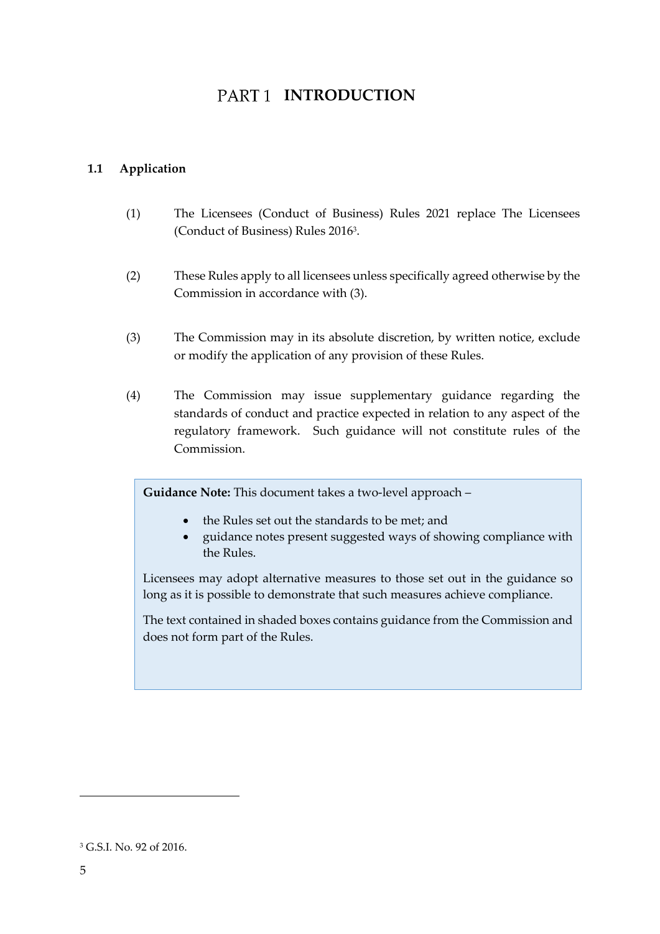## PART<sub>1</sub> INTRODUCTION

## <span id="page-4-1"></span><span id="page-4-0"></span>**1.1 Application**

- (1) The Licensees (Conduct of Business) Rules 2021 replace The Licensees (Conduct of Business) Rules 2016<sup>3</sup> .
- (2) These Rules apply to all licensees unless specifically agreed otherwise by the Commission in accordance with (3).
- (3) The Commission may in its absolute discretion, by written notice, exclude or modify the application of any provision of these Rules.
- (4) The Commission may issue supplementary guidance regarding the standards of conduct and practice expected in relation to any aspect of the regulatory framework. Such guidance will not constitute rules of the Commission.

**Guidance Note:** This document takes a two-level approach –

- the Rules set out the standards to be met; and
- guidance notes present suggested ways of showing compliance with the Rules.

Licensees may adopt alternative measures to those set out in the guidance so long as it is possible to demonstrate that such measures achieve compliance.

The text contained in shaded boxes contains guidance from the Commission and does not form part of the Rules.

<sup>3</sup> G.S.I. No. 92 of 2016.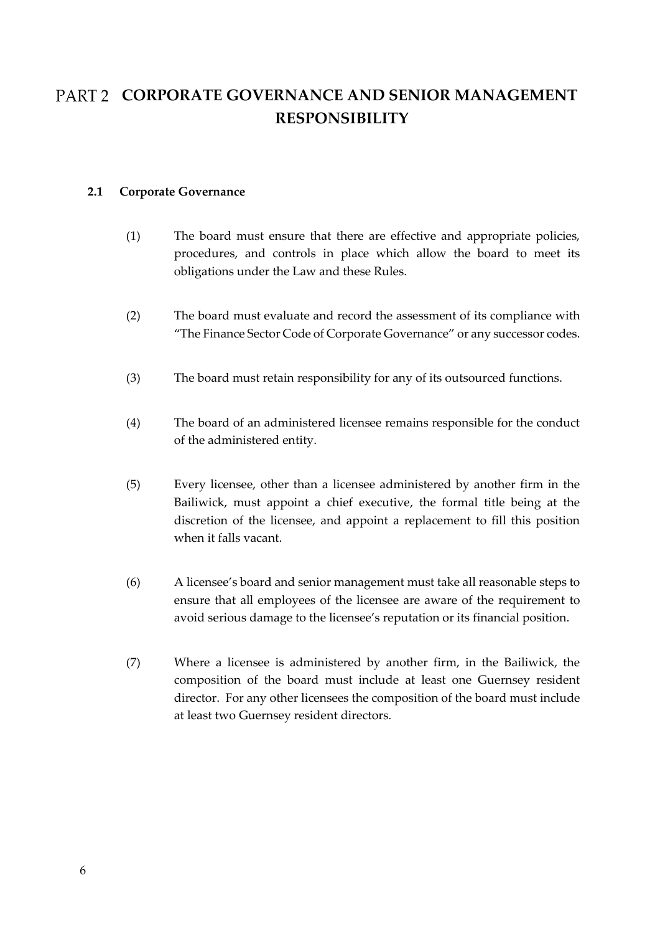## <span id="page-5-0"></span>PART 2 CORPORATE GOVERNANCE AND SENIOR MANAGEMENT **RESPONSIBILITY**

### <span id="page-5-1"></span>**2.1 Corporate Governance**

- (1) The board must ensure that there are effective and appropriate policies, procedures, and controls in place which allow the board to meet its obligations under the Law and these Rules.
- (2) The board must evaluate and record the assessment of its compliance with "The Finance Sector Code of Corporate Governance" or any successor codes.
- (3) The board must retain responsibility for any of its outsourced functions.
- (4) The board of an administered licensee remains responsible for the conduct of the administered entity.
- (5) Every licensee, other than a licensee administered by another firm in the Bailiwick, must appoint a chief executive, the formal title being at the discretion of the licensee, and appoint a replacement to fill this position when it falls vacant.
- (6) A licensee's board and senior management must take all reasonable steps to ensure that all employees of the licensee are aware of the requirement to avoid serious damage to the licensee's reputation or its financial position.
- (7) Where a licensee is administered by another firm, in the Bailiwick, the composition of the board must include at least one Guernsey resident director. For any other licensees the composition of the board must include at least two Guernsey resident directors.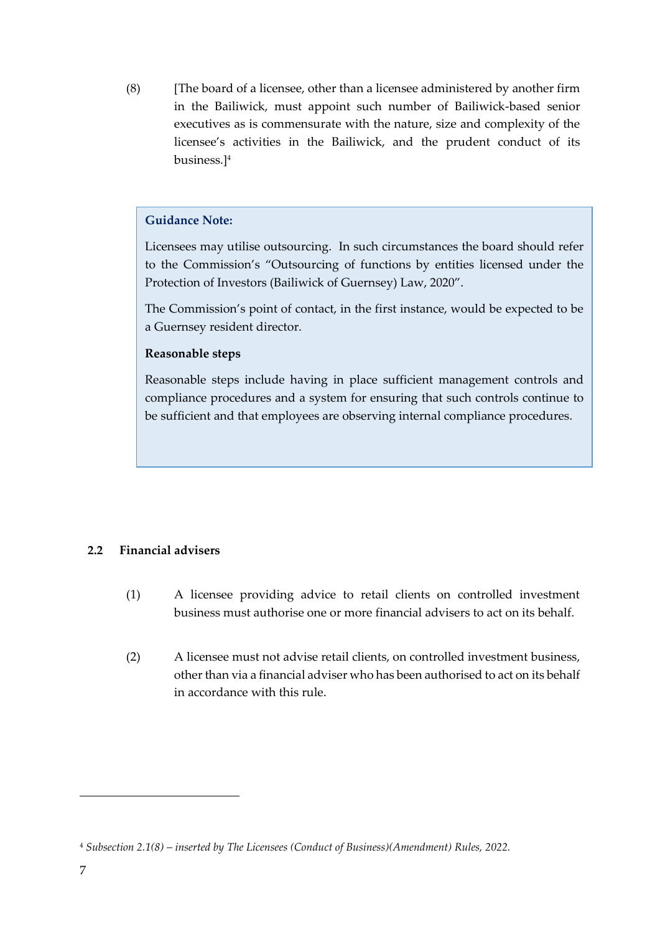(8) [The board of a licensee, other than a licensee administered by another firm in the Bailiwick, must appoint such number of Bailiwick-based senior executives as is commensurate with the nature, size and complexity of the licensee's activities in the Bailiwick, and the prudent conduct of its business.]<sup>4</sup>

## **Guidance Note:**

Licensees may utilise outsourcing. In such circumstances the board should refer to the Commission's "Outsourcing of functions by entities licensed under the Protection of Investors (Bailiwick of Guernsey) Law, 2020".

The Commission's point of contact, in the first instance, would be expected to be a Guernsey resident director.

#### **Reasonable steps**

Reasonable steps include having in place sufficient management controls and compliance procedures and a system for ensuring that such controls continue to be sufficient and that employees are observing internal compliance procedures.

## <span id="page-6-0"></span>**2.2 Financial advisers**

- (1) A licensee providing advice to retail clients on controlled investment business must authorise one or more financial advisers to act on its behalf.
- (2) A licensee must not advise retail clients, on controlled investment business, other than via a financial adviser who has been authorised to act on its behalf in accordance with this rule.

<sup>4</sup> *Subsection 2.1(8) – inserted by The Licensees (Conduct of Business)(Amendment) Rules, 2022.*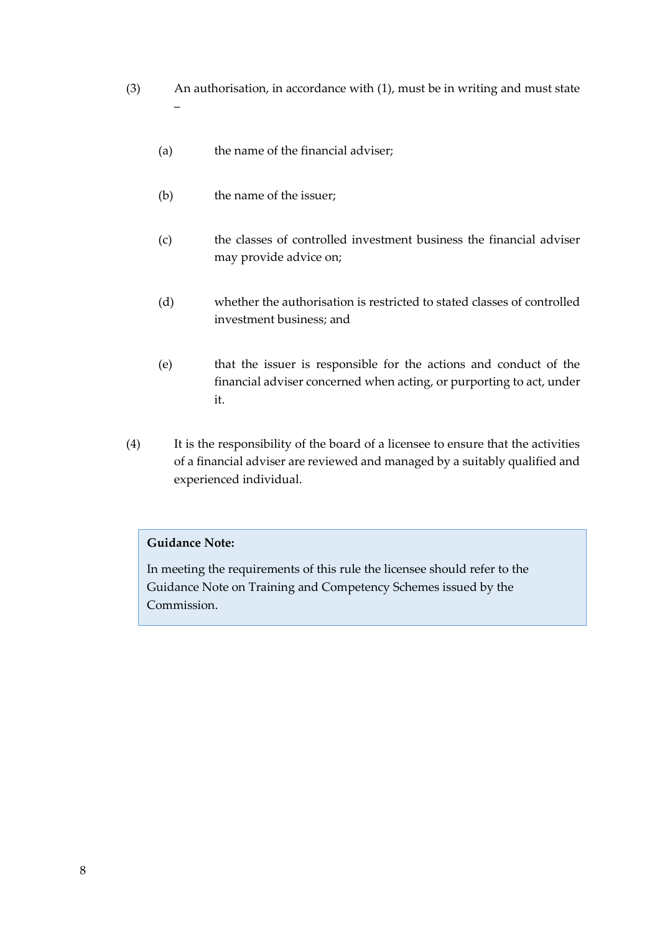- (3) An authorisation, in accordance with (1), must be in writing and must state –
	- (a) the name of the financial adviser;
	- (b) the name of the issuer;
	- (c) the classes of controlled investment business the financial adviser may provide advice on;
	- (d) whether the authorisation is restricted to stated classes of controlled investment business; and
	- (e) that the issuer is responsible for the actions and conduct of the financial adviser concerned when acting, or purporting to act, under it.
- (4) It is the responsibility of the board of a licensee to ensure that the activities of a financial adviser are reviewed and managed by a suitably qualified and experienced individual.

## **Guidance Note:**

In meeting the requirements of this rule the licensee should refer to the Guidance Note on Training and Competency Schemes issued by the Commission.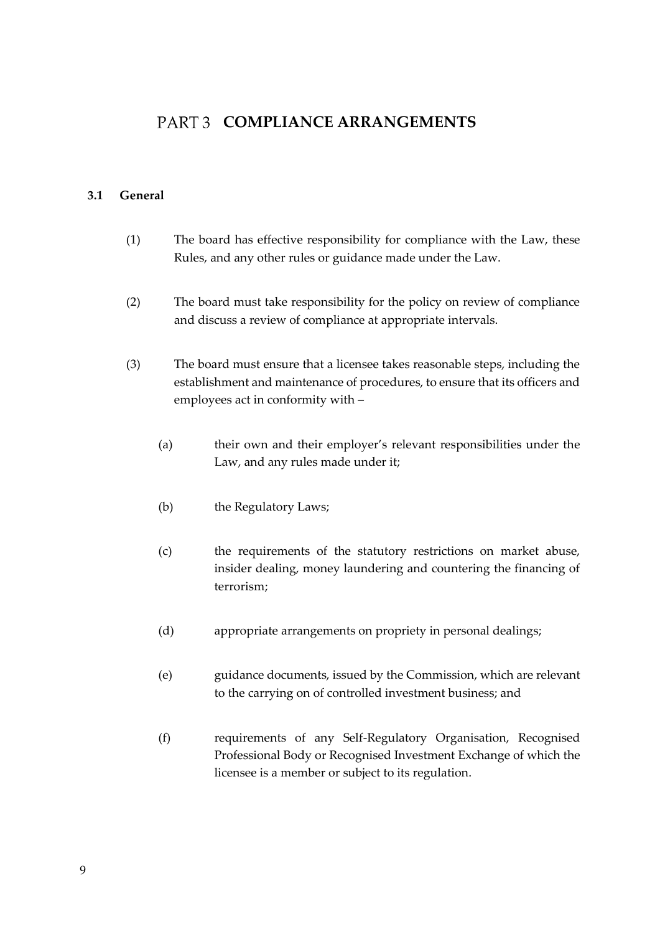## <span id="page-8-0"></span>PART 3 COMPLIANCE ARRANGEMENTS

#### <span id="page-8-1"></span>**3.1 General**

- (1) The board has effective responsibility for compliance with the Law, these Rules, and any other rules or guidance made under the Law.
- (2) The board must take responsibility for the policy on review of compliance and discuss a review of compliance at appropriate intervals.
- (3) The board must ensure that a licensee takes reasonable steps, including the establishment and maintenance of procedures, to ensure that its officers and employees act in conformity with –
	- (a) their own and their employer's relevant responsibilities under the Law, and any rules made under it;
	- (b) the Regulatory Laws;
	- (c) the requirements of the statutory restrictions on market abuse, insider dealing, money laundering and countering the financing of terrorism;
	- (d) appropriate arrangements on propriety in personal dealings;
	- (e) guidance documents, issued by the Commission, which are relevant to the carrying on of controlled investment business; and
	- (f) requirements of any Self-Regulatory Organisation, Recognised Professional Body or Recognised Investment Exchange of which the licensee is a member or subject to its regulation.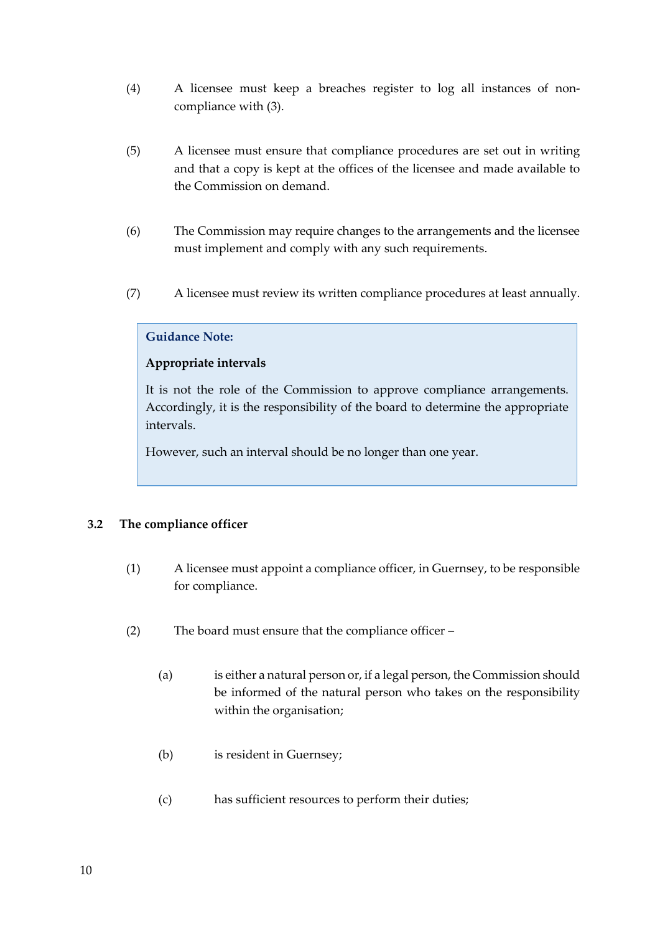- (4) A licensee must keep a breaches register to log all instances of noncompliance with (3).
- (5) A licensee must ensure that compliance procedures are set out in writing and that a copy is kept at the offices of the licensee and made available to the Commission on demand.
- (6) The Commission may require changes to the arrangements and the licensee must implement and comply with any such requirements.
- (7) A licensee must review its written compliance procedures at least annually.

## **Guidance Note:**

## **Appropriate intervals**

It is not the role of the Commission to approve compliance arrangements. Accordingly, it is the responsibility of the board to determine the appropriate intervals.

However, such an interval should be no longer than one year.

## <span id="page-9-0"></span>**3.2 The compliance officer**

- (1) A licensee must appoint a compliance officer, in Guernsey, to be responsible for compliance.
- (2) The board must ensure that the compliance officer
	- (a) is either a natural person or, if a legal person, the Commission should be informed of the natural person who takes on the responsibility within the organisation;
	- (b) is resident in Guernsey;
	- (c) has sufficient resources to perform their duties;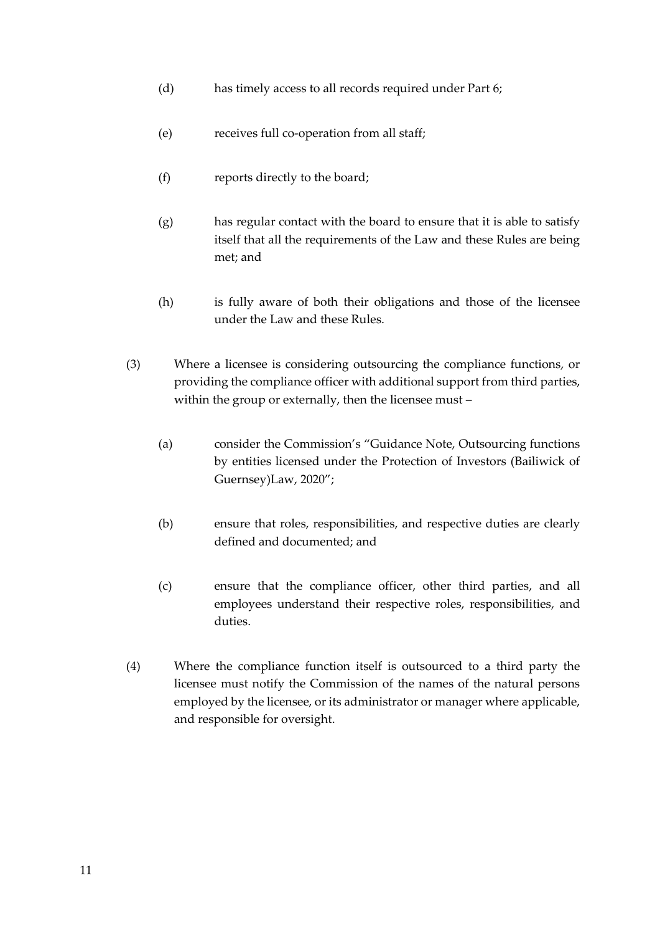- (d) has timely access to all records required under Part 6;
- (e) receives full co-operation from all staff;
- (f) reports directly to the board;
- (g) has regular contact with the board to ensure that it is able to satisfy itself that all the requirements of the Law and these Rules are being met; and
- (h) is fully aware of both their obligations and those of the licensee under the Law and these Rules.
- (3) Where a licensee is considering outsourcing the compliance functions, or providing the compliance officer with additional support from third parties, within the group or externally, then the licensee must –
	- (a) consider the Commission's "Guidance Note, Outsourcing functions by entities licensed under the Protection of Investors (Bailiwick of Guernsey)Law, 2020";
	- (b) ensure that roles, responsibilities, and respective duties are clearly defined and documented; and
	- (c) ensure that the compliance officer, other third parties, and all employees understand their respective roles, responsibilities, and duties.
- (4) Where the compliance function itself is outsourced to a third party the licensee must notify the Commission of the names of the natural persons employed by the licensee, or its administrator or manager where applicable, and responsible for oversight.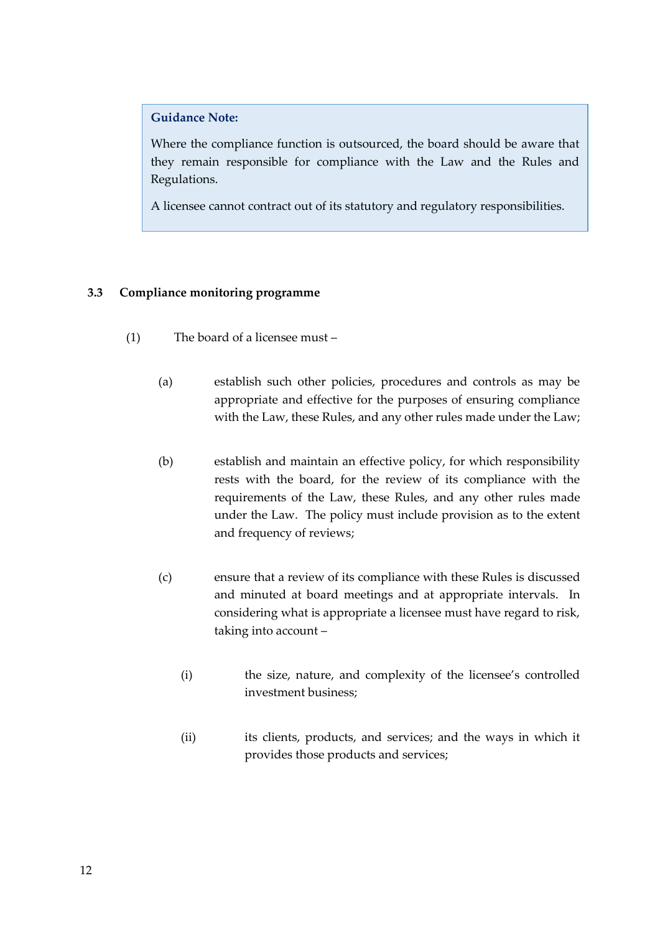## **Guidance Note:**

Where the compliance function is outsourced, the board should be aware that they remain responsible for compliance with the Law and the Rules and Regulations.

A licensee cannot contract out of its statutory and regulatory responsibilities.

## <span id="page-11-0"></span>**3.3 Compliance monitoring programme**

- (1) The board of a licensee must
	- (a) establish such other policies, procedures and controls as may be appropriate and effective for the purposes of ensuring compliance with the Law, these Rules, and any other rules made under the Law;
	- (b) establish and maintain an effective policy, for which responsibility rests with the board, for the review of its compliance with the requirements of the Law, these Rules, and any other rules made under the Law. The policy must include provision as to the extent and frequency of reviews;
	- (c) ensure that a review of its compliance with these Rules is discussed and minuted at board meetings and at appropriate intervals. In considering what is appropriate a licensee must have regard to risk, taking into account –
		- (i) the size, nature, and complexity of the licensee's controlled investment business;
		- (ii) its clients, products, and services; and the ways in which it provides those products and services;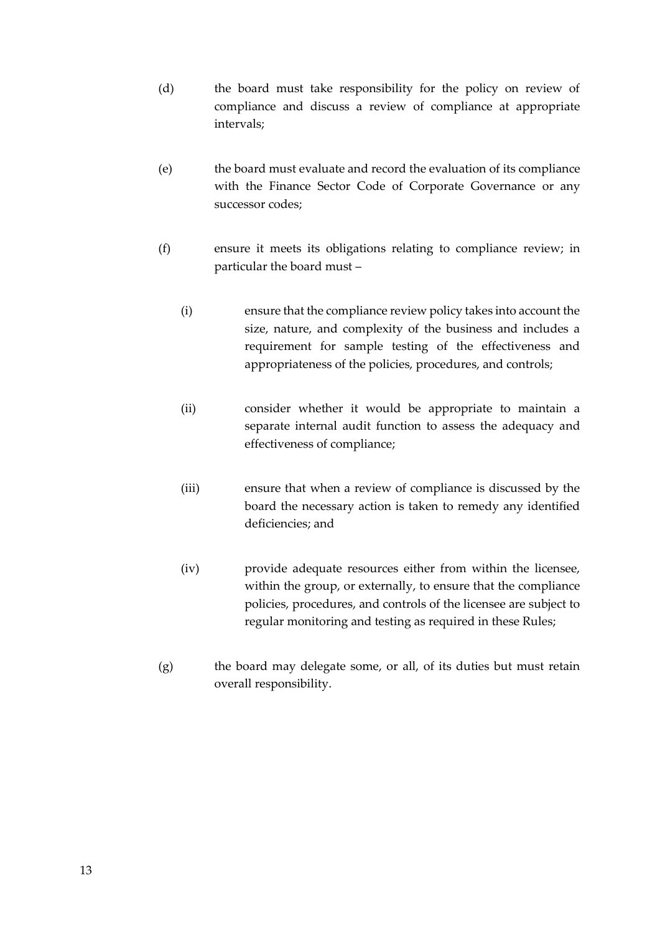- (d) the board must take responsibility for the policy on review of compliance and discuss a review of compliance at appropriate intervals;
- (e) the board must evaluate and record the evaluation of its compliance with the Finance Sector Code of Corporate Governance or any successor codes;
- (f) ensure it meets its obligations relating to compliance review; in particular the board must –
	- (i) ensure that the compliance review policy takes into account the size, nature, and complexity of the business and includes a requirement for sample testing of the effectiveness and appropriateness of the policies, procedures, and controls;
	- (ii) consider whether it would be appropriate to maintain a separate internal audit function to assess the adequacy and effectiveness of compliance;
	- (iii) ensure that when a review of compliance is discussed by the board the necessary action is taken to remedy any identified deficiencies; and
	- (iv) provide adequate resources either from within the licensee, within the group, or externally, to ensure that the compliance policies, procedures, and controls of the licensee are subject to regular monitoring and testing as required in these Rules;
- (g) the board may delegate some, or all, of its duties but must retain overall responsibility.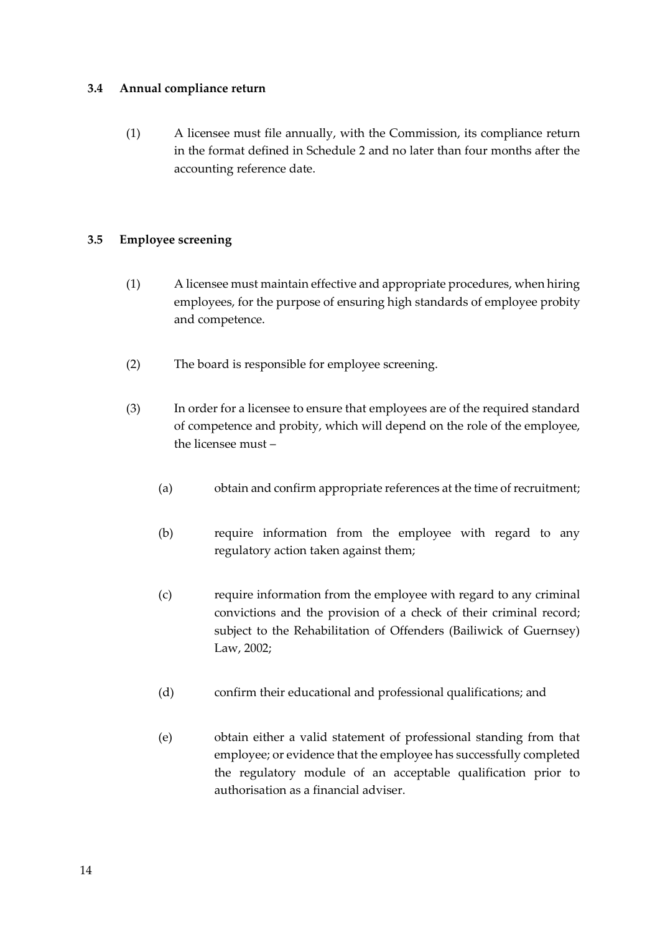## <span id="page-13-0"></span>**3.4 Annual compliance return**

(1) A licensee must file annually, with the Commission, its compliance return in the format defined in Schedule 2 and no later than four months after the accounting reference date.

## <span id="page-13-1"></span>**3.5 Employee screening**

- (1) A licensee must maintain effective and appropriate procedures, when hiring employees, for the purpose of ensuring high standards of employee probity and competence.
- (2) The board is responsible for employee screening.
- (3) In order for a licensee to ensure that employees are of the required standard of competence and probity, which will depend on the role of the employee, the licensee must –
	- (a) obtain and confirm appropriate references at the time of recruitment;
	- (b) require information from the employee with regard to any regulatory action taken against them;
	- (c) require information from the employee with regard to any criminal convictions and the provision of a check of their criminal record; subject to the Rehabilitation of Offenders (Bailiwick of Guernsey) Law, 2002;
	- (d) confirm their educational and professional qualifications; and
	- (e) obtain either a valid statement of professional standing from that employee; or evidence that the employee has successfully completed the regulatory module of an acceptable qualification prior to authorisation as a financial adviser.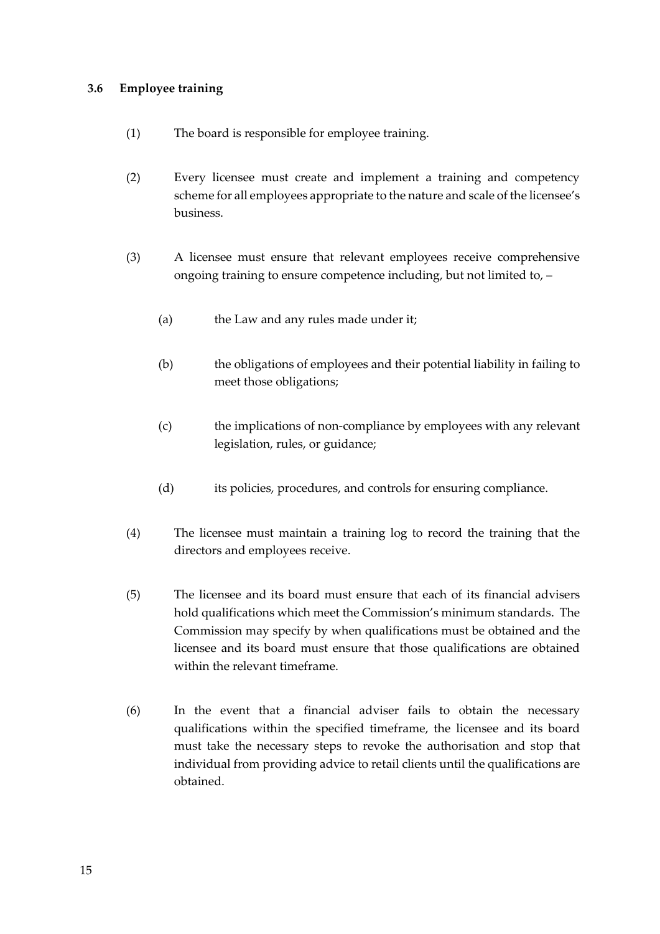## <span id="page-14-0"></span>**3.6 Employee training**

- (1) The board is responsible for employee training.
- (2) Every licensee must create and implement a training and competency scheme for all employees appropriate to the nature and scale of the licensee's business.
- (3) A licensee must ensure that relevant employees receive comprehensive ongoing training to ensure competence including, but not limited to, –
	- (a) the Law and any rules made under it;
	- (b) the obligations of employees and their potential liability in failing to meet those obligations;
	- (c) the implications of non-compliance by employees with any relevant legislation, rules, or guidance;
	- (d) its policies, procedures, and controls for ensuring compliance.
- (4) The licensee must maintain a training log to record the training that the directors and employees receive.
- (5) The licensee and its board must ensure that each of its financial advisers hold qualifications which meet the Commission's minimum standards. The Commission may specify by when qualifications must be obtained and the licensee and its board must ensure that those qualifications are obtained within the relevant timeframe.
- (6) In the event that a financial adviser fails to obtain the necessary qualifications within the specified timeframe, the licensee and its board must take the necessary steps to revoke the authorisation and stop that individual from providing advice to retail clients until the qualifications are obtained.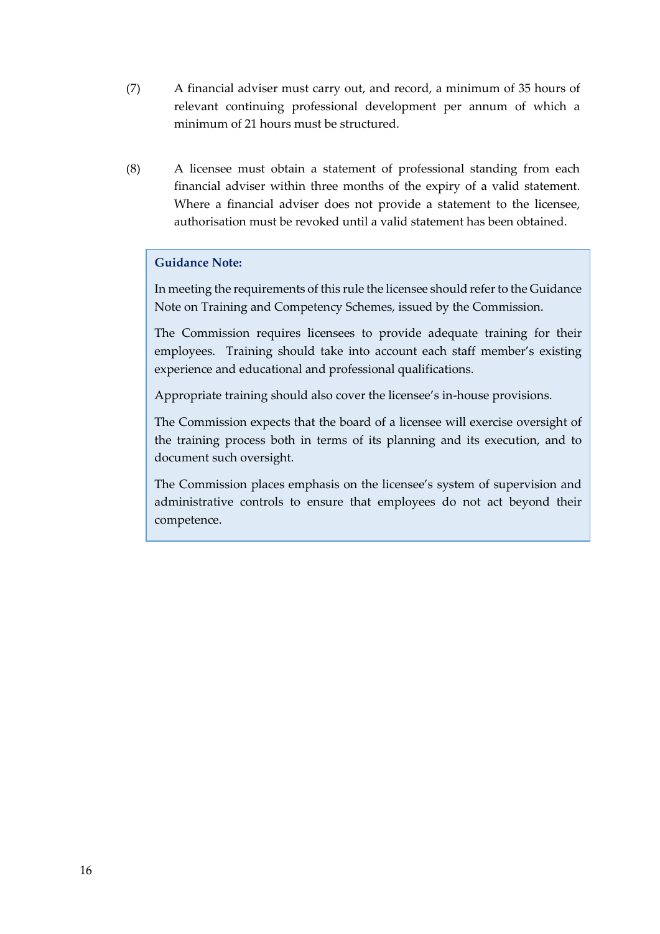- (7) A financial adviser must carry out, and record, a minimum of 35 hours of relevant continuing professional development per annum of which a minimum of 21 hours must be structured.
- (8) A licensee must obtain a statement of professional standing from each financial adviser within three months of the expiry of a valid statement. Where a financial adviser does not provide a statement to the licensee, authorisation must be revoked until a valid statement has been obtained.

## **Guidance Note:**

In meeting the requirements of this rule the licensee should refer to the Guidance Note on Training and Competency Schemes, issued by the Commission.

The Commission requires licensees to provide adequate training for their employees. Training should take into account each staff member's existing experience and educational and professional qualifications.

Appropriate training should also cover the licensee's in-house provisions.

The Commission expects that the board of a licensee will exercise oversight of the training process both in terms of its planning and its execution, and to document such oversight.

The Commission places emphasis on the licensee's system of supervision and administrative controls to ensure that employees do not act beyond their competence.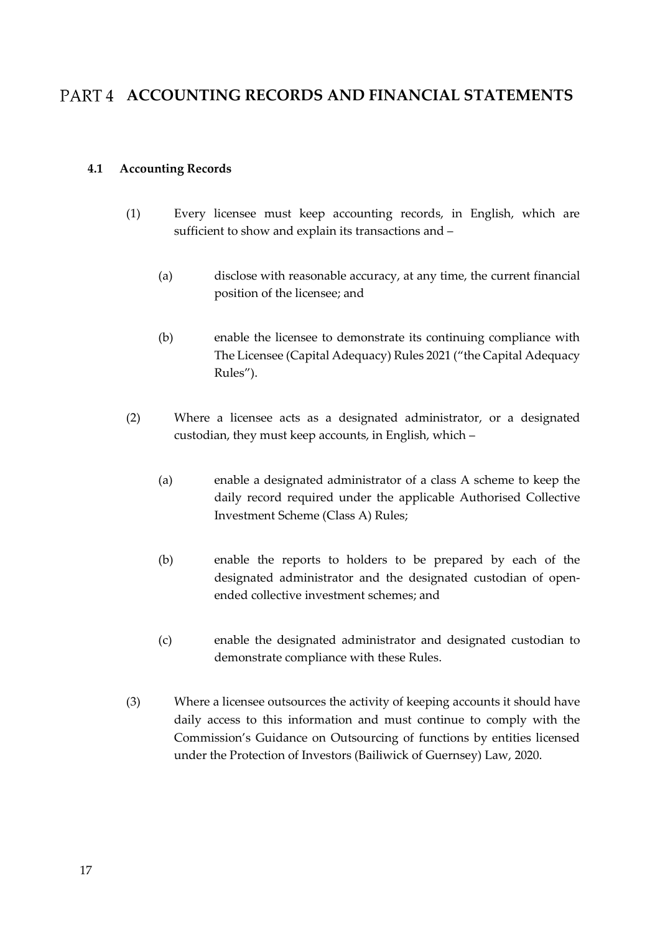## <span id="page-16-0"></span>PART 4 ACCOUNTING RECORDS AND FINANCIAL STATEMENTS

## <span id="page-16-1"></span>**4.1 Accounting Records**

- (1) Every licensee must keep accounting records, in English, which are sufficient to show and explain its transactions and –
	- (a) disclose with reasonable accuracy, at any time, the current financial position of the licensee; and
	- (b) enable the licensee to demonstrate its continuing compliance with The Licensee (Capital Adequacy) Rules 2021 ("the Capital Adequacy Rules").
- (2) Where a licensee acts as a designated administrator, or a designated custodian, they must keep accounts, in English, which –
	- (a) enable a designated administrator of a class A scheme to keep the daily record required under the applicable Authorised Collective Investment Scheme (Class A) Rules;
	- (b) enable the reports to holders to be prepared by each of the designated administrator and the designated custodian of openended collective investment schemes; and
	- (c) enable the designated administrator and designated custodian to demonstrate compliance with these Rules.
- (3) Where a licensee outsources the activity of keeping accounts it should have daily access to this information and must continue to comply with the Commission's Guidance on Outsourcing of functions by entities licensed under the Protection of Investors (Bailiwick of Guernsey) Law, 2020.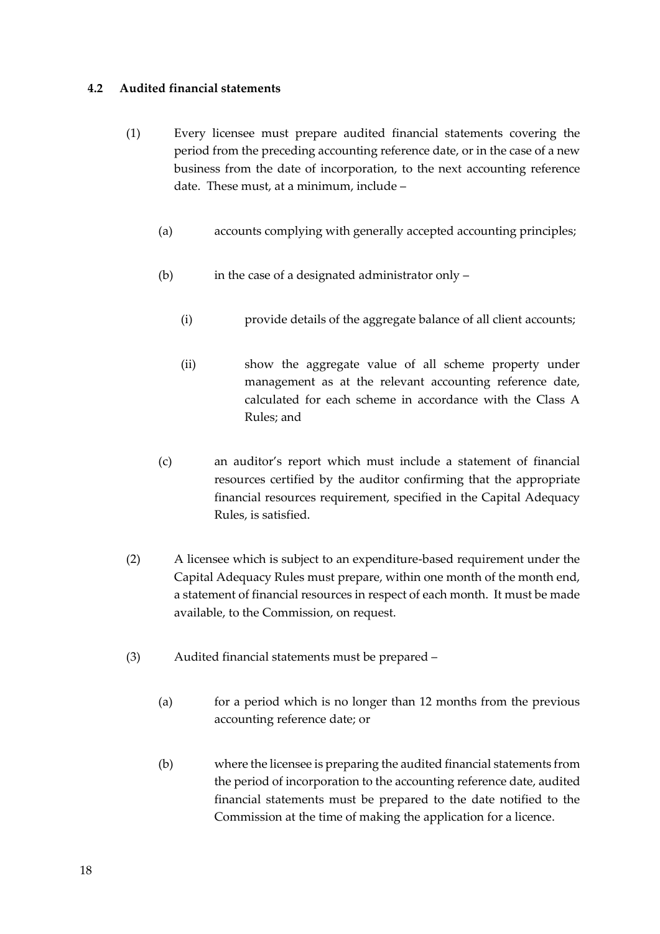## <span id="page-17-0"></span>**4.2 Audited financial statements**

- (1) Every licensee must prepare audited financial statements covering the period from the preceding accounting reference date, or in the case of a new business from the date of incorporation, to the next accounting reference date. These must, at a minimum, include –
	- (a) accounts complying with generally accepted accounting principles;
	- (b) in the case of a designated administrator only
		- (i) provide details of the aggregate balance of all client accounts;
		- (ii) show the aggregate value of all scheme property under management as at the relevant accounting reference date, calculated for each scheme in accordance with the Class A Rules; and
	- (c) an auditor's report which must include a statement of financial resources certified by the auditor confirming that the appropriate financial resources requirement, specified in the Capital Adequacy Rules, is satisfied.
- (2) A licensee which is subject to an expenditure-based requirement under the Capital Adequacy Rules must prepare, within one month of the month end, a statement of financial resources in respect of each month. It must be made available, to the Commission, on request.
- (3) Audited financial statements must be prepared
	- (a) for a period which is no longer than 12 months from the previous accounting reference date; or
	- (b) where the licensee is preparing the audited financial statements from the period of incorporation to the accounting reference date, audited financial statements must be prepared to the date notified to the Commission at the time of making the application for a licence.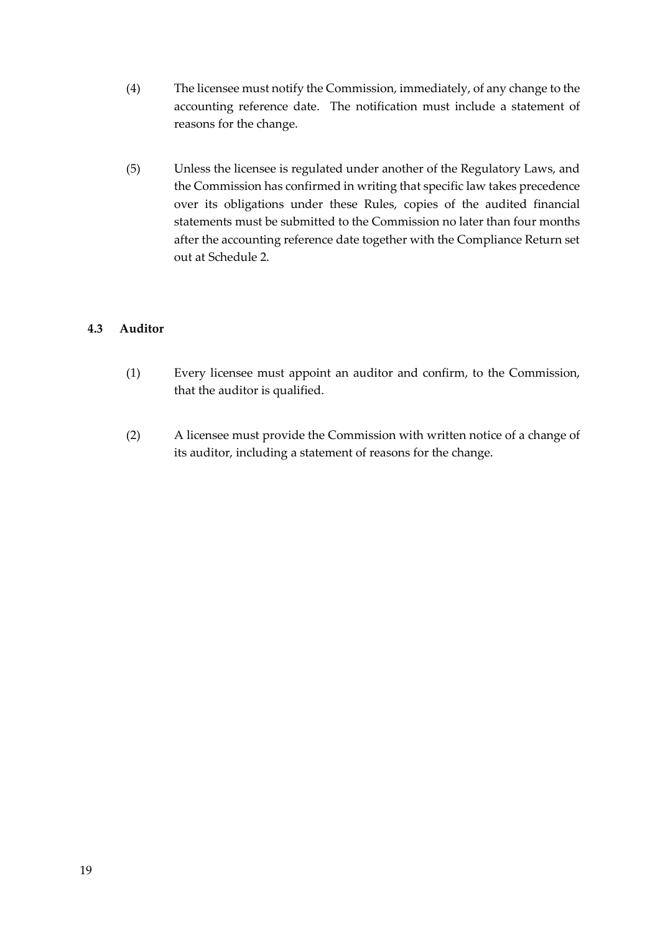- (4) The licensee must notify the Commission, immediately, of any change to the accounting reference date. The notification must include a statement of reasons for the change.
- (5) Unless the licensee is regulated under another of the Regulatory Laws, and the Commission has confirmed in writing that specific law takes precedence over its obligations under these Rules, copies of the audited financial statements must be submitted to the Commission no later than four months after the accounting reference date together with the Compliance Return set out at Schedule 2.

## <span id="page-18-0"></span>**4.3 Auditor**

- (1) Every licensee must appoint an auditor and confirm, to the Commission, that the auditor is qualified.
- (2) A licensee must provide the Commission with written notice of a change of its auditor, including a statement of reasons for the change.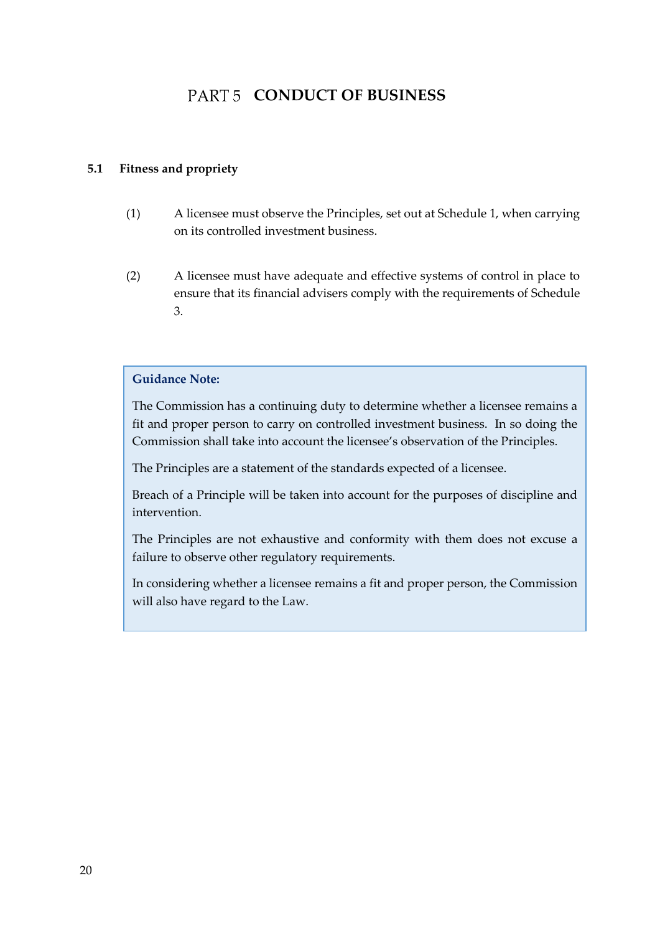## PART 5 CONDUCT OF BUSINESS

## <span id="page-19-1"></span><span id="page-19-0"></span>**5.1 Fitness and propriety**

- (1) A licensee must observe the Principles, set out at Schedule 1, when carrying on its controlled investment business.
- (2) A licensee must have adequate and effective systems of control in place to ensure that its financial advisers comply with the requirements of Schedule 3.

## **Guidance Note:**

The Commission has a continuing duty to determine whether a licensee remains a fit and proper person to carry on controlled investment business. In so doing the Commission shall take into account the licensee's observation of the Principles.

The Principles are a statement of the standards expected of a licensee.

Breach of a Principle will be taken into account for the purposes of discipline and intervention.

The Principles are not exhaustive and conformity with them does not excuse a failure to observe other regulatory requirements.

In considering whether a licensee remains a fit and proper person, the Commission will also have regard to the Law.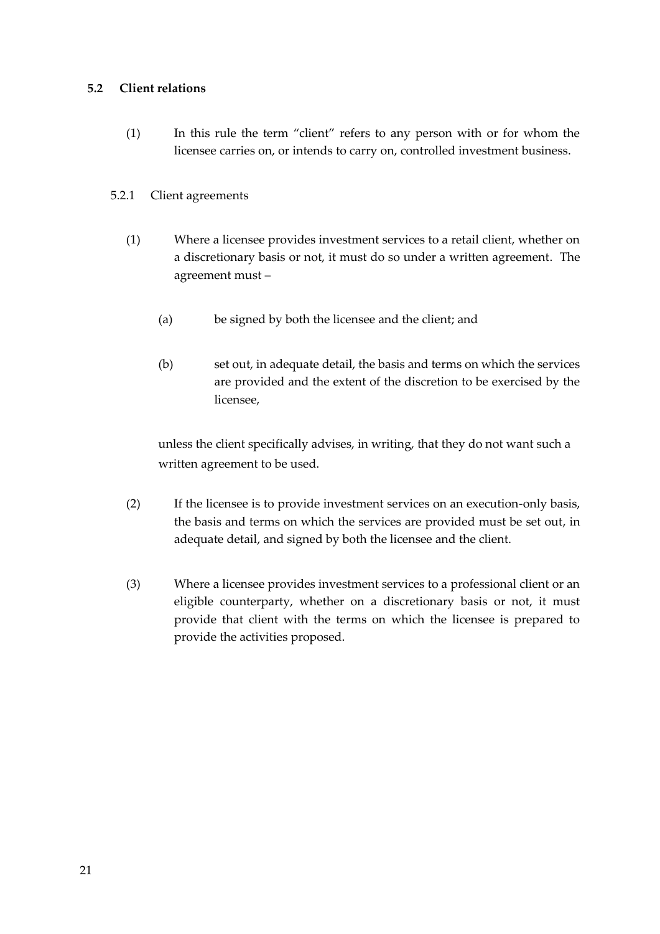## <span id="page-20-0"></span>**5.2 Client relations**

(1) In this rule the term "client" refers to any person with or for whom the licensee carries on, or intends to carry on, controlled investment business.

## 5.2.1 Client agreements

- (1) Where a licensee provides investment services to a retail client, whether on a discretionary basis or not, it must do so under a written agreement. The agreement must –
	- (a) be signed by both the licensee and the client; and
	- (b) set out, in adequate detail, the basis and terms on which the services are provided and the extent of the discretion to be exercised by the licensee,

unless the client specifically advises, in writing, that they do not want such a written agreement to be used.

- (2) If the licensee is to provide investment services on an execution-only basis, the basis and terms on which the services are provided must be set out, in adequate detail, and signed by both the licensee and the client.
- (3) Where a licensee provides investment services to a professional client or an eligible counterparty, whether on a discretionary basis or not, it must provide that client with the terms on which the licensee is prepared to provide the activities proposed.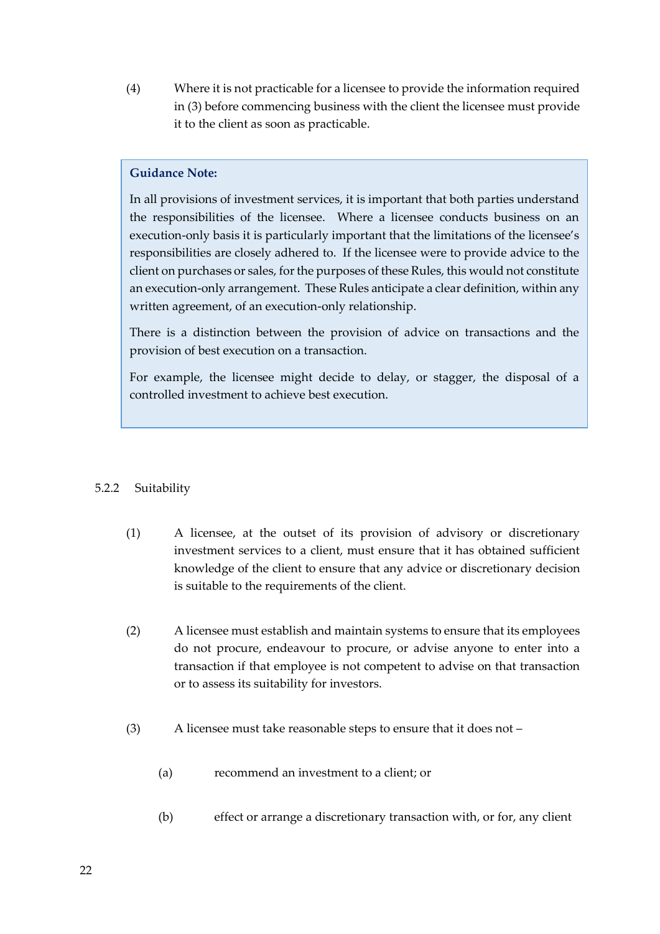(4) Where it is not practicable for a licensee to provide the information required in (3) before commencing business with the client the licensee must provide it to the client as soon as practicable.

## **Guidance Note:**

In all provisions of investment services, it is important that both parties understand the responsibilities of the licensee. Where a licensee conducts business on an execution-only basis it is particularly important that the limitations of the licensee's responsibilities are closely adhered to. If the licensee were to provide advice to the client on purchases or sales, for the purposes of these Rules, this would not constitute an execution-only arrangement. These Rules anticipate a clear definition, within any written agreement, of an execution-only relationship.

There is a distinction between the provision of advice on transactions and the provision of best execution on a transaction.

For example, the licensee might decide to delay, or stagger, the disposal of a controlled investment to achieve best execution.

## 5.2.2 Suitability

- (1) A licensee, at the outset of its provision of advisory or discretionary investment services to a client, must ensure that it has obtained sufficient knowledge of the client to ensure that any advice or discretionary decision is suitable to the requirements of the client.
- (2) A licensee must establish and maintain systems to ensure that its employees do not procure, endeavour to procure, or advise anyone to enter into a transaction if that employee is not competent to advise on that transaction or to assess its suitability for investors.
- (3) A licensee must take reasonable steps to ensure that it does not
	- (a) recommend an investment to a client; or
	- (b) effect or arrange a discretionary transaction with, or for, any client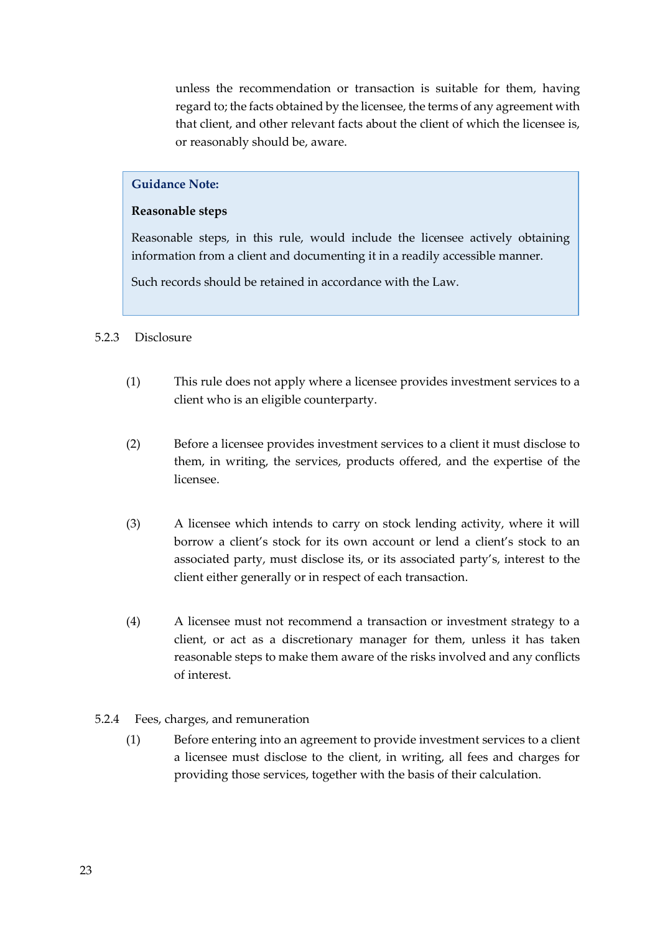unless the recommendation or transaction is suitable for them, having regard to; the facts obtained by the licensee, the terms of any agreement with that client, and other relevant facts about the client of which the licensee is, or reasonably should be, aware.

#### **Guidance Note:**

#### **Reasonable steps**

Reasonable steps, in this rule, would include the licensee actively obtaining information from a client and documenting it in a readily accessible manner.

Such records should be retained in accordance with the Law.

#### 5.2.3 Disclosure

- (1) This rule does not apply where a licensee provides investment services to a client who is an eligible counterparty.
- (2) Before a licensee provides investment services to a client it must disclose to them, in writing, the services, products offered, and the expertise of the licensee.
- (3) A licensee which intends to carry on stock lending activity, where it will borrow a client's stock for its own account or lend a client's stock to an associated party, must disclose its, or its associated party's, interest to the client either generally or in respect of each transaction.
- (4) A licensee must not recommend a transaction or investment strategy to a client, or act as a discretionary manager for them, unless it has taken reasonable steps to make them aware of the risks involved and any conflicts of interest.

#### 5.2.4 Fees, charges, and remuneration

(1) Before entering into an agreement to provide investment services to a client a licensee must disclose to the client, in writing, all fees and charges for providing those services, together with the basis of their calculation.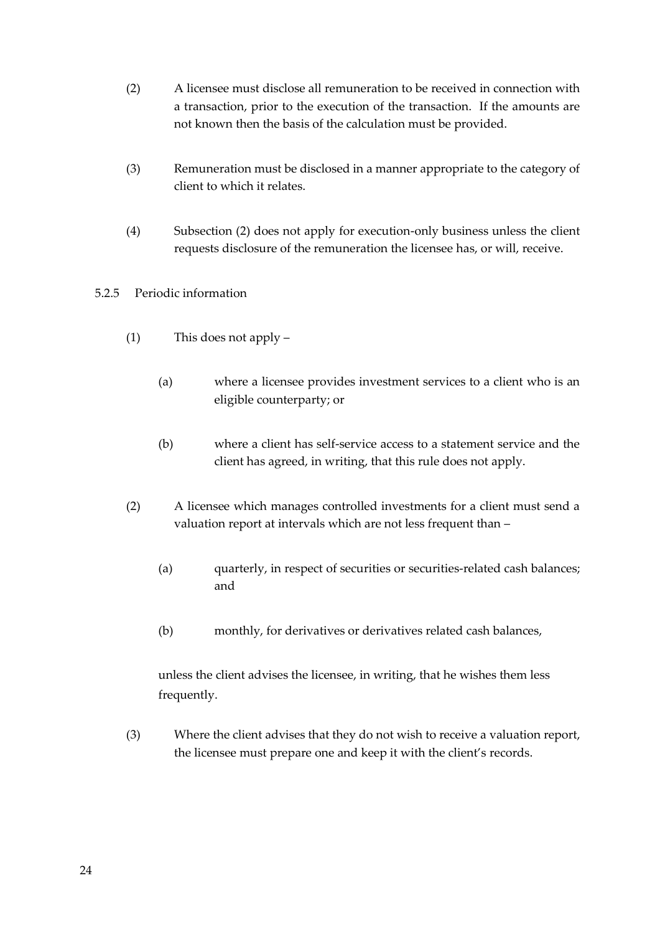- (2) A licensee must disclose all remuneration to be received in connection with a transaction, prior to the execution of the transaction. If the amounts are not known then the basis of the calculation must be provided.
- (3) Remuneration must be disclosed in a manner appropriate to the category of client to which it relates.
- (4) Subsection (2) does not apply for execution-only business unless the client requests disclosure of the remuneration the licensee has, or will, receive.

## 5.2.5 Periodic information

- (1) This does not apply
	- (a) where a licensee provides investment services to a client who is an eligible counterparty; or
	- (b) where a client has self-service access to a statement service and the client has agreed, in writing, that this rule does not apply.
- (2) A licensee which manages controlled investments for a client must send a valuation report at intervals which are not less frequent than –
	- (a) quarterly, in respect of securities or securities-related cash balances; and
	- (b) monthly, for derivatives or derivatives related cash balances,

unless the client advises the licensee, in writing, that he wishes them less frequently.

(3) Where the client advises that they do not wish to receive a valuation report, the licensee must prepare one and keep it with the client's records.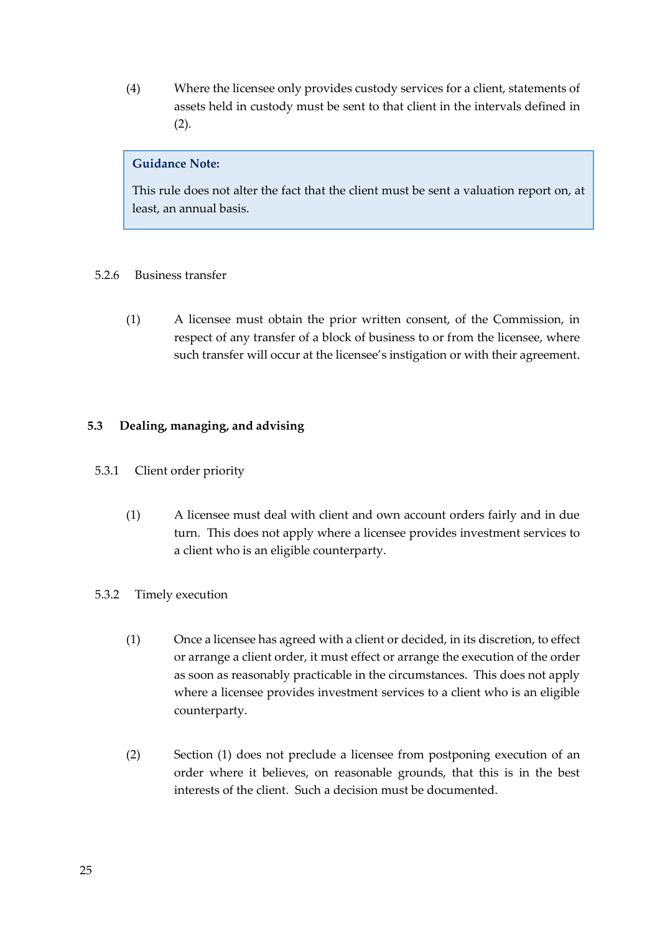(4) Where the licensee only provides custody services for a client, statements of assets held in custody must be sent to that client in the intervals defined in (2).

## **Guidance Note:**

This rule does not alter the fact that the client must be sent a valuation report on, at least, an annual basis.

## 5.2.6 Business transfer

(1) A licensee must obtain the prior written consent, of the Commission, in respect of any transfer of a block of business to or from the licensee, where such transfer will occur at the licensee's instigation or with their agreement.

## <span id="page-24-0"></span>**5.3 Dealing, managing, and advising**

- 5.3.1 Client order priority
	- (1) A licensee must deal with client and own account orders fairly and in due turn. This does not apply where a licensee provides investment services to a client who is an eligible counterparty.

## 5.3.2 Timely execution

- (1) Once a licensee has agreed with a client or decided, in its discretion, to effect or arrange a client order, it must effect or arrange the execution of the order as soon as reasonably practicable in the circumstances. This does not apply where a licensee provides investment services to a client who is an eligible counterparty.
- (2) Section (1) does not preclude a licensee from postponing execution of an order where it believes, on reasonable grounds, that this is in the best interests of the client. Such a decision must be documented.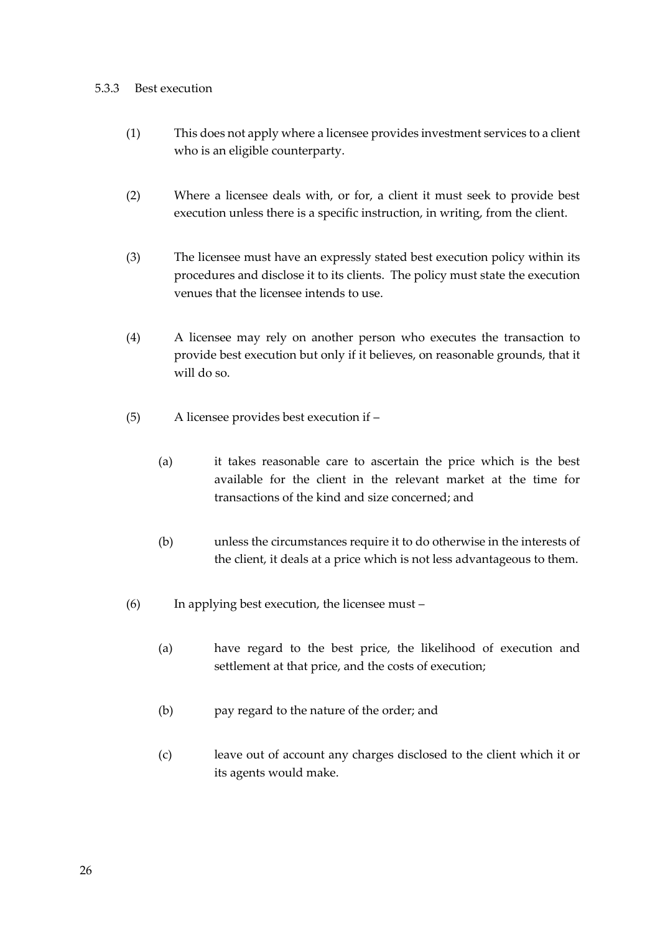#### 5.3.3 Best execution

- (1) This does not apply where a licensee provides investment services to a client who is an eligible counterparty.
- (2) Where a licensee deals with, or for, a client it must seek to provide best execution unless there is a specific instruction, in writing, from the client.
- (3) The licensee must have an expressly stated best execution policy within its procedures and disclose it to its clients. The policy must state the execution venues that the licensee intends to use.
- (4) A licensee may rely on another person who executes the transaction to provide best execution but only if it believes, on reasonable grounds, that it will do so.
- (5) A licensee provides best execution if
	- (a) it takes reasonable care to ascertain the price which is the best available for the client in the relevant market at the time for transactions of the kind and size concerned; and
	- (b) unless the circumstances require it to do otherwise in the interests of the client, it deals at a price which is not less advantageous to them.
- (6) In applying best execution, the licensee must
	- (a) have regard to the best price, the likelihood of execution and settlement at that price, and the costs of execution;
	- (b) pay regard to the nature of the order; and
	- (c) leave out of account any charges disclosed to the client which it or its agents would make.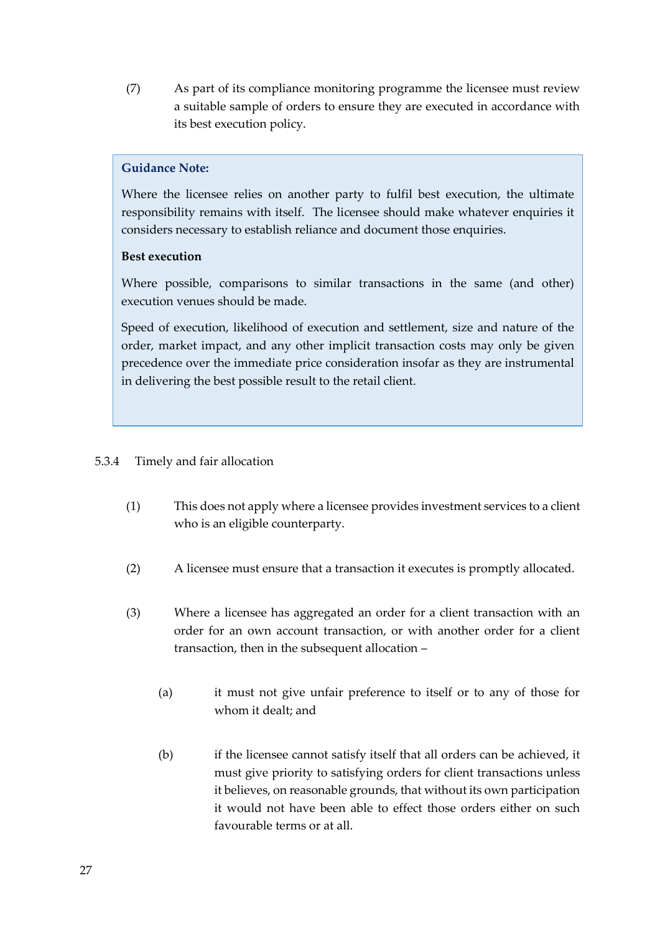(7) As part of its compliance monitoring programme the licensee must review a suitable sample of orders to ensure they are executed in accordance with its best execution policy.

## **Guidance Note:**

Where the licensee relies on another party to fulfil best execution, the ultimate responsibility remains with itself. The licensee should make whatever enquiries it considers necessary to establish reliance and document those enquiries.

## **Best execution**

Where possible, comparisons to similar transactions in the same (and other) execution venues should be made.

Speed of execution, likelihood of execution and settlement, size and nature of the order, market impact, and any other implicit transaction costs may only be given precedence over the immediate price consideration insofar as they are instrumental in delivering the best possible result to the retail client.

## 5.3.4 Timely and fair allocation

- (1) This does not apply where a licensee provides investment services to a client who is an eligible counterparty.
- (2) A licensee must ensure that a transaction it executes is promptly allocated.
- (3) Where a licensee has aggregated an order for a client transaction with an order for an own account transaction, or with another order for a client transaction, then in the subsequent allocation –
	- (a) it must not give unfair preference to itself or to any of those for whom it dealt; and
	- (b) if the licensee cannot satisfy itself that all orders can be achieved, it must give priority to satisfying orders for client transactions unless it believes, on reasonable grounds, that without its own participation it would not have been able to effect those orders either on such favourable terms or at all.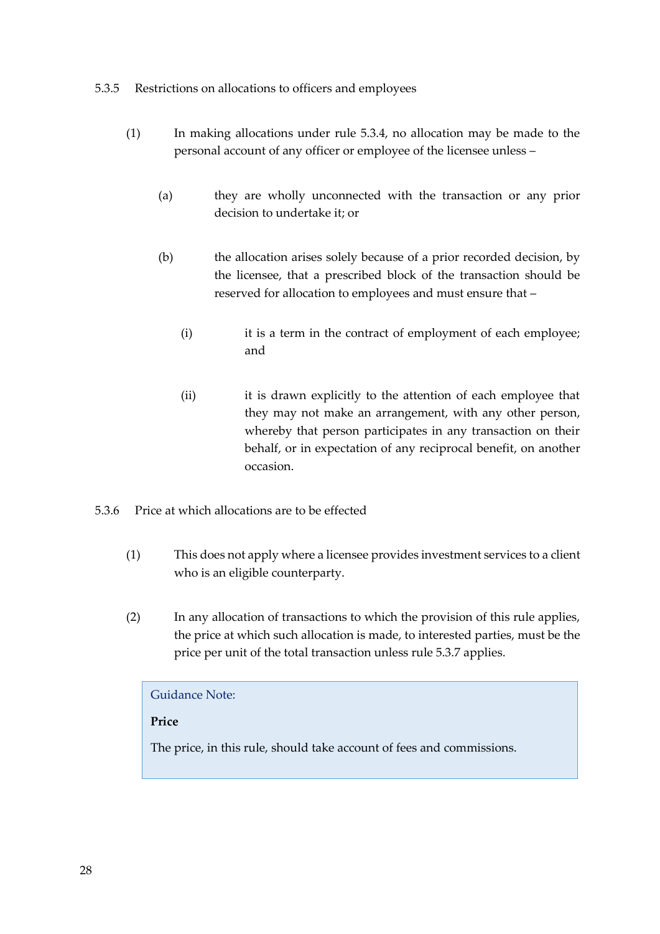## 5.3.5 Restrictions on allocations to officers and employees

- (1) In making allocations under rule 5.3.4, no allocation may be made to the personal account of any officer or employee of the licensee unless –
	- (a) they are wholly unconnected with the transaction or any prior decision to undertake it; or
	- (b) the allocation arises solely because of a prior recorded decision, by the licensee, that a prescribed block of the transaction should be reserved for allocation to employees and must ensure that –
		- (i) it is a term in the contract of employment of each employee; and
		- (ii) it is drawn explicitly to the attention of each employee that they may not make an arrangement, with any other person, whereby that person participates in any transaction on their behalf, or in expectation of any reciprocal benefit, on another occasion.
- 5.3.6 Price at which allocations are to be effected
	- (1) This does not apply where a licensee provides investment services to a client who is an eligible counterparty.
	- (2) In any allocation of transactions to which the provision of this rule applies, the price at which such allocation is made, to interested parties, must be the price per unit of the total transaction unless rule 5.3.7 applies.

## Guidance Note:

## **Price**

The price, in this rule, should take account of fees and commissions.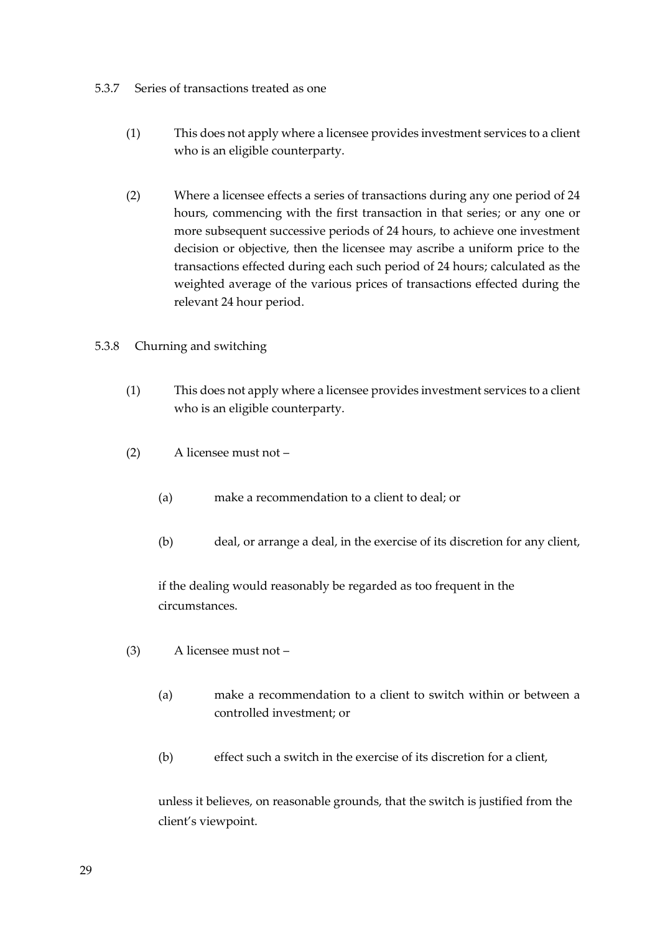#### 5.3.7 Series of transactions treated as one

- (1) This does not apply where a licensee provides investment services to a client who is an eligible counterparty.
- (2) Where a licensee effects a series of transactions during any one period of 24 hours, commencing with the first transaction in that series; or any one or more subsequent successive periods of 24 hours, to achieve one investment decision or objective, then the licensee may ascribe a uniform price to the transactions effected during each such period of 24 hours; calculated as the weighted average of the various prices of transactions effected during the relevant 24 hour period.

## 5.3.8 Churning and switching

- (1) This does not apply where a licensee provides investment services to a client who is an eligible counterparty.
- (2) A licensee must not
	- (a) make a recommendation to a client to deal; or
	- (b) deal, or arrange a deal, in the exercise of its discretion for any client,

if the dealing would reasonably be regarded as too frequent in the circumstances.

- (3) A licensee must not
	- (a) make a recommendation to a client to switch within or between a controlled investment; or
	- (b) effect such a switch in the exercise of its discretion for a client,

unless it believes, on reasonable grounds, that the switch is justified from the client's viewpoint.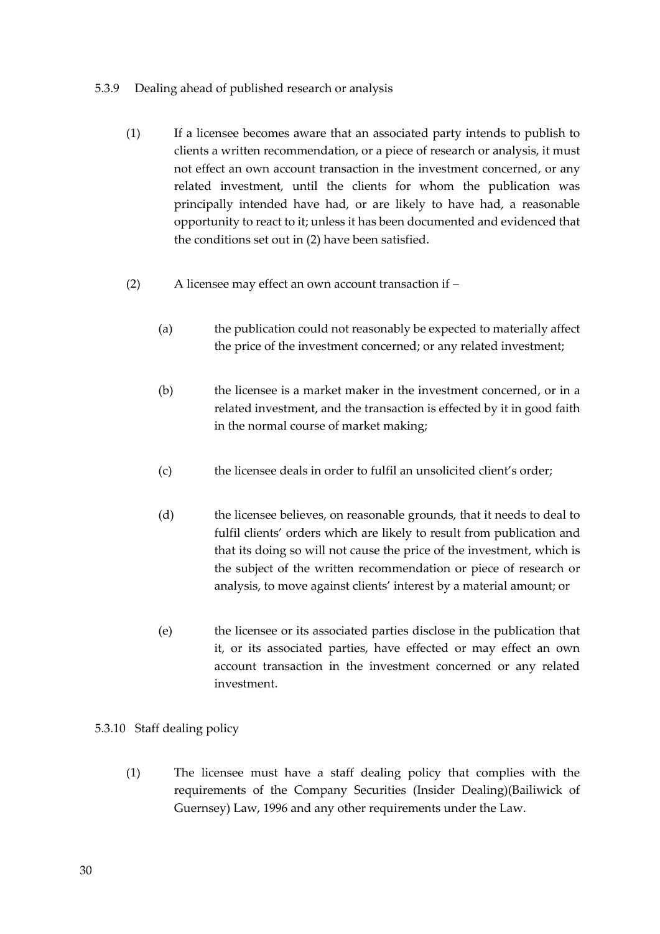## 5.3.9 Dealing ahead of published research or analysis

- (1) If a licensee becomes aware that an associated party intends to publish to clients a written recommendation, or a piece of research or analysis, it must not effect an own account transaction in the investment concerned, or any related investment, until the clients for whom the publication was principally intended have had, or are likely to have had, a reasonable opportunity to react to it; unless it has been documented and evidenced that the conditions set out in (2) have been satisfied.
- (2) A licensee may effect an own account transaction if
	- (a) the publication could not reasonably be expected to materially affect the price of the investment concerned; or any related investment;
	- (b) the licensee is a market maker in the investment concerned, or in a related investment, and the transaction is effected by it in good faith in the normal course of market making;
	- (c) the licensee deals in order to fulfil an unsolicited client's order;
	- (d) the licensee believes, on reasonable grounds, that it needs to deal to fulfil clients' orders which are likely to result from publication and that its doing so will not cause the price of the investment, which is the subject of the written recommendation or piece of research or analysis, to move against clients' interest by a material amount; or
	- (e) the licensee or its associated parties disclose in the publication that it, or its associated parties, have effected or may effect an own account transaction in the investment concerned or any related investment.

## 5.3.10 Staff dealing policy

(1) The licensee must have a staff dealing policy that complies with the requirements of the Company Securities (Insider Dealing)(Bailiwick of Guernsey) Law, 1996 and any other requirements under the Law.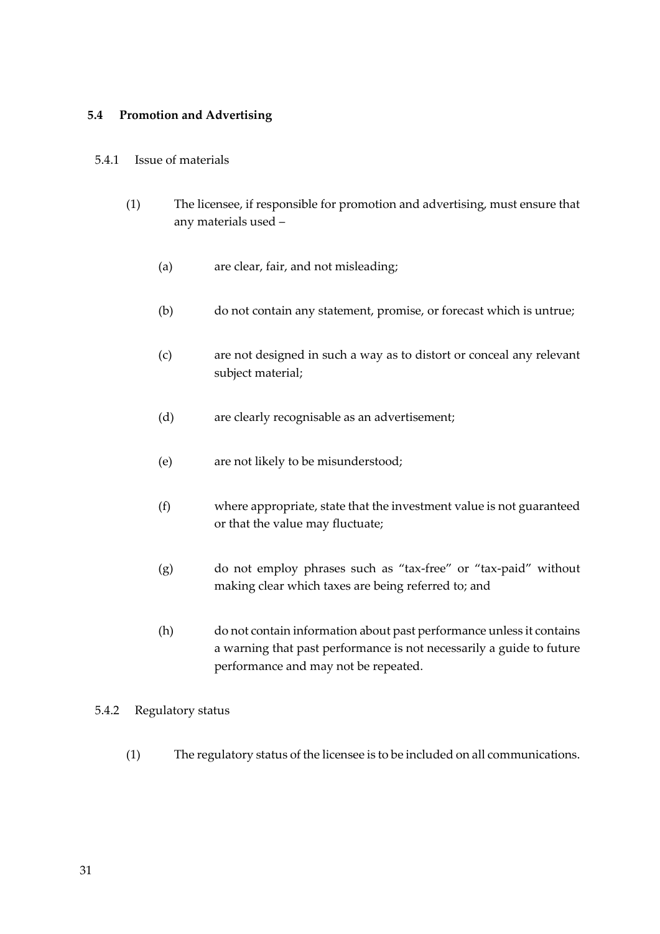## <span id="page-30-0"></span>**5.4 Promotion and Advertising**

## 5.4.1 Issue of materials

- (1) The licensee, if responsible for promotion and advertising, must ensure that any materials used –
	- (a) are clear, fair, and not misleading;
	- (b) do not contain any statement, promise, or forecast which is untrue;
	- (c) are not designed in such a way as to distort or conceal any relevant subject material;
	- (d) are clearly recognisable as an advertisement;
	- (e) are not likely to be misunderstood;
	- (f) where appropriate, state that the investment value is not guaranteed or that the value may fluctuate;
	- (g) do not employ phrases such as "tax-free" or "tax-paid" without making clear which taxes are being referred to; and
	- (h) do not contain information about past performance unless it contains a warning that past performance is not necessarily a guide to future performance and may not be repeated.

## 5.4.2 Regulatory status

(1) The regulatory status of the licensee is to be included on all communications.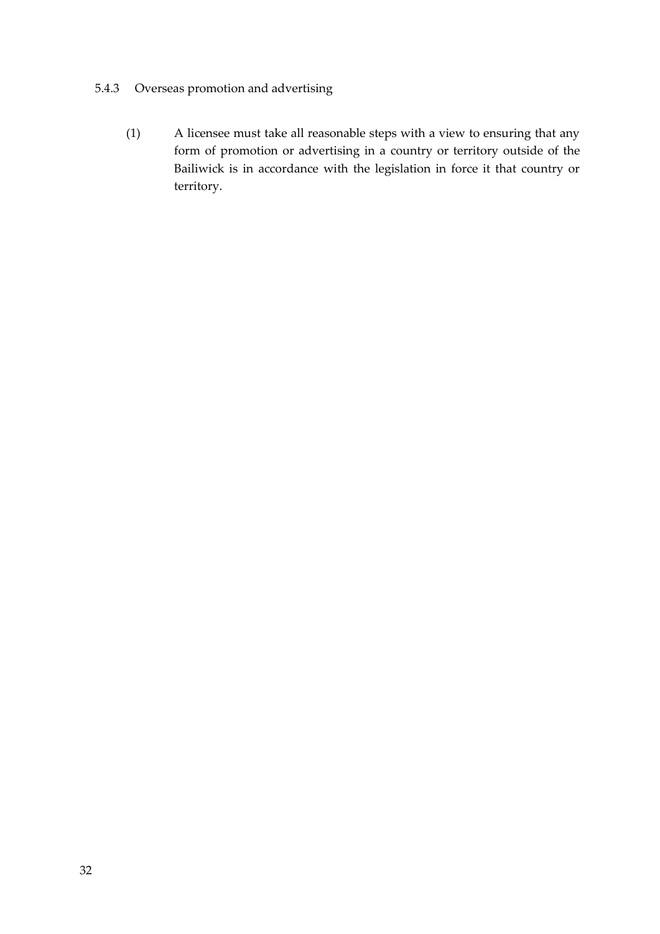## 5.4.3 Overseas promotion and advertising

(1) A licensee must take all reasonable steps with a view to ensuring that any form of promotion or advertising in a country or territory outside of the Bailiwick is in accordance with the legislation in force it that country or territory.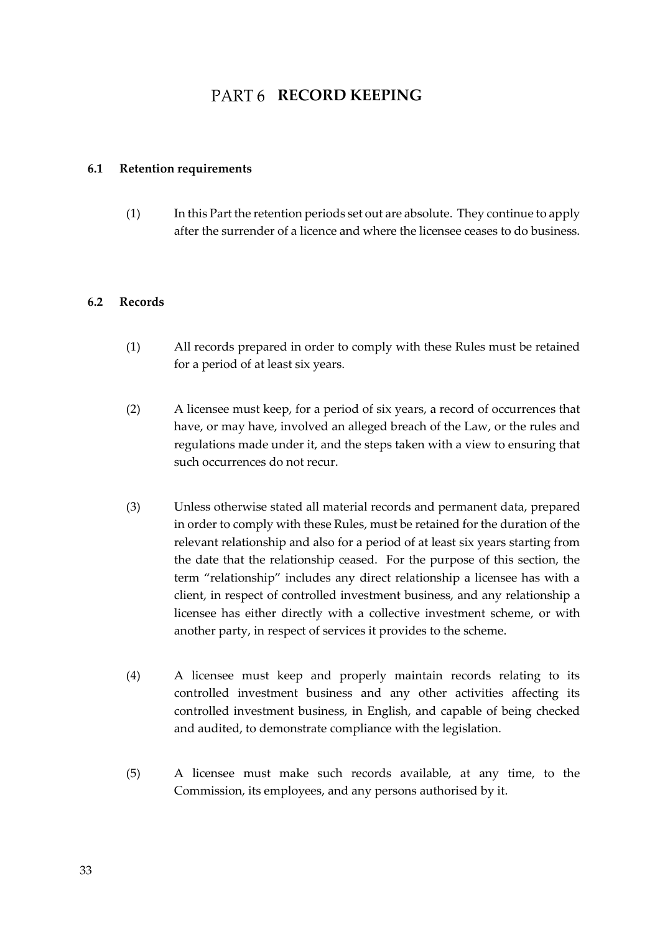## **PART6 RECORD KEEPING**

## <span id="page-32-1"></span><span id="page-32-0"></span>**6.1 Retention requirements**

(1) In this Part the retention periods set out are absolute. They continue to apply after the surrender of a licence and where the licensee ceases to do business.

#### <span id="page-32-2"></span>**6.2 Records**

- (1) All records prepared in order to comply with these Rules must be retained for a period of at least six years.
- (2) A licensee must keep, for a period of six years, a record of occurrences that have, or may have, involved an alleged breach of the Law, or the rules and regulations made under it, and the steps taken with a view to ensuring that such occurrences do not recur-
- (3) Unless otherwise stated all material records and permanent data, prepared in order to comply with these Rules, must be retained for the duration of the relevant relationship and also for a period of at least six years starting from the date that the relationship ceased. For the purpose of this section, the term "relationship" includes any direct relationship a licensee has with a client, in respect of controlled investment business, and any relationship a licensee has either directly with a collective investment scheme, or with another party, in respect of services it provides to the scheme.
- (4) A licensee must keep and properly maintain records relating to its controlled investment business and any other activities affecting its controlled investment business, in English, and capable of being checked and audited, to demonstrate compliance with the legislation.
- (5) A licensee must make such records available, at any time, to the Commission, its employees, and any persons authorised by it.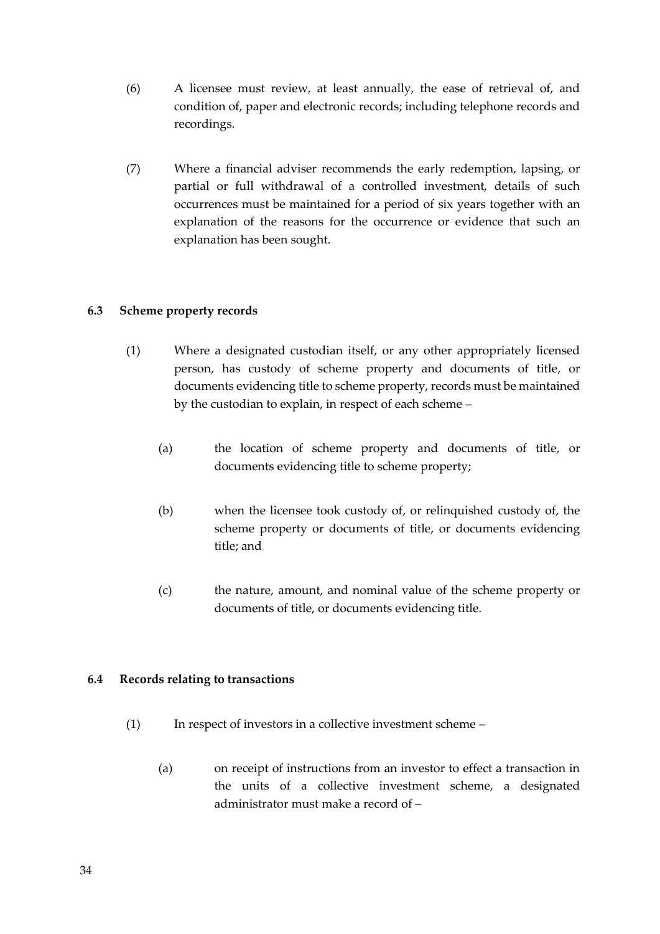- (6) A licensee must review, at least annually, the ease of retrieval of, and condition of, paper and electronic records; including telephone records and recordings.
- (7) Where a financial adviser recommends the early redemption, lapsing, or partial or full withdrawal of a controlled investment, details of such occurrences must be maintained for a period of six years together with an explanation of the reasons for the occurrence or evidence that such an explanation has been sought.

## <span id="page-33-0"></span>**6.3 Scheme property records**

- (1) Where a designated custodian itself, or any other appropriately licensed person, has custody of scheme property and documents of title, or documents evidencing title to scheme property, records must be maintained by the custodian to explain, in respect of each scheme –
	- (a) the location of scheme property and documents of title, or documents evidencing title to scheme property;
	- (b) when the licensee took custody of, or relinquished custody of, the scheme property or documents of title, or documents evidencing title; and
	- (c) the nature, amount, and nominal value of the scheme property or documents of title, or documents evidencing title.

## <span id="page-33-1"></span>**6.4 Records relating to transactions**

- (1) In respect of investors in a collective investment scheme
	- (a) on receipt of instructions from an investor to effect a transaction in the units of a collective investment scheme, a designated administrator must make a record of –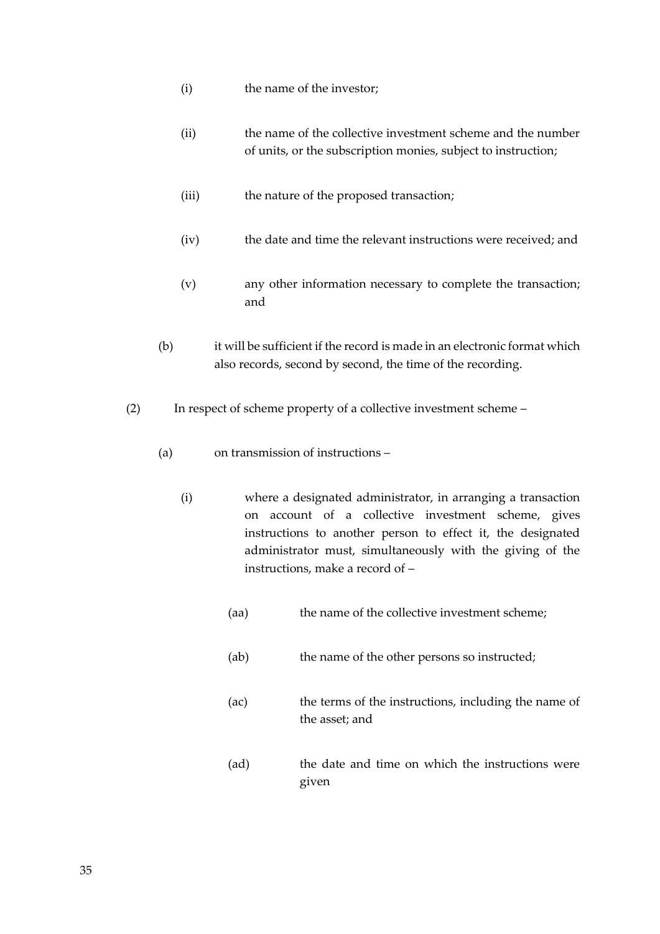- (i) the name of the investor;
- (ii) the name of the collective investment scheme and the number of units, or the subscription monies, subject to instruction;
- (iii) the nature of the proposed transaction;
- (iv) the date and time the relevant instructions were received; and
- (v) any other information necessary to complete the transaction; and
- (b) it will be sufficient if the record is made in an electronic format which also records, second by second, the time of the recording.
- (2) In respect of scheme property of a collective investment scheme
	- (a) on transmission of instructions
		- (i) where a designated administrator, in arranging a transaction on account of a collective investment scheme, gives instructions to another person to effect it, the designated administrator must, simultaneously with the giving of the instructions, make a record of –
			- (aa) the name of the collective investment scheme;
			- (ab) the name of the other persons so instructed;
			- (ac) the terms of the instructions, including the name of the asset; and
			- (ad) the date and time on which the instructions were given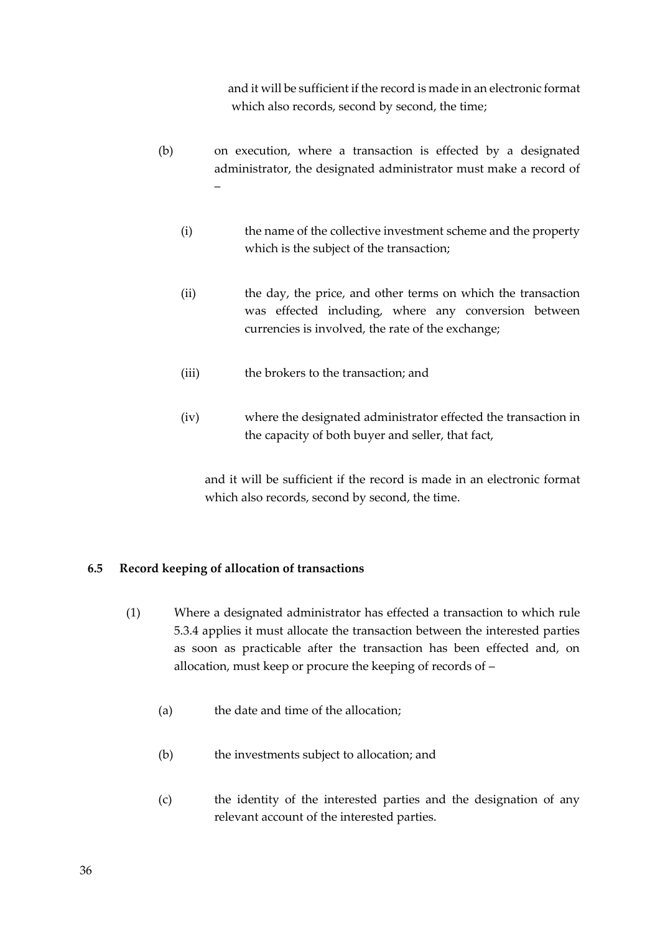and it will be sufficient if the record is made in an electronic format which also records, second by second, the time;

- (b) on execution, where a transaction is effected by a designated administrator, the designated administrator must make a record of –
	- (i) the name of the collective investment scheme and the property which is the subject of the transaction;
	- (ii) the day, the price, and other terms on which the transaction was effected including, where any conversion between currencies is involved, the rate of the exchange;
	- (iii) the brokers to the transaction; and
	- (iv) where the designated administrator effected the transaction in the capacity of both buyer and seller, that fact,

and it will be sufficient if the record is made in an electronic format which also records, second by second, the time.

#### <span id="page-35-0"></span>**6.5 Record keeping of allocation of transactions**

- (1) Where a designated administrator has effected a transaction to which rule 5.3.4 applies it must allocate the transaction between the interested parties as soon as practicable after the transaction has been effected and, on allocation, must keep or procure the keeping of records of –
	- (a) the date and time of the allocation;
	- (b) the investments subject to allocation; and
	- (c) the identity of the interested parties and the designation of any relevant account of the interested parties.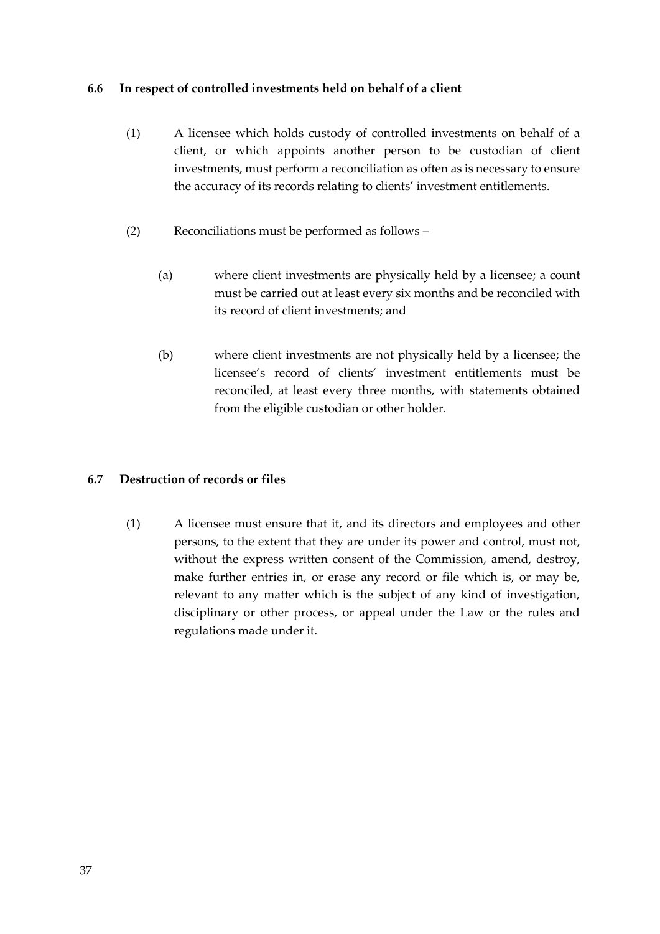## **6.6 In respect of controlled investments held on behalf of a client**

- (1) A licensee which holds custody of controlled investments on behalf of a client, or which appoints another person to be custodian of client investments, must perform a reconciliation as often as is necessary to ensure the accuracy of its records relating to clients' investment entitlements.
- (2) Reconciliations must be performed as follows
	- (a) where client investments are physically held by a licensee; a count must be carried out at least every six months and be reconciled with its record of client investments; and
	- (b) where client investments are not physically held by a licensee; the licensee's record of clients' investment entitlements must be reconciled, at least every three months, with statements obtained from the eligible custodian or other holder.

## **6.7 Destruction of records or files**

(1) A licensee must ensure that it, and its directors and employees and other persons, to the extent that they are under its power and control, must not, without the express written consent of the Commission, amend, destroy, make further entries in, or erase any record or file which is, or may be, relevant to any matter which is the subject of any kind of investigation, disciplinary or other process, or appeal under the Law or the rules and regulations made under it.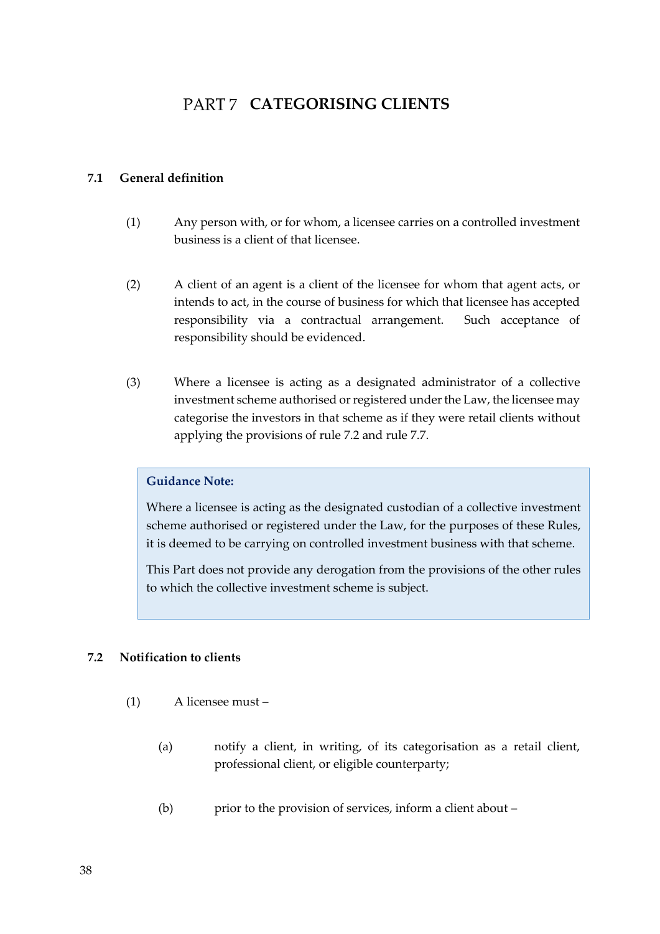# PART 7 CATEGORISING CLIENTS

## **7.1 General definition**

- (1) Any person with, or for whom, a licensee carries on a controlled investment business is a client of that licensee.
- (2) A client of an agent is a client of the licensee for whom that agent acts, or intends to act, in the course of business for which that licensee has accepted responsibility via a contractual arrangement. Such acceptance of responsibility should be evidenced.
- (3) Where a licensee is acting as a designated administrator of a collective investment scheme authorised or registered under the Law, the licensee may categorise the investors in that scheme as if they were retail clients without applying the provisions of rule 7.2 and rule 7.7.

## **Guidance Note:**

Where a licensee is acting as the designated custodian of a collective investment scheme authorised or registered under the Law, for the purposes of these Rules, it is deemed to be carrying on controlled investment business with that scheme.

This Part does not provide any derogation from the provisions of the other rules to which the collective investment scheme is subject.

## **7.2 Notification to clients**

- (1) A licensee must
	- (a) notify a client, in writing, of its categorisation as a retail client, professional client, or eligible counterparty;
	- (b) prior to the provision of services, inform a client about –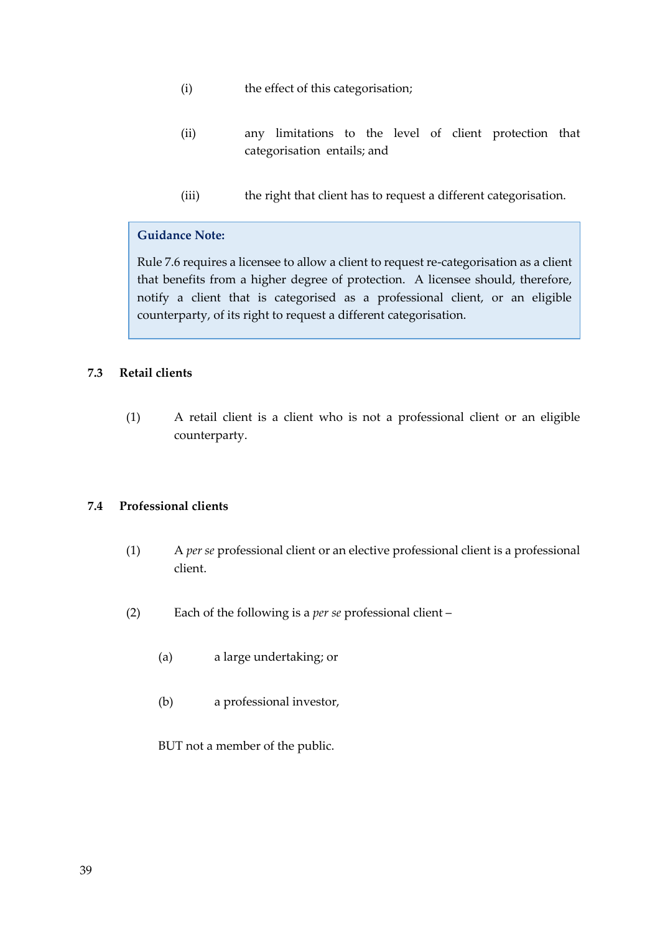- (i) the effect of this categorisation;
- (ii) any limitations to the level of client protection that categorisation entails; and
- (iii) the right that client has to request a different categorisation.

## **Guidance Note:**

Rule 7.6 requires a licensee to allow a client to request re-categorisation as a client that benefits from a higher degree of protection. A licensee should, therefore, notify a client that is categorised as a professional client, or an eligible counterparty, of its right to request a different categorisation.

## **7.3 Retail clients**

(1) A retail client is a client who is not a professional client or an eligible counterparty.

## **7.4 Professional clients**

- (1) A *per se* professional client or an elective professional client is a professional client.
- (2) Each of the following is a *per se* professional client
	- (a) a large undertaking; or
	- (b) a professional investor,

BUT not a member of the public.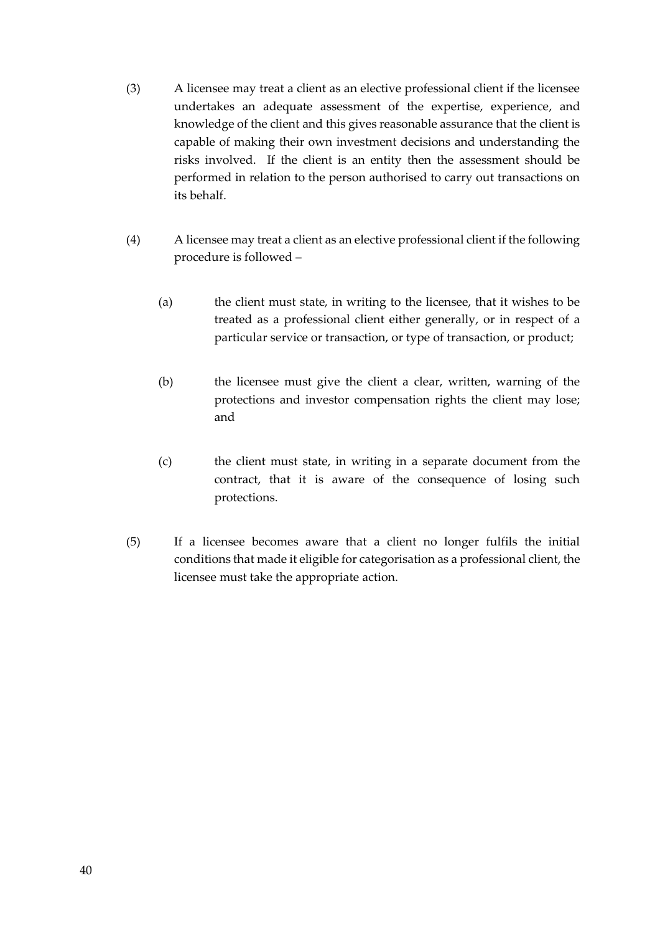- (3) A licensee may treat a client as an elective professional client if the licensee undertakes an adequate assessment of the expertise, experience, and knowledge of the client and this gives reasonable assurance that the client is capable of making their own investment decisions and understanding the risks involved. If the client is an entity then the assessment should be performed in relation to the person authorised to carry out transactions on its behalf.
- (4) A licensee may treat a client as an elective professional client if the following procedure is followed –
	- (a) the client must state, in writing to the licensee, that it wishes to be treated as a professional client either generally, or in respect of a particular service or transaction, or type of transaction, or product;
	- (b) the licensee must give the client a clear, written, warning of the protections and investor compensation rights the client may lose; and
	- (c) the client must state, in writing in a separate document from the contract, that it is aware of the consequence of losing such protections.
- (5) If a licensee becomes aware that a client no longer fulfils the initial conditions that made it eligible for categorisation as a professional client, the licensee must take the appropriate action.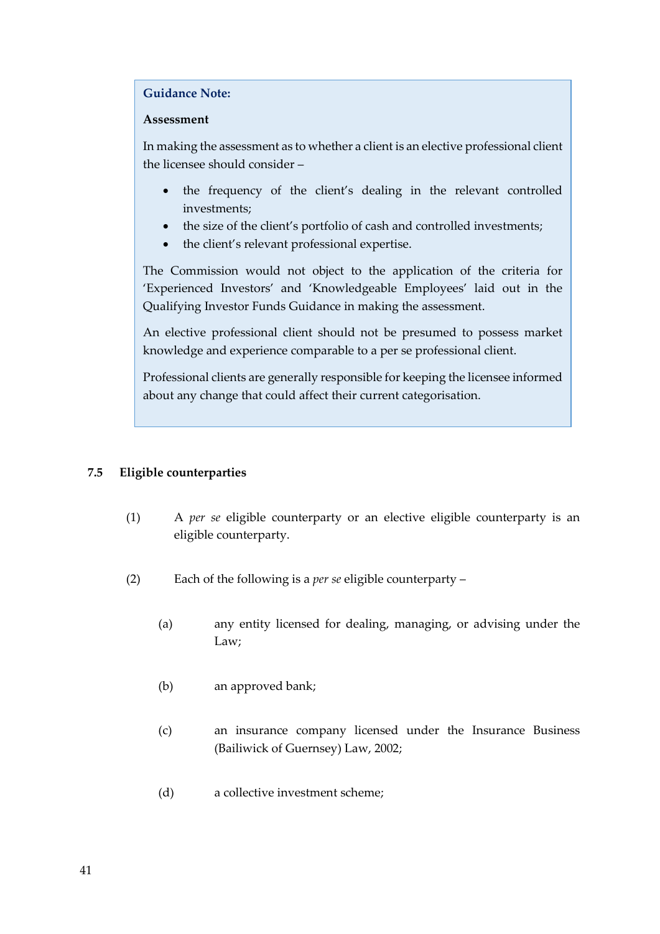#### **Guidance Note:**

## **Assessment**

In making the assessment as to whether a client is an elective professional client the licensee should consider –

- the frequency of the client's dealing in the relevant controlled investments;
- the size of the client's portfolio of cash and controlled investments;
- the client's relevant professional expertise.

The Commission would not object to the application of the criteria for 'Experienced Investors' and 'Knowledgeable Employees' laid out in the Qualifying Investor Funds Guidance in making the assessment.

An elective professional client should not be presumed to possess market knowledge and experience comparable to a per se professional client.

Professional clients are generally responsible for keeping the licensee informed about any change that could affect their current categorisation.

## **7.5 Eligible counterparties**

- (1) A *per se* eligible counterparty or an elective eligible counterparty is an eligible counterparty.
- (2) Each of the following is a *per se* eligible counterparty
	- (a) any entity licensed for dealing, managing, or advising under the Law;
	- (b) an approved bank;
	- (c) an insurance company licensed under the Insurance Business (Bailiwick of Guernsey) Law, 2002;
	- (d) a collective investment scheme;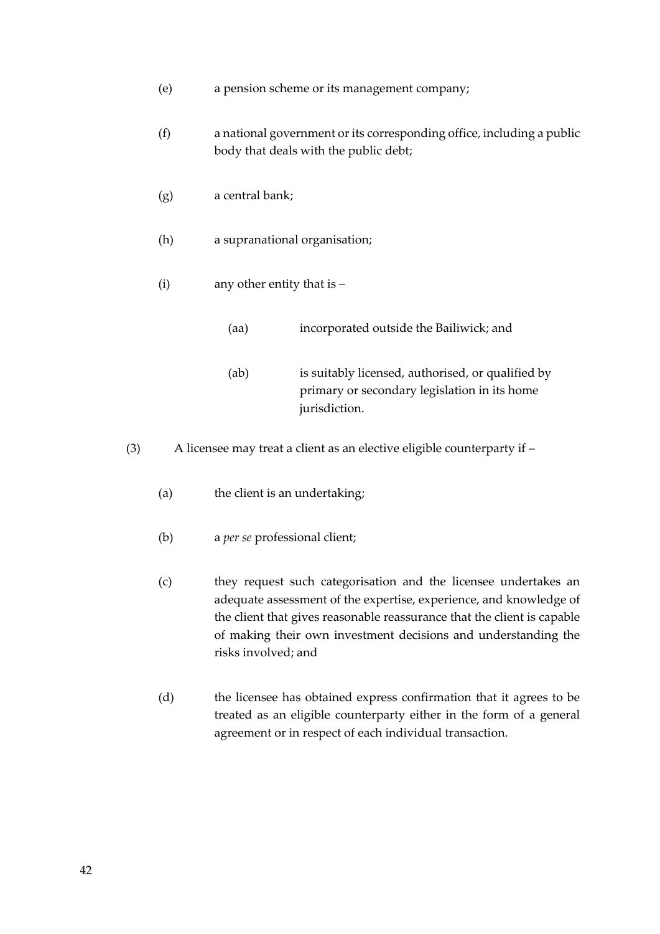- (e) a pension scheme or its management company;
- (f) a national government or its corresponding office, including a public body that deals with the public debt;
- (g) a central bank;
- (h) a supranational organisation;
- (i) any other entity that is
	- (aa) incorporated outside the Bailiwick; and
	- (ab) is suitably licensed, authorised, or qualified by primary or secondary legislation in its home jurisdiction.
- (3) A licensee may treat a client as an elective eligible counterparty if
	- (a) the client is an undertaking;
	- (b) a *per se* professional client;
	- (c) they request such categorisation and the licensee undertakes an adequate assessment of the expertise, experience, and knowledge of the client that gives reasonable reassurance that the client is capable of making their own investment decisions and understanding the risks involved; and
	- (d) the licensee has obtained express confirmation that it agrees to be treated as an eligible counterparty either in the form of a general agreement or in respect of each individual transaction.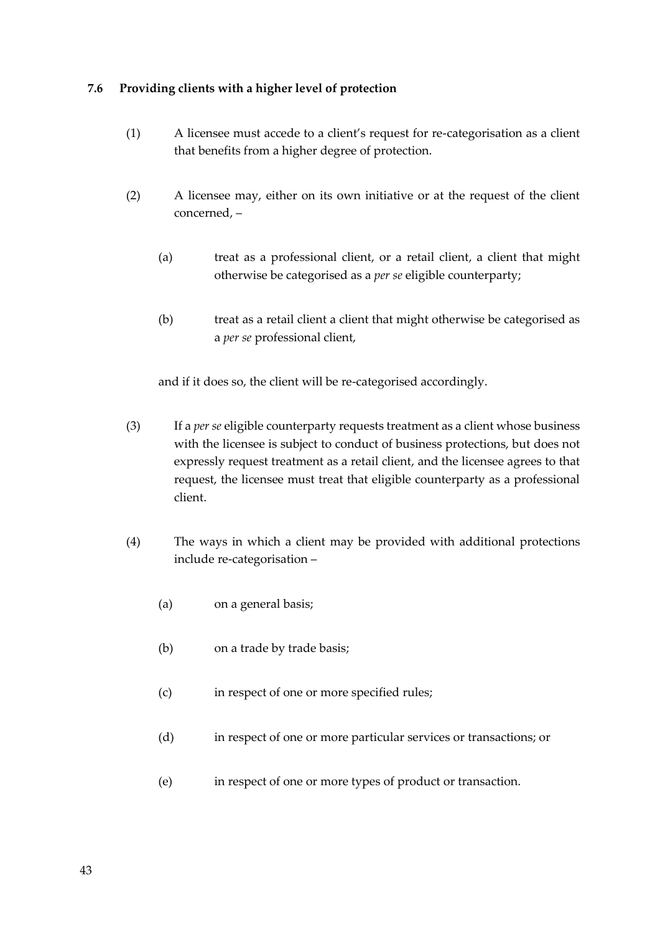## **7.6 Providing clients with a higher level of protection**

- (1) A licensee must accede to a client's request for re-categorisation as a client that benefits from a higher degree of protection.
- (2) A licensee may, either on its own initiative or at the request of the client concerned, –
	- (a) treat as a professional client, or a retail client, a client that might otherwise be categorised as a *per se* eligible counterparty;
	- (b) treat as a retail client a client that might otherwise be categorised as a *per se* professional client,

and if it does so, the client will be re-categorised accordingly.

- (3) If a *per se* eligible counterparty requests treatment as a client whose business with the licensee is subject to conduct of business protections, but does not expressly request treatment as a retail client, and the licensee agrees to that request, the licensee must treat that eligible counterparty as a professional client.
- (4) The ways in which a client may be provided with additional protections include re-categorisation –
	- (a) on a general basis;
	- (b) on a trade by trade basis;
	- (c) in respect of one or more specified rules;
	- (d) in respect of one or more particular services or transactions; or
	- (e) in respect of one or more types of product or transaction.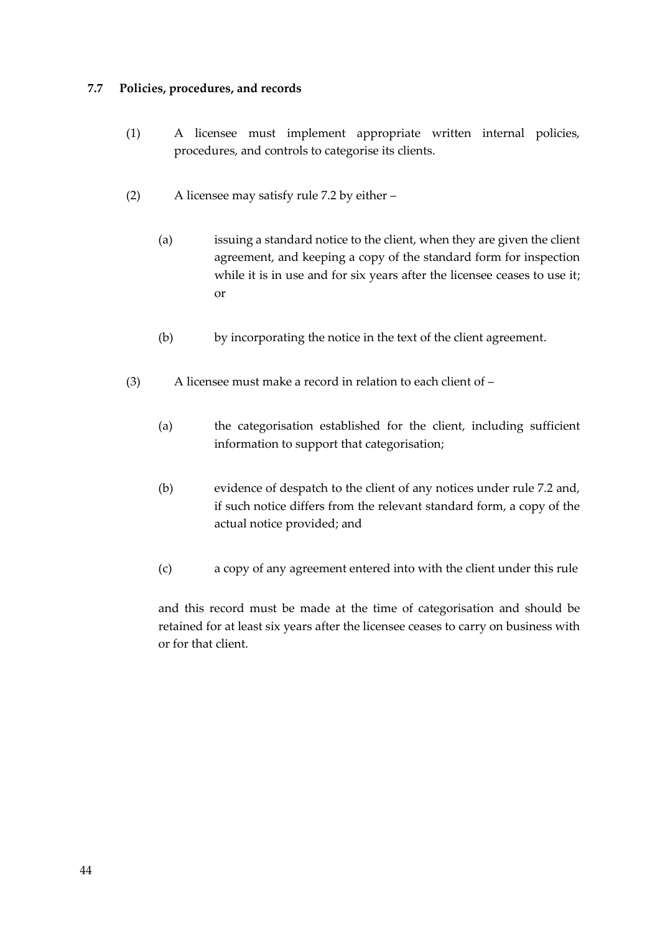## **7.7 Policies, procedures, and records**

- (1) A licensee must implement appropriate written internal policies, procedures, and controls to categorise its clients.
- (2) A licensee may satisfy rule 7.2 by either
	- (a) issuing a standard notice to the client, when they are given the client agreement, and keeping a copy of the standard form for inspection while it is in use and for six years after the licensee ceases to use it; or
	- (b) by incorporating the notice in the text of the client agreement.
- (3) A licensee must make a record in relation to each client of
	- (a) the categorisation established for the client, including sufficient information to support that categorisation;
	- (b) evidence of despatch to the client of any notices under rule 7.2 and, if such notice differs from the relevant standard form, a copy of the actual notice provided; and
	- (c) a copy of any agreement entered into with the client under this rule

and this record must be made at the time of categorisation and should be retained for at least six years after the licensee ceases to carry on business with or for that client.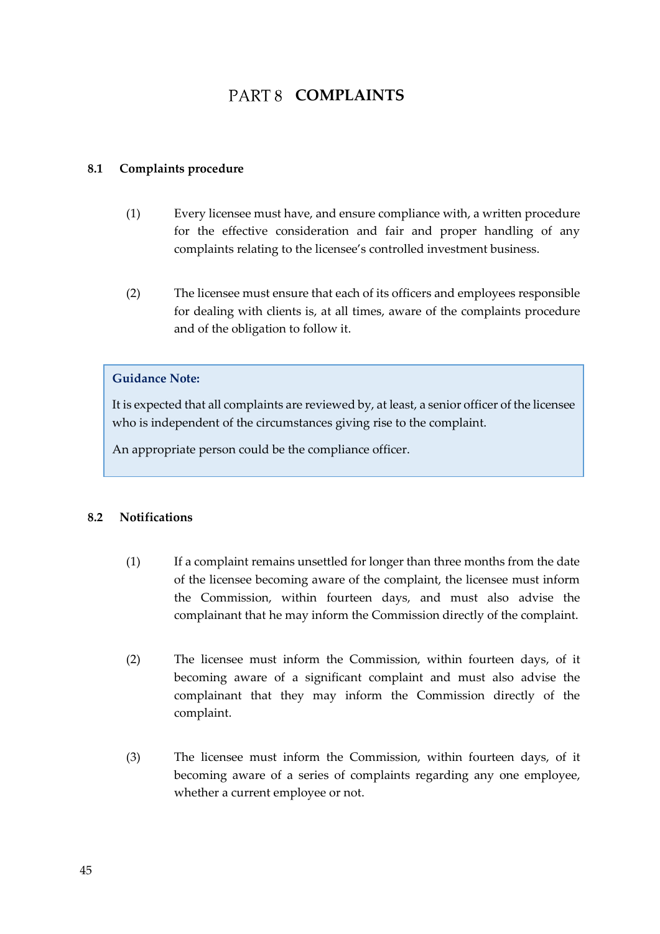## PART 8 **COMPLAINTS**

### **8.1 Complaints procedure**

- (1) Every licensee must have, and ensure compliance with, a written procedure for the effective consideration and fair and proper handling of any complaints relating to the licensee's controlled investment business.
- (2) The licensee must ensure that each of its officers and employees responsible for dealing with clients is, at all times, aware of the complaints procedure and of the obligation to follow it.

#### **Guidance Note:**

It is expected that all complaints are reviewed by, at least, a senior officer of the licensee who is independent of the circumstances giving rise to the complaint.

An appropriate person could be the compliance officer.

## **8.2 Notifications**

- (1) If a complaint remains unsettled for longer than three months from the date of the licensee becoming aware of the complaint, the licensee must inform the Commission, within fourteen days, and must also advise the complainant that he may inform the Commission directly of the complaint.
- (2) The licensee must inform the Commission, within fourteen days, of it becoming aware of a significant complaint and must also advise the complainant that they may inform the Commission directly of the complaint.
- (3) The licensee must inform the Commission, within fourteen days, of it becoming aware of a series of complaints regarding any one employee, whether a current employee or not.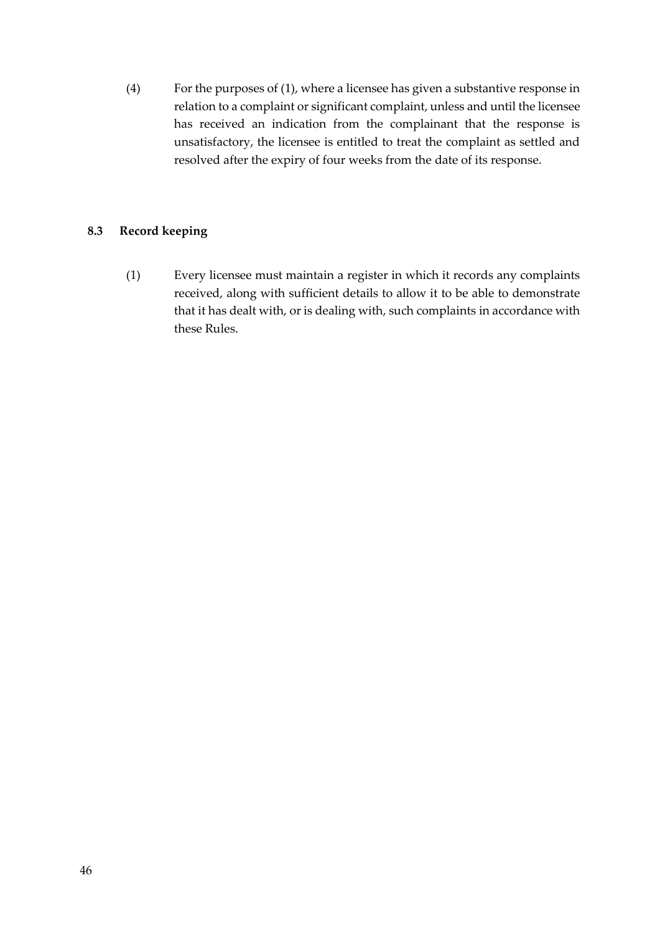(4) For the purposes of (1), where a licensee has given a substantive response in relation to a complaint or significant complaint, unless and until the licensee has received an indication from the complainant that the response is unsatisfactory, the licensee is entitled to treat the complaint as settled and resolved after the expiry of four weeks from the date of its response.

## **8.3 Record keeping**

(1) Every licensee must maintain a register in which it records any complaints received, along with sufficient details to allow it to be able to demonstrate that it has dealt with, or is dealing with, such complaints in accordance with these Rules.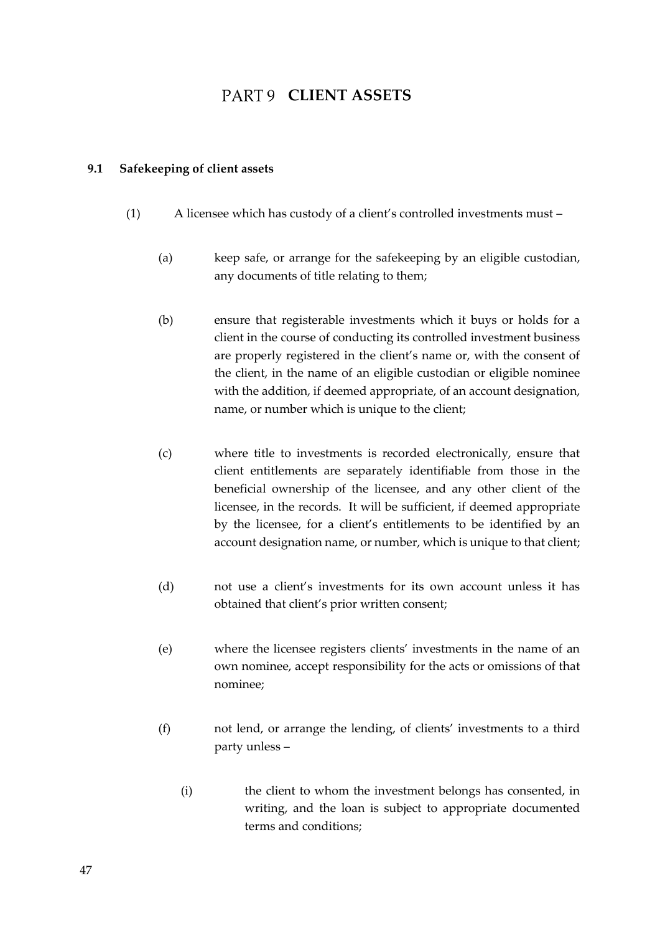## PART 9 CLIENT ASSETS

#### **9.1 Safekeeping of client assets**

- (1) A licensee which has custody of a client's controlled investments must
	- (a) keep safe, or arrange for the safekeeping by an eligible custodian, any documents of title relating to them;
	- (b) ensure that registerable investments which it buys or holds for a client in the course of conducting its controlled investment business are properly registered in the client's name or, with the consent of the client, in the name of an eligible custodian or eligible nominee with the addition, if deemed appropriate, of an account designation, name, or number which is unique to the client;
	- (c) where title to investments is recorded electronically, ensure that client entitlements are separately identifiable from those in the beneficial ownership of the licensee, and any other client of the licensee, in the records. It will be sufficient, if deemed appropriate by the licensee, for a client's entitlements to be identified by an account designation name, or number, which is unique to that client;
	- (d) not use a client's investments for its own account unless it has obtained that client's prior written consent;
	- (e) where the licensee registers clients' investments in the name of an own nominee, accept responsibility for the acts or omissions of that nominee;
	- (f) not lend, or arrange the lending, of clients' investments to a third party unless –
		- (i) the client to whom the investment belongs has consented, in writing, and the loan is subject to appropriate documented terms and conditions;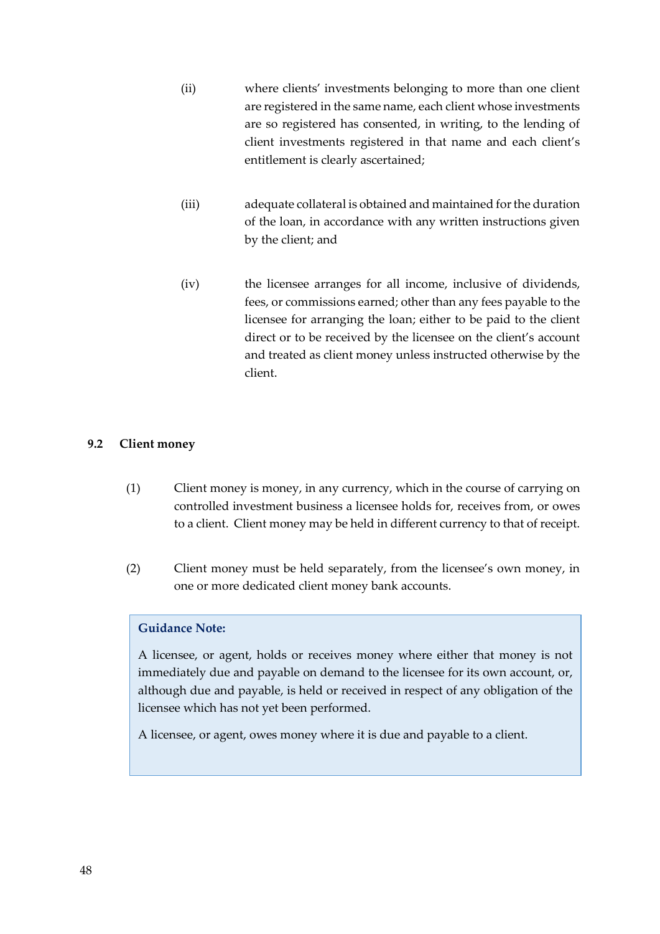- (ii) where clients' investments belonging to more than one client are registered in the same name, each client whose investments are so registered has consented, in writing, to the lending of client investments registered in that name and each client's entitlement is clearly ascertained;
- (iii) adequate collateral is obtained and maintained for the duration of the loan, in accordance with any written instructions given by the client; and
- (iv) the licensee arranges for all income, inclusive of dividends, fees, or commissions earned; other than any fees payable to the licensee for arranging the loan; either to be paid to the client direct or to be received by the licensee on the client's account and treated as client money unless instructed otherwise by the client.

## **9.2 Client money**

- (1) Client money is money, in any currency, which in the course of carrying on controlled investment business a licensee holds for, receives from, or owes to a client. Client money may be held in different currency to that of receipt.
- (2) Client money must be held separately, from the licensee's own money, in one or more dedicated client money bank accounts.

## **Guidance Note:**

A licensee, or agent, holds or receives money where either that money is not immediately due and payable on demand to the licensee for its own account, or, although due and payable, is held or received in respect of any obligation of the licensee which has not yet been performed.

A licensee, or agent, owes money where it is due and payable to a client.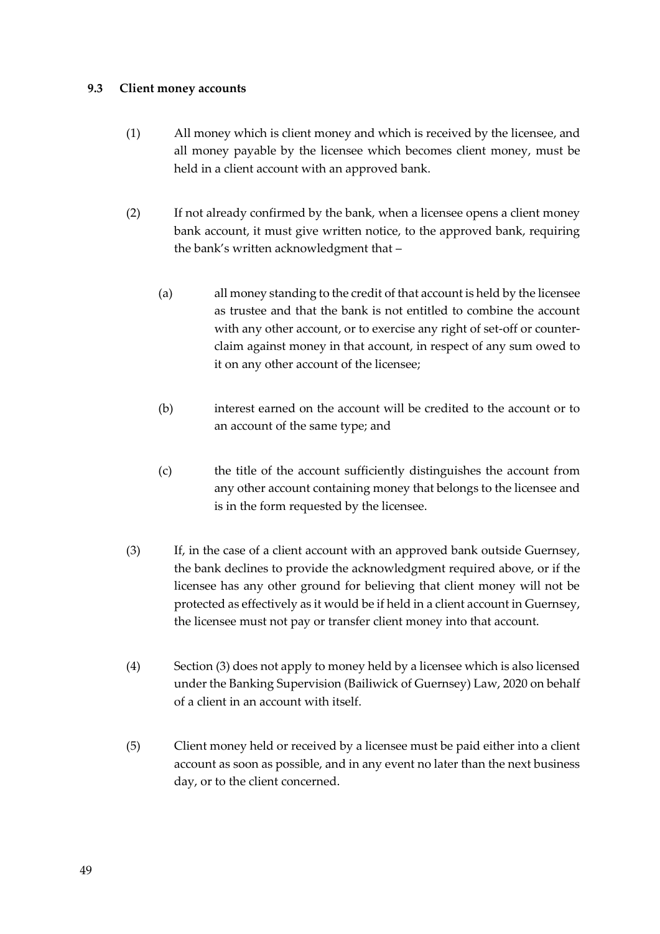## **9.3 Client money accounts**

- (1) All money which is client money and which is received by the licensee, and all money payable by the licensee which becomes client money, must be held in a client account with an approved bank.
- (2) If not already confirmed by the bank, when a licensee opens a client money bank account, it must give written notice, to the approved bank, requiring the bank's written acknowledgment that –
	- (a) all money standing to the credit of that account is held by the licensee as trustee and that the bank is not entitled to combine the account with any other account, or to exercise any right of set-off or counterclaim against money in that account, in respect of any sum owed to it on any other account of the licensee;
	- (b) interest earned on the account will be credited to the account or to an account of the same type; and
	- (c) the title of the account sufficiently distinguishes the account from any other account containing money that belongs to the licensee and is in the form requested by the licensee.
- (3) If, in the case of a client account with an approved bank outside Guernsey, the bank declines to provide the acknowledgment required above, or if the licensee has any other ground for believing that client money will not be protected as effectively as it would be if held in a client account in Guernsey, the licensee must not pay or transfer client money into that account.
- (4) Section (3) does not apply to money held by a licensee which is also licensed under the Banking Supervision (Bailiwick of Guernsey) Law, 2020 on behalf of a client in an account with itself.
- (5) Client money held or received by a licensee must be paid either into a client account as soon as possible, and in any event no later than the next business day, or to the client concerned.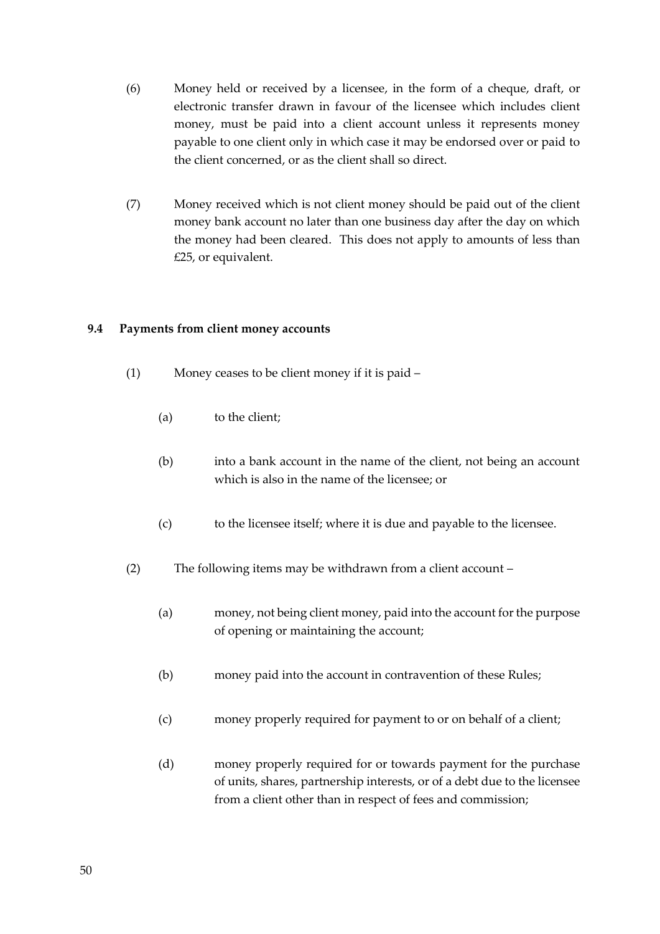- (6) Money held or received by a licensee, in the form of a cheque, draft, or electronic transfer drawn in favour of the licensee which includes client money, must be paid into a client account unless it represents money payable to one client only in which case it may be endorsed over or paid to the client concerned, or as the client shall so direct.
- (7) Money received which is not client money should be paid out of the client money bank account no later than one business day after the day on which the money had been cleared. This does not apply to amounts of less than £25, or equivalent.

## **9.4 Payments from client money accounts**

- (1) Money ceases to be client money if it is paid
	- (a) to the client;
	- (b) into a bank account in the name of the client, not being an account which is also in the name of the licensee; or
	- (c) to the licensee itself; where it is due and payable to the licensee.
- (2) The following items may be withdrawn from a client account
	- (a) money, not being client money, paid into the account for the purpose of opening or maintaining the account;
	- (b) money paid into the account in contravention of these Rules;
	- (c) money properly required for payment to or on behalf of a client;
	- (d) money properly required for or towards payment for the purchase of units, shares, partnership interests, or of a debt due to the licensee from a client other than in respect of fees and commission;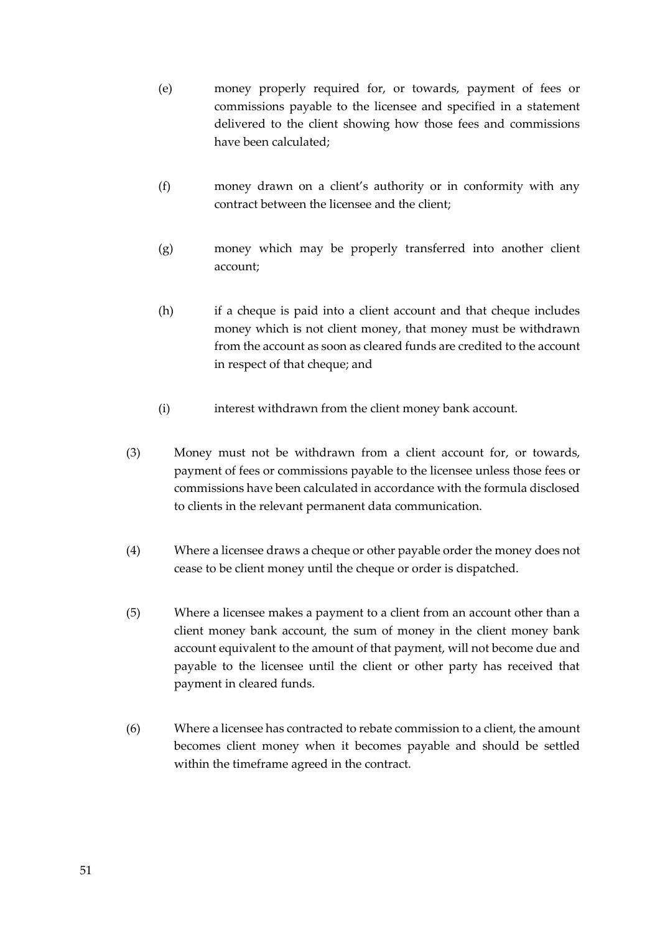- (e) money properly required for, or towards, payment of fees or commissions payable to the licensee and specified in a statement delivered to the client showing how those fees and commissions have been calculated;
- (f) money drawn on a client's authority or in conformity with any contract between the licensee and the client;
- (g) money which may be properly transferred into another client account;
- (h) if a cheque is paid into a client account and that cheque includes money which is not client money, that money must be withdrawn from the account as soon as cleared funds are credited to the account in respect of that cheque; and
- (i) interest withdrawn from the client money bank account.
- (3) Money must not be withdrawn from a client account for, or towards, payment of fees or commissions payable to the licensee unless those fees or commissions have been calculated in accordance with the formula disclosed to clients in the relevant permanent data communication.
- (4) Where a licensee draws a cheque or other payable order the money does not cease to be client money until the cheque or order is dispatched.
- (5) Where a licensee makes a payment to a client from an account other than a client money bank account, the sum of money in the client money bank account equivalent to the amount of that payment, will not become due and payable to the licensee until the client or other party has received that payment in cleared funds.
- (6) Where a licensee has contracted to rebate commission to a client, the amount becomes client money when it becomes payable and should be settled within the timeframe agreed in the contract.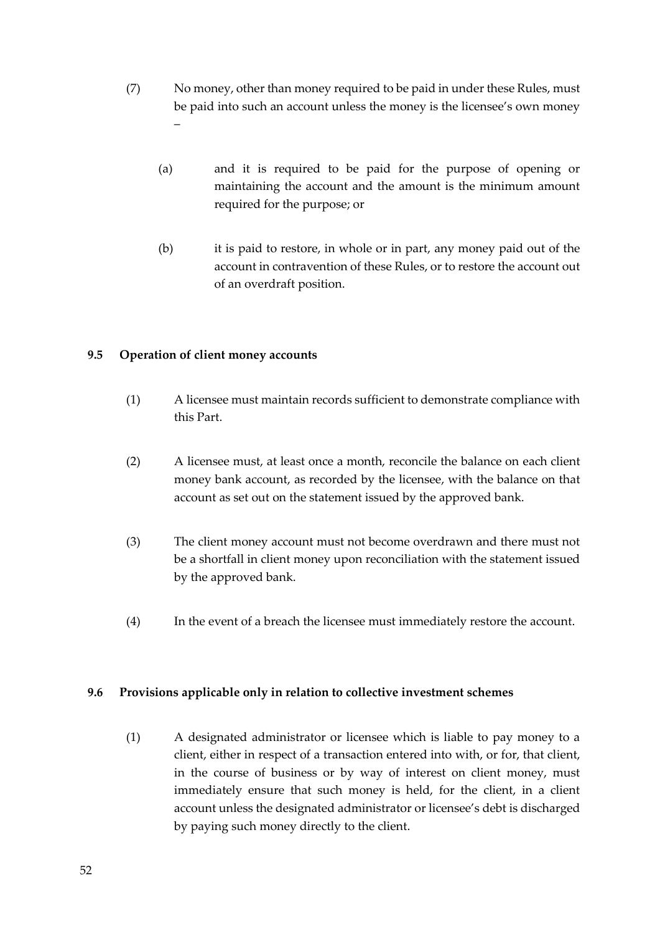- (7) No money, other than money required to be paid in under these Rules, must be paid into such an account unless the money is the licensee's own money –
	- (a) and it is required to be paid for the purpose of opening or maintaining the account and the amount is the minimum amount required for the purpose; or
	- (b) it is paid to restore, in whole or in part, any money paid out of the account in contravention of these Rules, or to restore the account out of an overdraft position.

## **9.5 Operation of client money accounts**

- (1) A licensee must maintain records sufficient to demonstrate compliance with this Part.
- (2) A licensee must, at least once a month, reconcile the balance on each client money bank account, as recorded by the licensee, with the balance on that account as set out on the statement issued by the approved bank.
- (3) The client money account must not become overdrawn and there must not be a shortfall in client money upon reconciliation with the statement issued by the approved bank.
- (4) In the event of a breach the licensee must immediately restore the account.

## **9.6 Provisions applicable only in relation to collective investment schemes**

(1) A designated administrator or licensee which is liable to pay money to a client, either in respect of a transaction entered into with, or for, that client, in the course of business or by way of interest on client money, must immediately ensure that such money is held, for the client, in a client account unless the designated administrator or licensee's debt is discharged by paying such money directly to the client.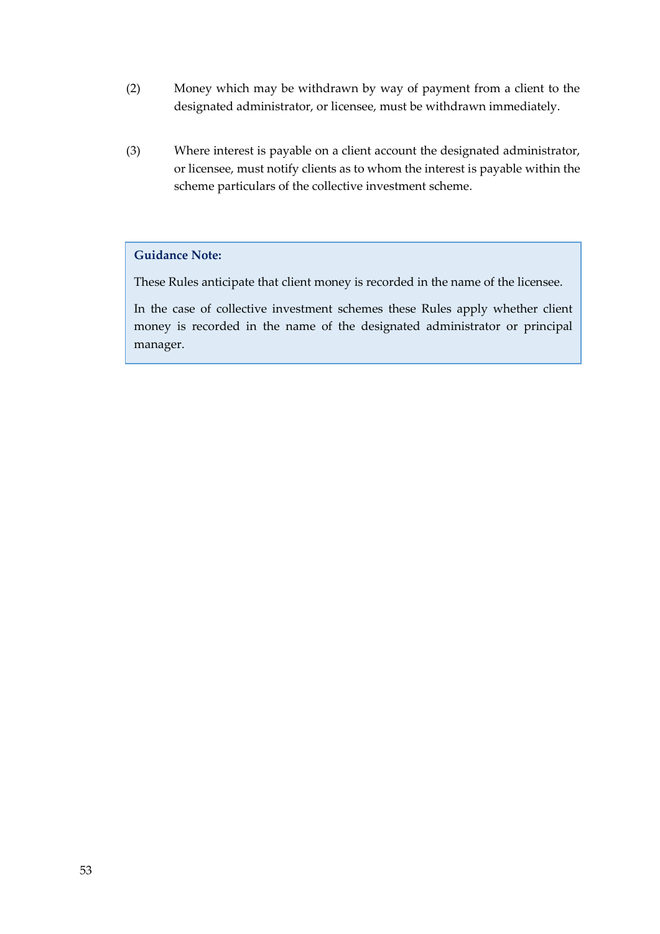- (2) Money which may be withdrawn by way of payment from a client to the designated administrator, or licensee, must be withdrawn immediately.
- (3) Where interest is payable on a client account the designated administrator, or licensee, must notify clients as to whom the interest is payable within the scheme particulars of the collective investment scheme.

## **Guidance Note:**

These Rules anticipate that client money is recorded in the name of the licensee.

In the case of collective investment schemes these Rules apply whether client money is recorded in the name of the designated administrator or principal manager.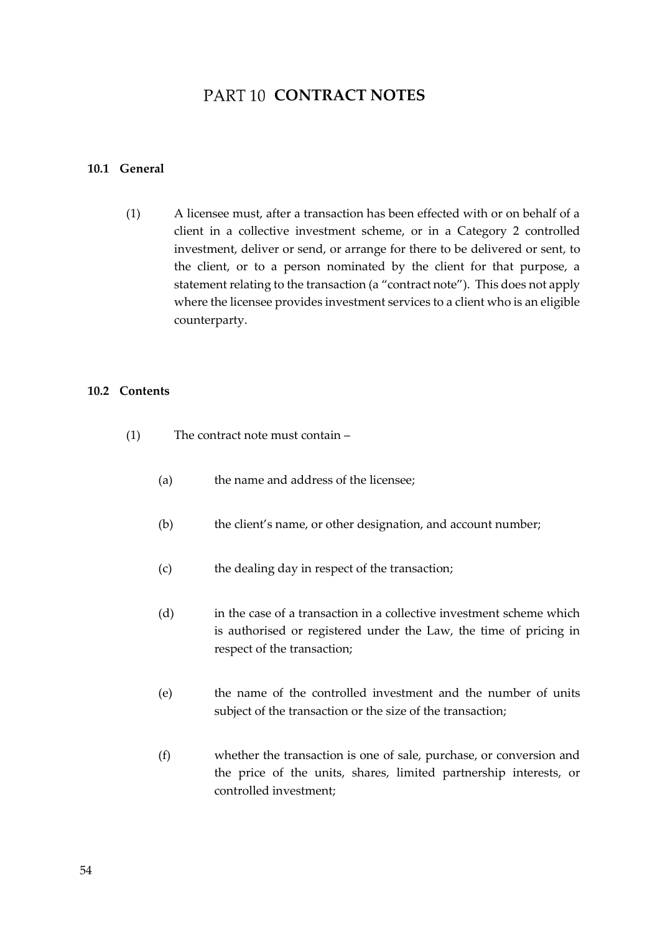## **PART 10 CONTRACT NOTES**

#### **10.1 General**

(1) A licensee must, after a transaction has been effected with or on behalf of a client in a collective investment scheme, or in a Category 2 controlled investment, deliver or send, or arrange for there to be delivered or sent, to the client, or to a person nominated by the client for that purpose, a statement relating to the transaction (a "contract note"). This does not apply where the licensee provides investment services to a client who is an eligible counterparty.

#### **10.2 Contents**

- (1) The contract note must contain
	- (a) the name and address of the licensee;
	- (b) the client's name, or other designation, and account number;
	- (c) the dealing day in respect of the transaction;
	- (d) in the case of a transaction in a collective investment scheme which is authorised or registered under the Law, the time of pricing in respect of the transaction;
	- (e) the name of the controlled investment and the number of units subject of the transaction or the size of the transaction;
	- (f) whether the transaction is one of sale, purchase, or conversion and the price of the units, shares, limited partnership interests, or controlled investment;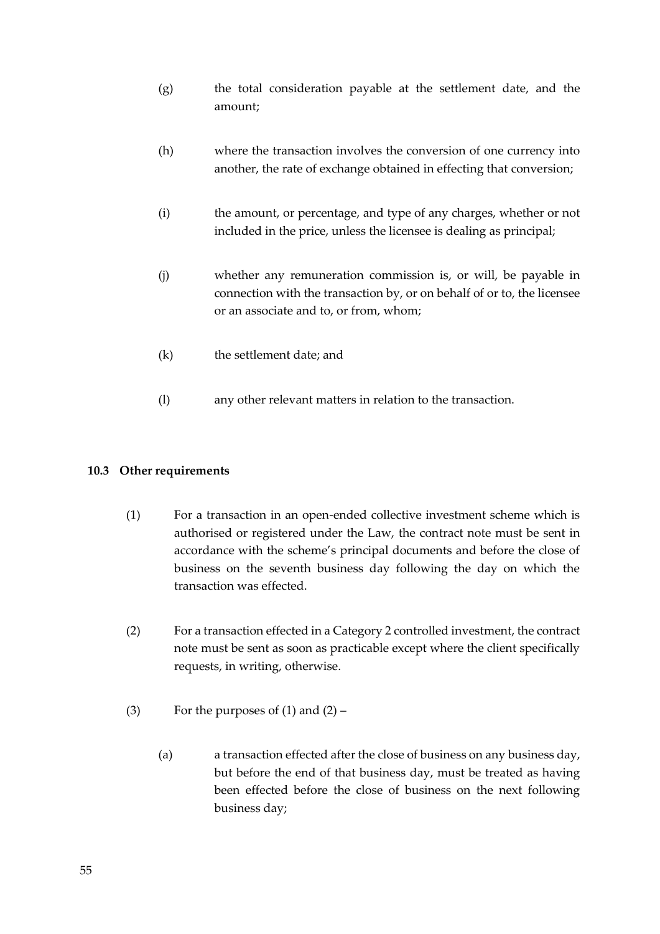- (g) the total consideration payable at the settlement date, and the amount;
- (h) where the transaction involves the conversion of one currency into another, the rate of exchange obtained in effecting that conversion;
- (i) the amount, or percentage, and type of any charges, whether or not included in the price, unless the licensee is dealing as principal;
- (j) whether any remuneration commission is, or will, be payable in connection with the transaction by, or on behalf of or to, the licensee or an associate and to, or from, whom;
- (k) the settlement date; and
- (l) any other relevant matters in relation to the transaction.

## **10.3 Other requirements**

- (1) For a transaction in an open-ended collective investment scheme which is authorised or registered under the Law, the contract note must be sent in accordance with the scheme's principal documents and before the close of business on the seventh business day following the day on which the transaction was effected.
- (2) For a transaction effected in a Category 2 controlled investment, the contract note must be sent as soon as practicable except where the client specifically requests, in writing, otherwise.
- (3) For the purposes of  $(1)$  and  $(2)$ 
	- (a) a transaction effected after the close of business on any business day, but before the end of that business day, must be treated as having been effected before the close of business on the next following business day;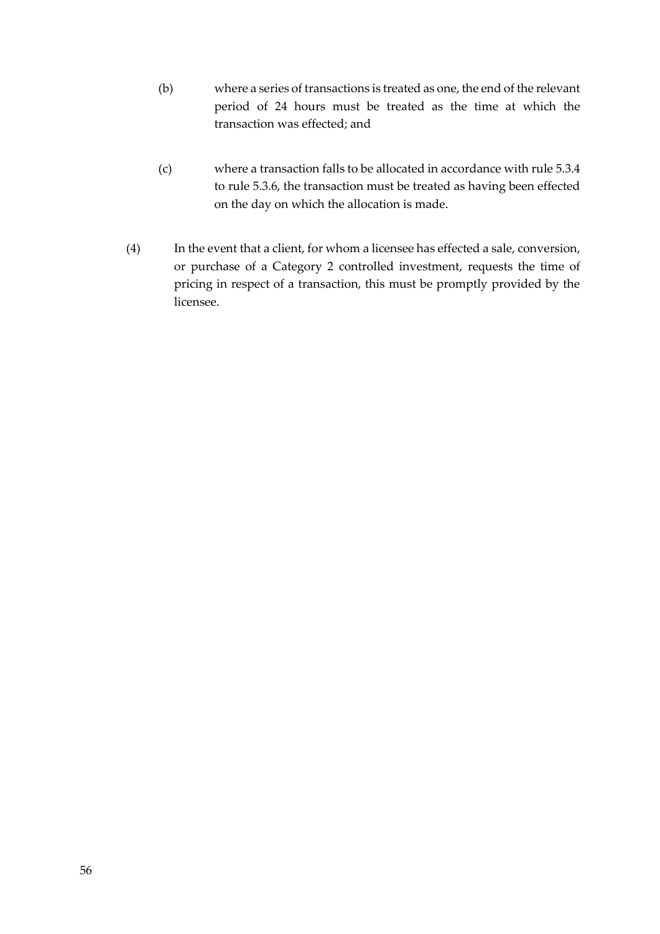- (b) where a series of transactions is treated as one, the end of the relevant period of 24 hours must be treated as the time at which the transaction was effected; and
- (c) where a transaction falls to be allocated in accordance with rule 5.3.4 to rule 5.3.6, the transaction must be treated as having been effected on the day on which the allocation is made.
- (4) In the event that a client, for whom a licensee has effected a sale, conversion, or purchase of a Category 2 controlled investment, requests the time of pricing in respect of a transaction, this must be promptly provided by the licensee.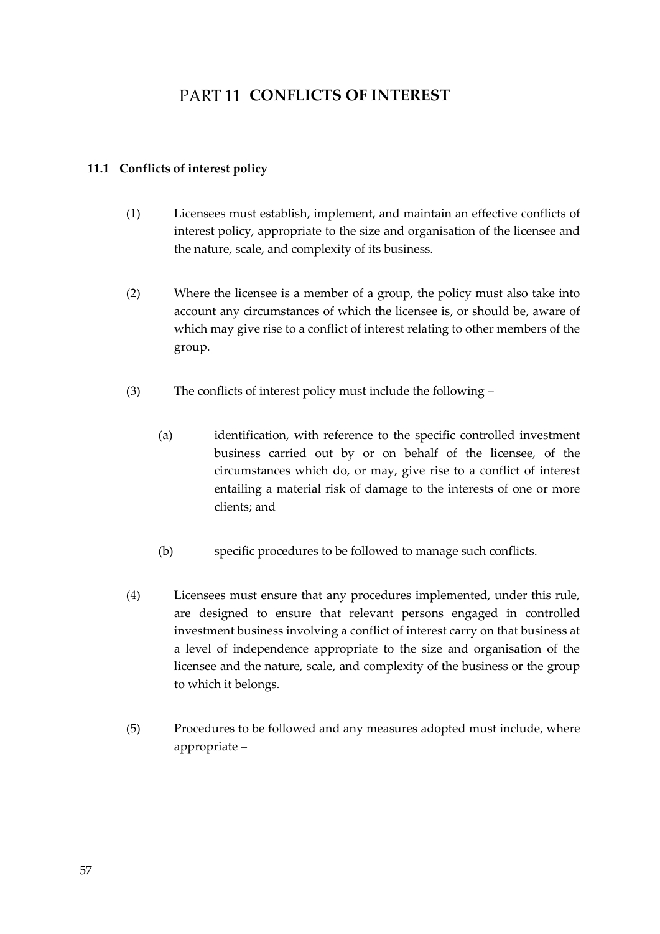## **PART 11 CONFLICTS OF INTEREST**

## **11.1 Conflicts of interest policy**

- (1) Licensees must establish, implement, and maintain an effective conflicts of interest policy, appropriate to the size and organisation of the licensee and the nature, scale, and complexity of its business.
- (2) Where the licensee is a member of a group, the policy must also take into account any circumstances of which the licensee is, or should be, aware of which may give rise to a conflict of interest relating to other members of the group.
- (3) The conflicts of interest policy must include the following
	- (a) identification, with reference to the specific controlled investment business carried out by or on behalf of the licensee, of the circumstances which do, or may, give rise to a conflict of interest entailing a material risk of damage to the interests of one or more clients; and
	- (b) specific procedures to be followed to manage such conflicts.
- (4) Licensees must ensure that any procedures implemented, under this rule, are designed to ensure that relevant persons engaged in controlled investment business involving a conflict of interest carry on that business at a level of independence appropriate to the size and organisation of the licensee and the nature, scale, and complexity of the business or the group to which it belongs.
- (5) Procedures to be followed and any measures adopted must include, where appropriate –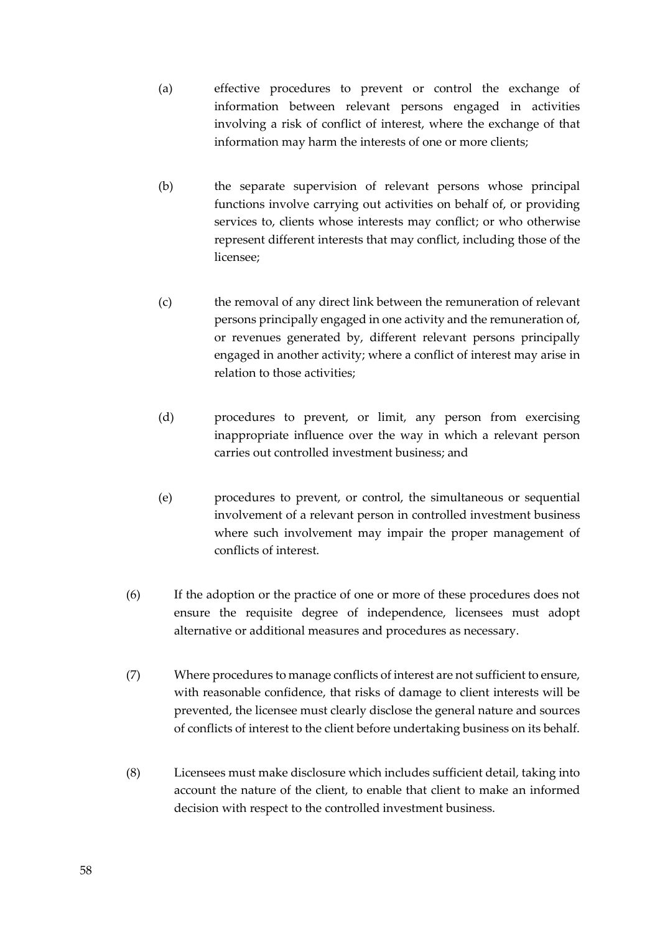- (a) effective procedures to prevent or control the exchange of information between relevant persons engaged in activities involving a risk of conflict of interest, where the exchange of that information may harm the interests of one or more clients;
- (b) the separate supervision of relevant persons whose principal functions involve carrying out activities on behalf of, or providing services to, clients whose interests may conflict; or who otherwise represent different interests that may conflict, including those of the licensee;
- (c) the removal of any direct link between the remuneration of relevant persons principally engaged in one activity and the remuneration of, or revenues generated by, different relevant persons principally engaged in another activity; where a conflict of interest may arise in relation to those activities;
- (d) procedures to prevent, or limit, any person from exercising inappropriate influence over the way in which a relevant person carries out controlled investment business; and
- (e) procedures to prevent, or control, the simultaneous or sequential involvement of a relevant person in controlled investment business where such involvement may impair the proper management of conflicts of interest.
- (6) If the adoption or the practice of one or more of these procedures does not ensure the requisite degree of independence, licensees must adopt alternative or additional measures and procedures as necessary.
- (7) Where procedures to manage conflicts of interest are not sufficient to ensure, with reasonable confidence, that risks of damage to client interests will be prevented, the licensee must clearly disclose the general nature and sources of conflicts of interest to the client before undertaking business on its behalf.
- (8) Licensees must make disclosure which includes sufficient detail, taking into account the nature of the client, to enable that client to make an informed decision with respect to the controlled investment business.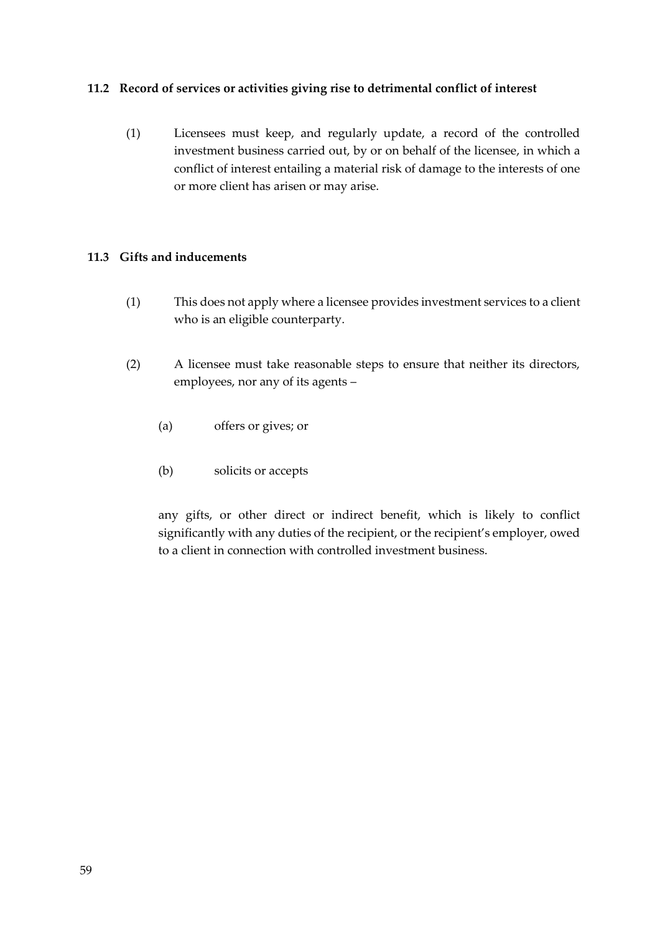## **11.2 Record of services or activities giving rise to detrimental conflict of interest**

(1) Licensees must keep, and regularly update, a record of the controlled investment business carried out, by or on behalf of the licensee, in which a conflict of interest entailing a material risk of damage to the interests of one or more client has arisen or may arise.

## **11.3 Gifts and inducements**

- (1) This does not apply where a licensee provides investment services to a client who is an eligible counterparty.
- (2) A licensee must take reasonable steps to ensure that neither its directors, employees, nor any of its agents –
	- (a) offers or gives; or
	- (b) solicits or accepts

any gifts, or other direct or indirect benefit, which is likely to conflict significantly with any duties of the recipient, or the recipient's employer, owed to a client in connection with controlled investment business.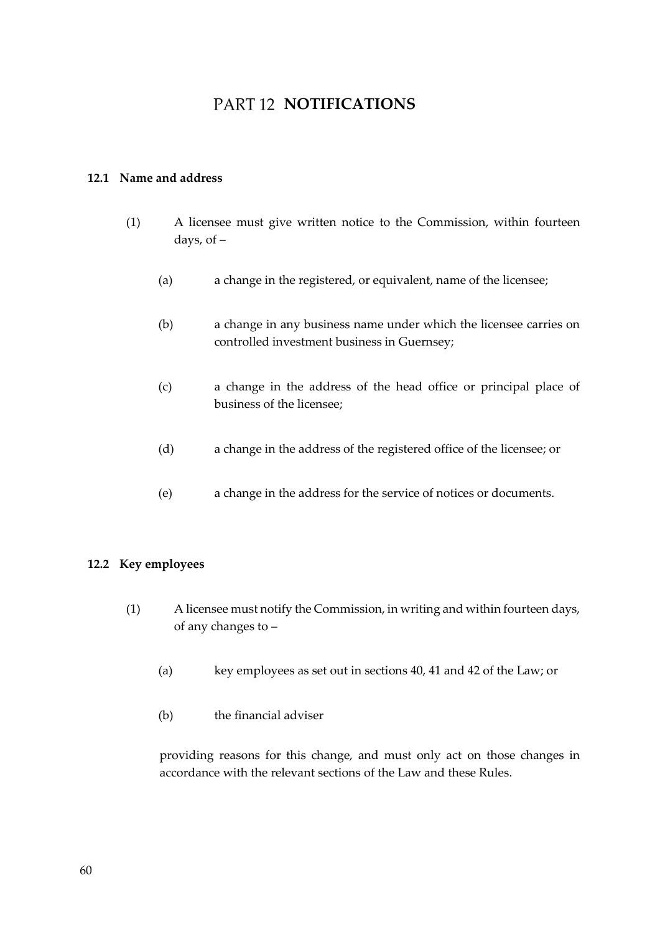## **PART 12 NOTIFICATIONS**

## **12.1 Name and address**

- (1) A licensee must give written notice to the Commission, within fourteen days, of –
	- (a) a change in the registered, or equivalent, name of the licensee;
	- (b) a change in any business name under which the licensee carries on controlled investment business in Guernsey;
	- (c) a change in the address of the head office or principal place of business of the licensee;
	- (d) a change in the address of the registered office of the licensee; or
	- (e) a change in the address for the service of notices or documents.

## **12.2 Key employees**

- (1) A licensee must notify the Commission, in writing and within fourteen days, of any changes to –
	- (a) key employees as set out in sections 40, 41 and 42 of the Law; or
	- (b) the financial adviser

providing reasons for this change, and must only act on those changes in accordance with the relevant sections of the Law and these Rules.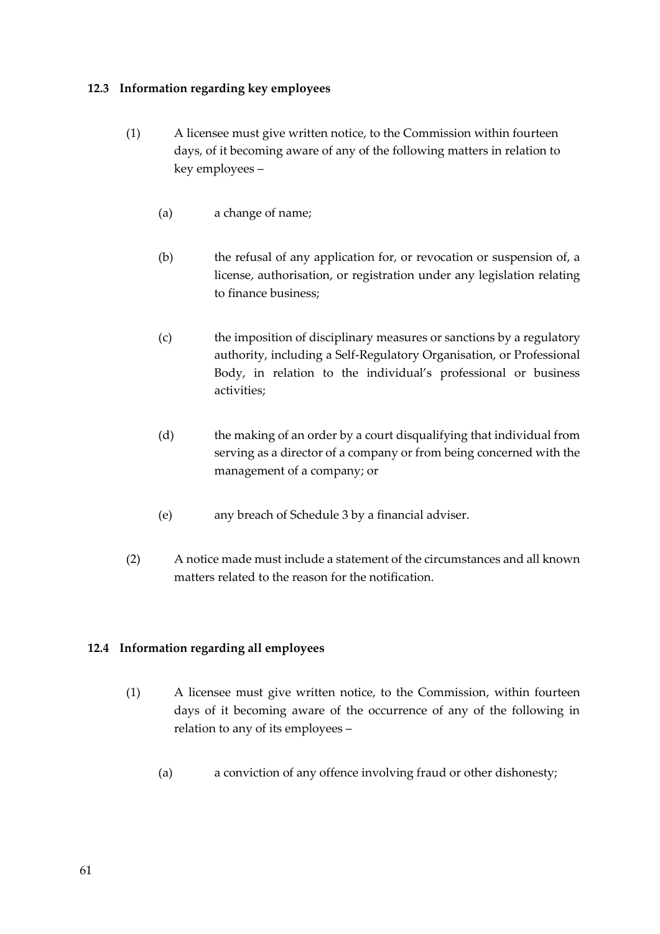## **12.3 Information regarding key employees**

- (1) A licensee must give written notice, to the Commission within fourteen days, of it becoming aware of any of the following matters in relation to key employees –
	- (a) a change of name;
	- (b) the refusal of any application for, or revocation or suspension of, a license, authorisation, or registration under any legislation relating to finance business;
	- (c) the imposition of disciplinary measures or sanctions by a regulatory authority, including a Self-Regulatory Organisation, or Professional Body, in relation to the individual's professional or business activities;
	- (d) the making of an order by a court disqualifying that individual from serving as a director of a company or from being concerned with the management of a company; or
	- (e) any breach of Schedule 3 by a financial adviser.
- (2) A notice made must include a statement of the circumstances and all known matters related to the reason for the notification.

## **12.4 Information regarding all employees**

- (1) A licensee must give written notice, to the Commission, within fourteen days of it becoming aware of the occurrence of any of the following in relation to any of its employees –
	- (a) a conviction of any offence involving fraud or other dishonesty;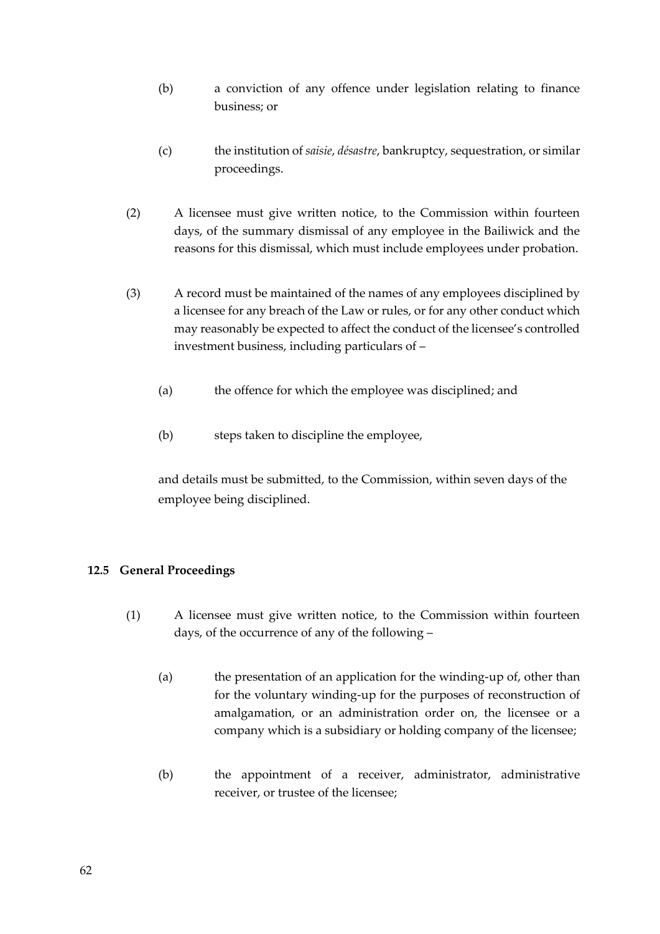- (b) a conviction of any offence under legislation relating to finance business; or
- (c) the institution of *saisie*, *désastre*, bankruptcy, sequestration, or similar proceedings.
- (2) A licensee must give written notice, to the Commission within fourteen days, of the summary dismissal of any employee in the Bailiwick and the reasons for this dismissal, which must include employees under probation.
- (3) A record must be maintained of the names of any employees disciplined by a licensee for any breach of the Law or rules, or for any other conduct which may reasonably be expected to affect the conduct of the licensee's controlled investment business, including particulars of –
	- (a) the offence for which the employee was disciplined; and
	- (b) steps taken to discipline the employee,

and details must be submitted, to the Commission, within seven days of the employee being disciplined.

## **12.5 General Proceedings**

- (1) A licensee must give written notice, to the Commission within fourteen days, of the occurrence of any of the following –
	- (a) the presentation of an application for the winding-up of, other than for the voluntary winding-up for the purposes of reconstruction of amalgamation, or an administration order on, the licensee or a company which is a subsidiary or holding company of the licensee;
	- (b) the appointment of a receiver, administrator, administrative receiver, or trustee of the licensee;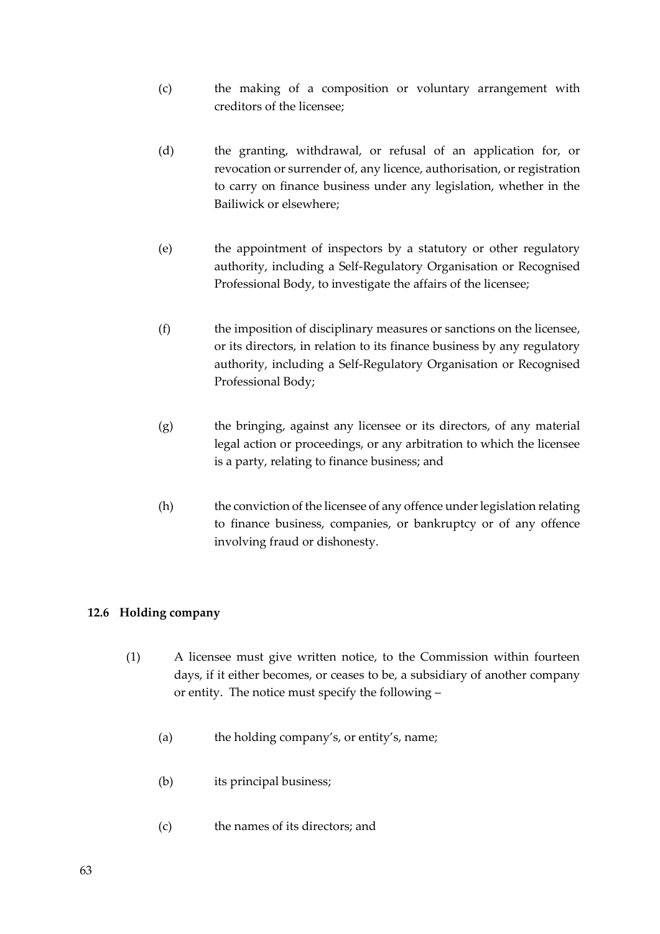- (c) the making of a composition or voluntary arrangement with creditors of the licensee;
- (d) the granting, withdrawal, or refusal of an application for, or revocation or surrender of, any licence, authorisation, or registration to carry on finance business under any legislation, whether in the Bailiwick or elsewhere;
- (e) the appointment of inspectors by a statutory or other regulatory authority, including a Self-Regulatory Organisation or Recognised Professional Body, to investigate the affairs of the licensee;
- (f) the imposition of disciplinary measures or sanctions on the licensee, or its directors, in relation to its finance business by any regulatory authority, including a Self-Regulatory Organisation or Recognised Professional Body;
- (g) the bringing, against any licensee or its directors, of any material legal action or proceedings, or any arbitration to which the licensee is a party, relating to finance business; and
- (h) the conviction of the licensee of any offence under legislation relating to finance business, companies, or bankruptcy or of any offence involving fraud or dishonesty.

## **12.6 Holding company**

- (1) A licensee must give written notice, to the Commission within fourteen days, if it either becomes, or ceases to be, a subsidiary of another company or entity. The notice must specify the following –
	- (a) the holding company's, or entity's, name;
	- (b) its principal business;
	- (c) the names of its directors; and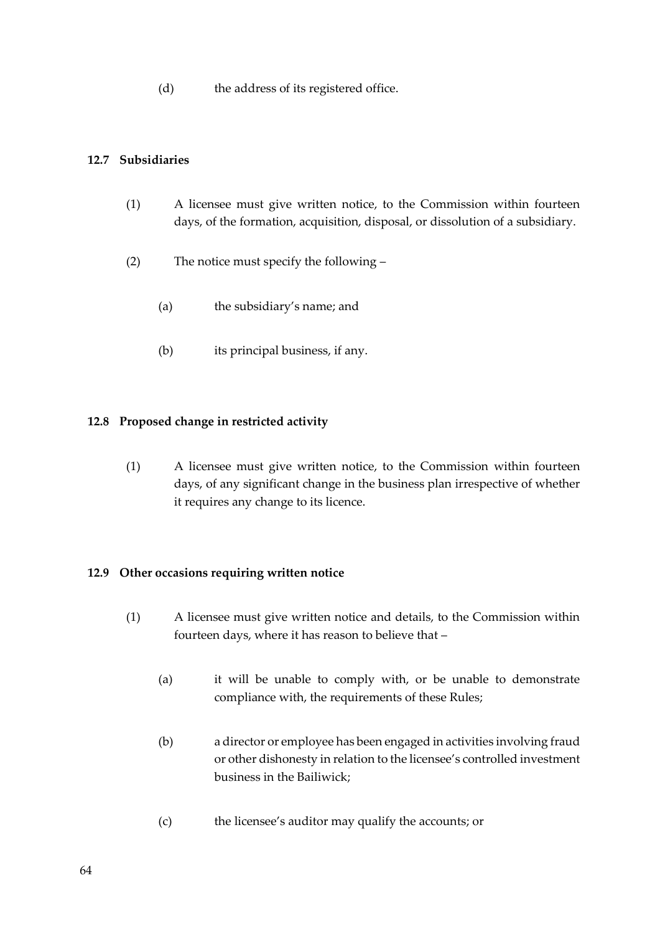(d) the address of its registered office.

## **12.7 Subsidiaries**

- (1) A licensee must give written notice, to the Commission within fourteen days, of the formation, acquisition, disposal, or dissolution of a subsidiary.
- (2) The notice must specify the following
	- (a) the subsidiary's name; and
	- (b) its principal business, if any.

## **12.8 Proposed change in restricted activity**

(1) A licensee must give written notice, to the Commission within fourteen days, of any significant change in the business plan irrespective of whether it requires any change to its licence.

## **12.9 Other occasions requiring written notice**

- (1) A licensee must give written notice and details, to the Commission within fourteen days, where it has reason to believe that –
	- (a) it will be unable to comply with, or be unable to demonstrate compliance with, the requirements of these Rules;
	- (b) a director or employee has been engaged in activities involving fraud or other dishonesty in relation to the licensee's controlled investment business in the Bailiwick;
	- (c) the licensee's auditor may qualify the accounts; or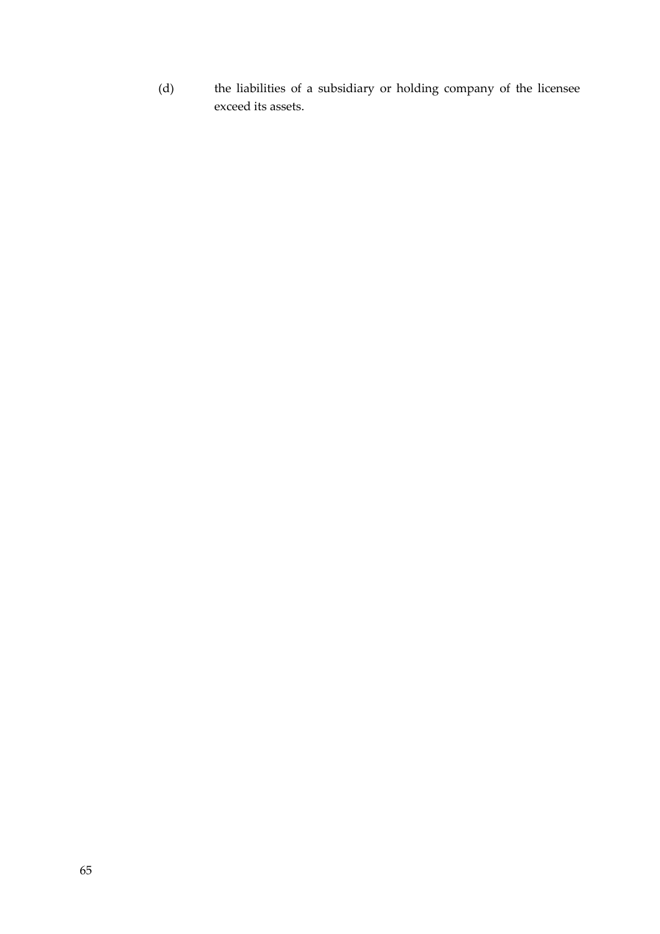(d) the liabilities of a subsidiary or holding company of the licensee exceed its assets.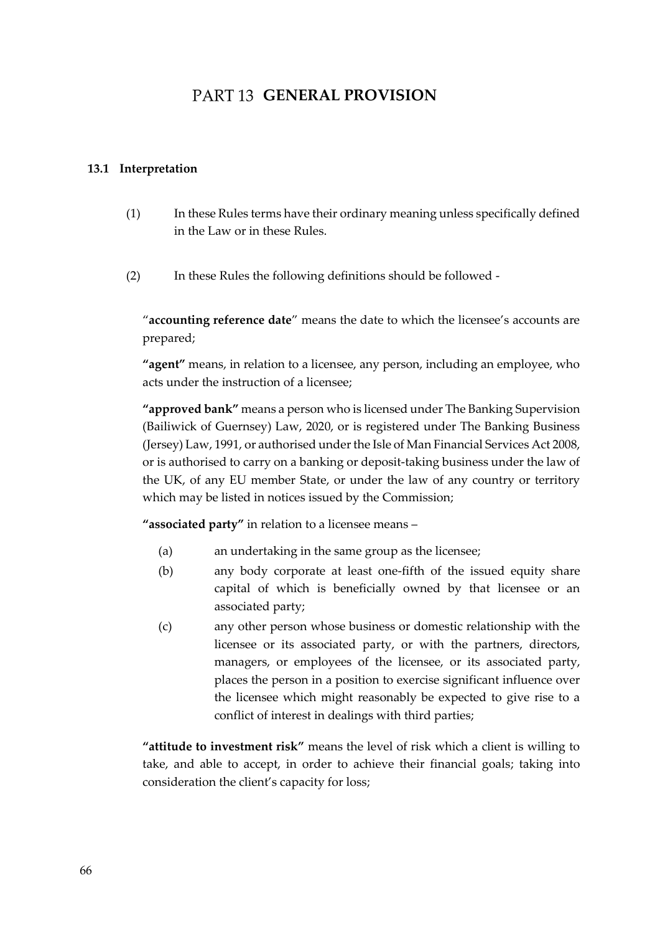## **PART 13 GENERAL PROVISION**

## **13.1 Interpretation**

- (1) In these Rules terms have their ordinary meaning unless specifically defined in the Law or in these Rules.
- (2) In these Rules the following definitions should be followed -

"**accounting reference date**" means the date to which the licensee's accounts are prepared;

**"agent"** means, in relation to a licensee, any person, including an employee, who acts under the instruction of a licensee;

**"approved bank"** means a person who is licensed under The Banking Supervision (Bailiwick of Guernsey) Law, 2020, or is registered under The Banking Business (Jersey) Law, 1991, or authorised under the Isle of Man Financial Services Act 2008, or is authorised to carry on a banking or deposit-taking business under the law of the UK, of any EU member State, or under the law of any country or territory which may be listed in notices issued by the Commission;

**"associated party"** in relation to a licensee means –

- (a) an undertaking in the same group as the licensee;
- (b) any body corporate at least one-fifth of the issued equity share capital of which is beneficially owned by that licensee or an associated party;
- (c) any other person whose business or domestic relationship with the licensee or its associated party, or with the partners, directors, managers, or employees of the licensee, or its associated party, places the person in a position to exercise significant influence over the licensee which might reasonably be expected to give rise to a conflict of interest in dealings with third parties;

**"attitude to investment risk"** means the level of risk which a client is willing to take, and able to accept, in order to achieve their financial goals; taking into consideration the client's capacity for loss;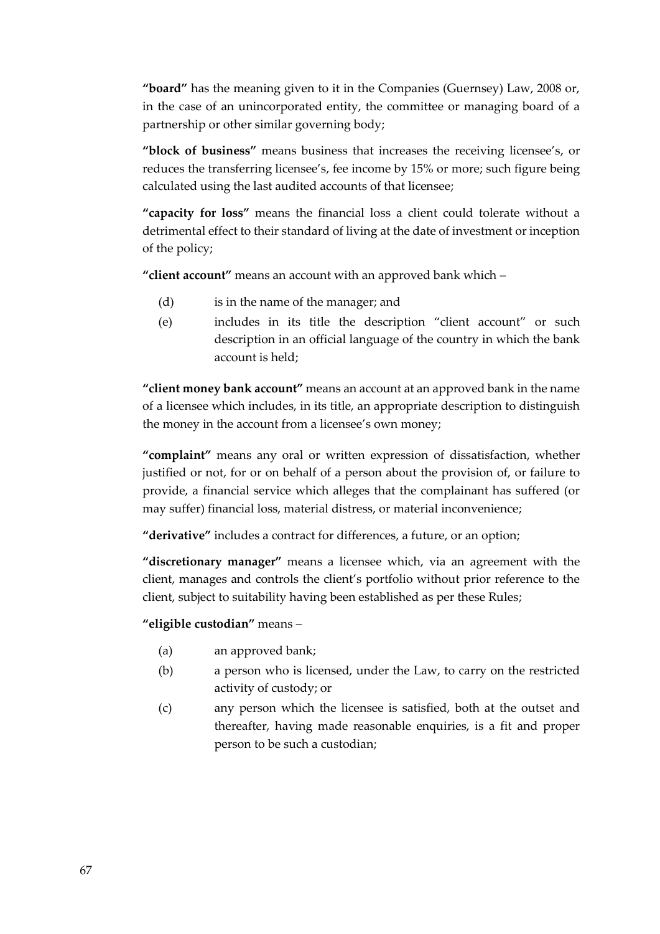**"board"** has the meaning given to it in the Companies (Guernsey) Law, 2008 or, in the case of an unincorporated entity, the committee or managing board of a partnership or other similar governing body;

**"block of business"** means business that increases the receiving licensee's, or reduces the transferring licensee's, fee income by 15% or more; such figure being calculated using the last audited accounts of that licensee;

**"capacity for loss"** means the financial loss a client could tolerate without a detrimental effect to their standard of living at the date of investment or inception of the policy;

**"client account"** means an account with an approved bank which –

- (d) is in the name of the manager; and
- (e) includes in its title the description "client account" or such description in an official language of the country in which the bank account is held;

**"client money bank account"** means an account at an approved bank in the name of a licensee which includes, in its title, an appropriate description to distinguish the money in the account from a licensee's own money;

**"complaint"** means any oral or written expression of dissatisfaction, whether justified or not, for or on behalf of a person about the provision of, or failure to provide, a financial service which alleges that the complainant has suffered (or may suffer) financial loss, material distress, or material inconvenience;

**"derivative"** includes a contract for differences, a future, or an option;

**"discretionary manager"** means a licensee which, via an agreement with the client, manages and controls the client's portfolio without prior reference to the client, subject to suitability having been established as per these Rules;

**"eligible custodian"** means –

- (a) an approved bank;
- (b) a person who is licensed, under the Law, to carry on the restricted activity of custody; or
- (c) any person which the licensee is satisfied, both at the outset and thereafter, having made reasonable enquiries, is a fit and proper person to be such a custodian;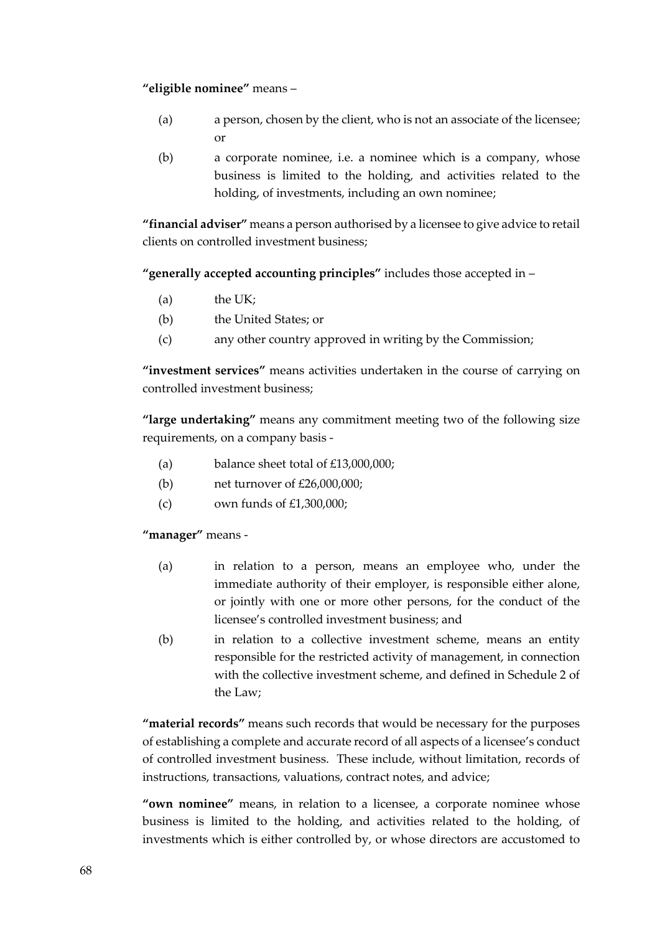## **"eligible nominee"** means –

- (a) a person, chosen by the client, who is not an associate of the licensee; or
- (b) a corporate nominee, i.e. a nominee which is a company, whose business is limited to the holding, and activities related to the holding, of investments, including an own nominee;

**"financial adviser"** means a person authorised by a licensee to give advice to retail clients on controlled investment business;

**"generally accepted accounting principles"** includes those accepted in –

- (a) the UK;
- (b) the United States; or
- (c) any other country approved in writing by the Commission;

**"investment services"** means activities undertaken in the course of carrying on controlled investment business;

**"large undertaking"** means any commitment meeting two of the following size requirements, on a company basis -

- (a) balance sheet total of £13,000,000;
- (b) net turnover of £26,000,000;
- (c) own funds of  $£1,300,000;$

**"manager"** means -

- (a) in relation to a person, means an employee who, under the immediate authority of their employer, is responsible either alone, or jointly with one or more other persons, for the conduct of the licensee's controlled investment business; and
- (b) in relation to a collective investment scheme, means an entity responsible for the restricted activity of management, in connection with the collective investment scheme, and defined in Schedule 2 of the Law;

**"material records"** means such records that would be necessary for the purposes of establishing a complete and accurate record of all aspects of a licensee's conduct of controlled investment business. These include, without limitation, records of instructions, transactions, valuations, contract notes, and advice;

**"own nominee"** means, in relation to a licensee, a corporate nominee whose business is limited to the holding, and activities related to the holding, of investments which is either controlled by, or whose directors are accustomed to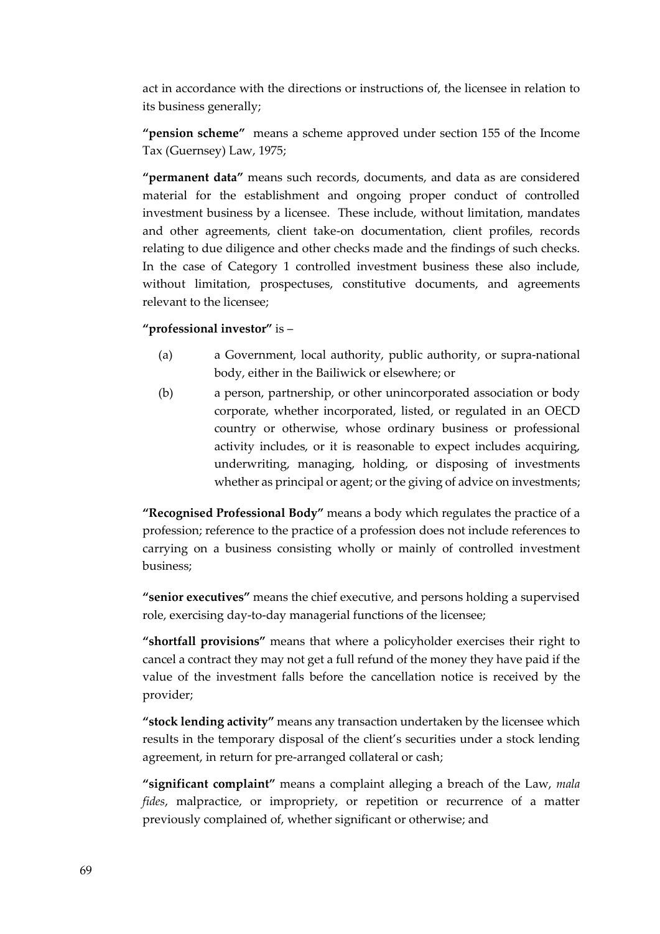act in accordance with the directions or instructions of, the licensee in relation to its business generally;

**"pension scheme"** means a scheme approved under section 155 of the Income Tax (Guernsey) Law, 1975;

**"permanent data"** means such records, documents, and data as are considered material for the establishment and ongoing proper conduct of controlled investment business by a licensee. These include, without limitation, mandates and other agreements, client take-on documentation, client profiles, records relating to due diligence and other checks made and the findings of such checks. In the case of Category 1 controlled investment business these also include, without limitation, prospectuses, constitutive documents, and agreements relevant to the licensee;

## **"professional investor"** is –

- (a) a Government, local authority, public authority, or supra-national body, either in the Bailiwick or elsewhere; or
- (b) a person, partnership, or other unincorporated association or body corporate, whether incorporated, listed, or regulated in an OECD country or otherwise, whose ordinary business or professional activity includes, or it is reasonable to expect includes acquiring, underwriting, managing, holding, or disposing of investments whether as principal or agent; or the giving of advice on investments;

**"Recognised Professional Body"** means a body which regulates the practice of a profession; reference to the practice of a profession does not include references to carrying on a business consisting wholly or mainly of controlled investment business;

**"senior executives"** means the chief executive, and persons holding a supervised role, exercising day-to-day managerial functions of the licensee;

**"shortfall provisions"** means that where a policyholder exercises their right to cancel a contract they may not get a full refund of the money they have paid if the value of the investment falls before the cancellation notice is received by the provider;

**"stock lending activity"** means any transaction undertaken by the licensee which results in the temporary disposal of the client's securities under a stock lending agreement, in return for pre-arranged collateral or cash;

**"significant complaint"** means a complaint alleging a breach of the Law, *mala fides*, malpractice, or impropriety, or repetition or recurrence of a matter previously complained of, whether significant or otherwise; and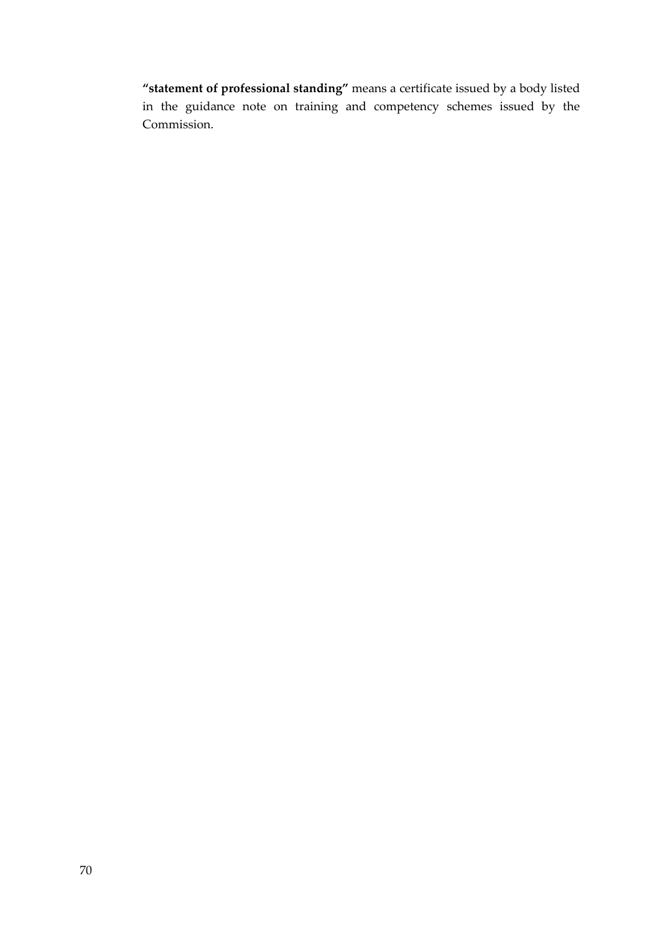**"statement of professional standing"** means a certificate issued by a body listed in the guidance note on training and competency schemes issued by the Commission.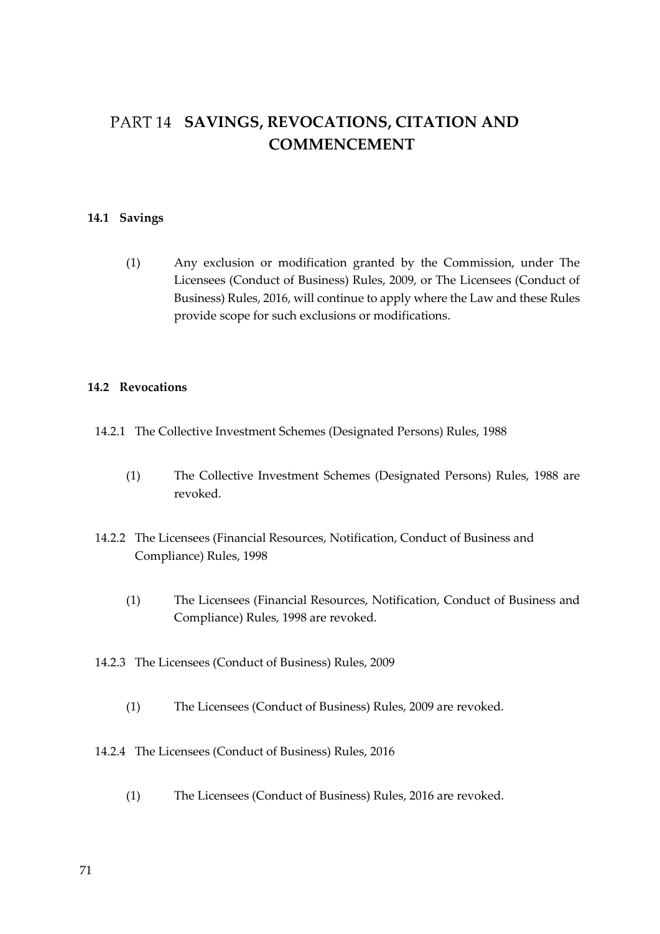# PART 14 SAVINGS, REVOCATIONS, CITATION AND **COMMENCEMENT**

## **14.1 Savings**

(1) Any exclusion or modification granted by the Commission, under The Licensees (Conduct of Business) Rules, 2009, or The Licensees (Conduct of Business) Rules, 2016, will continue to apply where the Law and these Rules provide scope for such exclusions or modifications.

## **14.2 Revocations**

- 14.2.1 The Collective Investment Schemes (Designated Persons) Rules, 1988
	- (1) The Collective Investment Schemes (Designated Persons) Rules, 1988 are revoked.
- 14.2.2 The Licensees (Financial Resources, Notification, Conduct of Business and Compliance) Rules, 1998
	- (1) The Licensees (Financial Resources, Notification, Conduct of Business and Compliance) Rules, 1998 are revoked.
- 14.2.3 The Licensees (Conduct of Business) Rules, 2009
	- (1) The Licensees (Conduct of Business) Rules, 2009 are revoked.
- 14.2.4 The Licensees (Conduct of Business) Rules, 2016
	- (1) The Licensees (Conduct of Business) Rules, 2016 are revoked.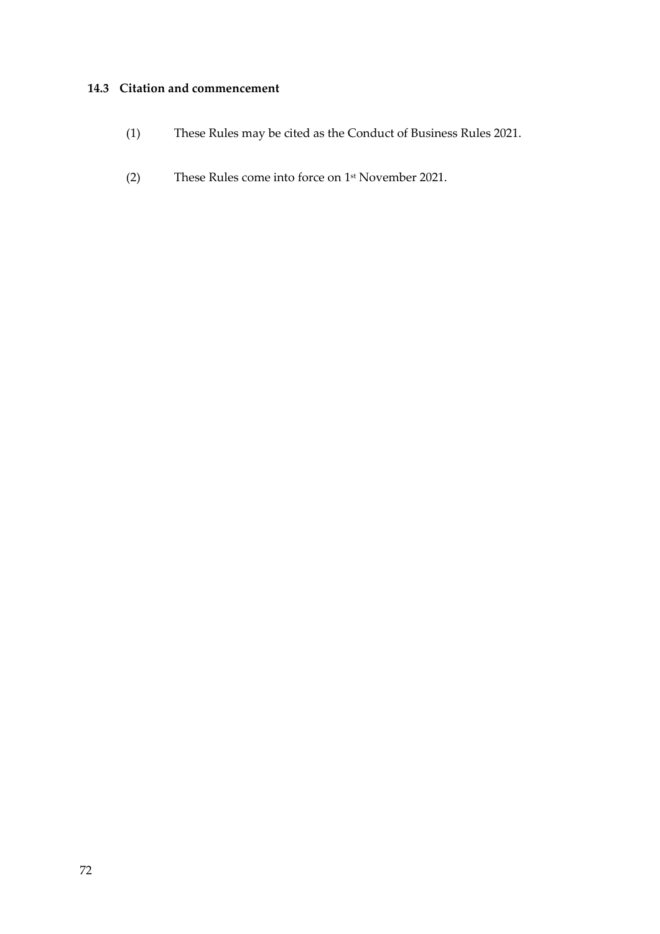## **14.3 Citation and commencement**

- (1) These Rules may be cited as the Conduct of Business Rules 2021.
- (2) These Rules come into force on 1 st November 2021.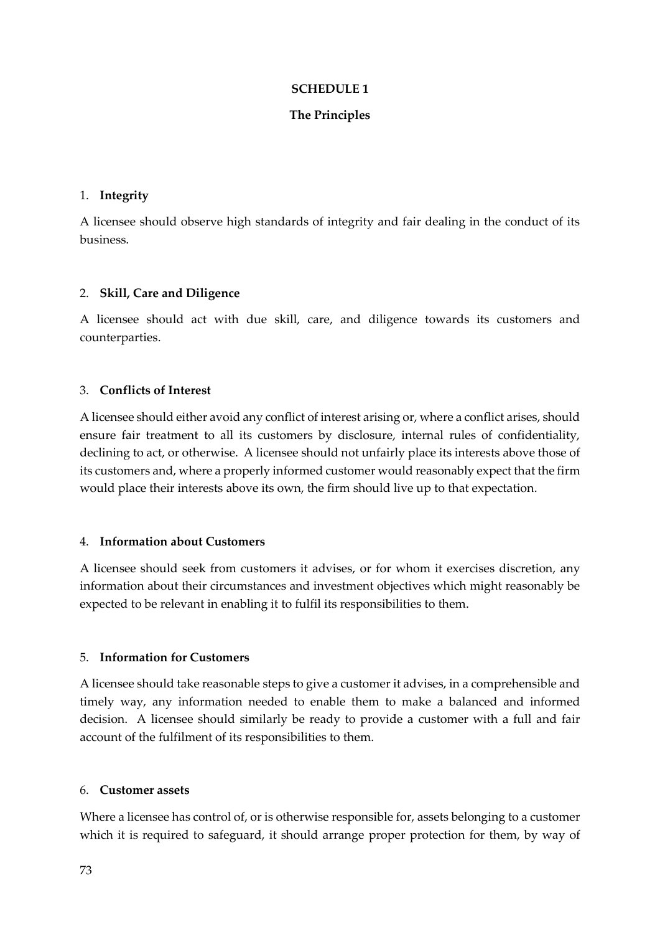## **SCHEDULE 1**

## **The Principles**

#### 1. **Integrity**

A licensee should observe high standards of integrity and fair dealing in the conduct of its business.

### 2. **Skill, Care and Diligence**

A licensee should act with due skill, care, and diligence towards its customers and counterparties.

### 3. **Conflicts of Interest**

A licensee should either avoid any conflict of interest arising or, where a conflict arises, should ensure fair treatment to all its customers by disclosure, internal rules of confidentiality, declining to act, or otherwise. A licensee should not unfairly place its interests above those of its customers and, where a properly informed customer would reasonably expect that the firm would place their interests above its own, the firm should live up to that expectation.

### 4. **Information about Customers**

A licensee should seek from customers it advises, or for whom it exercises discretion, any information about their circumstances and investment objectives which might reasonably be expected to be relevant in enabling it to fulfil its responsibilities to them.

#### 5. **Information for Customers**

A licensee should take reasonable steps to give a customer it advises, in a comprehensible and timely way, any information needed to enable them to make a balanced and informed decision. A licensee should similarly be ready to provide a customer with a full and fair account of the fulfilment of its responsibilities to them.

#### 6. **Customer assets**

Where a licensee has control of, or is otherwise responsible for, assets belonging to a customer which it is required to safeguard, it should arrange proper protection for them, by way of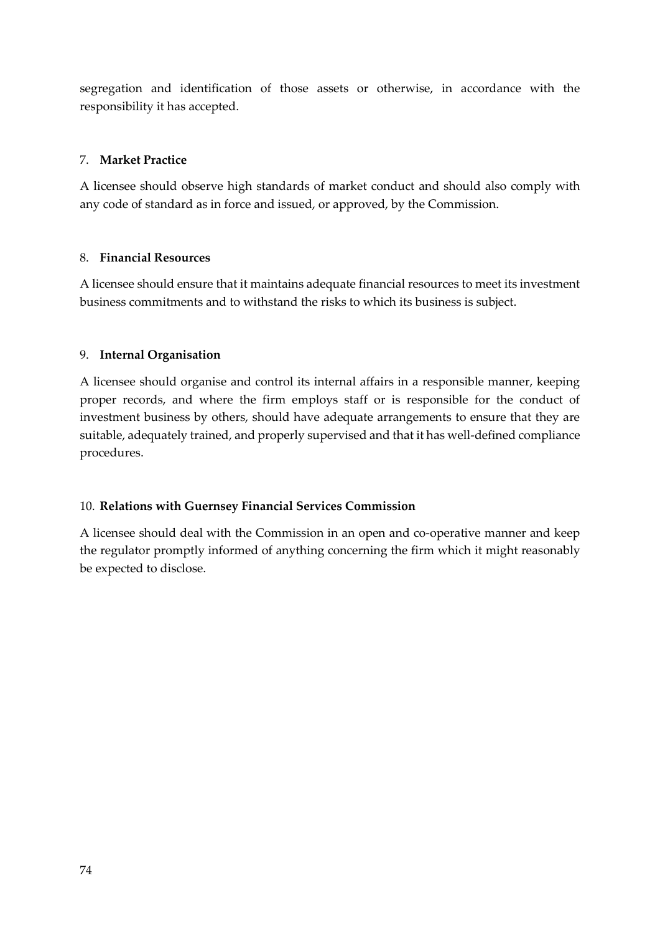segregation and identification of those assets or otherwise, in accordance with the responsibility it has accepted.

## 7. **Market Practice**

A licensee should observe high standards of market conduct and should also comply with any code of standard as in force and issued, or approved, by the Commission.

## 8. **Financial Resources**

A licensee should ensure that it maintains adequate financial resources to meet its investment business commitments and to withstand the risks to which its business is subject.

## 9. **Internal Organisation**

A licensee should organise and control its internal affairs in a responsible manner, keeping proper records, and where the firm employs staff or is responsible for the conduct of investment business by others, should have adequate arrangements to ensure that they are suitable, adequately trained, and properly supervised and that it has well-defined compliance procedures.

# 10. **Relations with Guernsey Financial Services Commission**

A licensee should deal with the Commission in an open and co-operative manner and keep the regulator promptly informed of anything concerning the firm which it might reasonably be expected to disclose.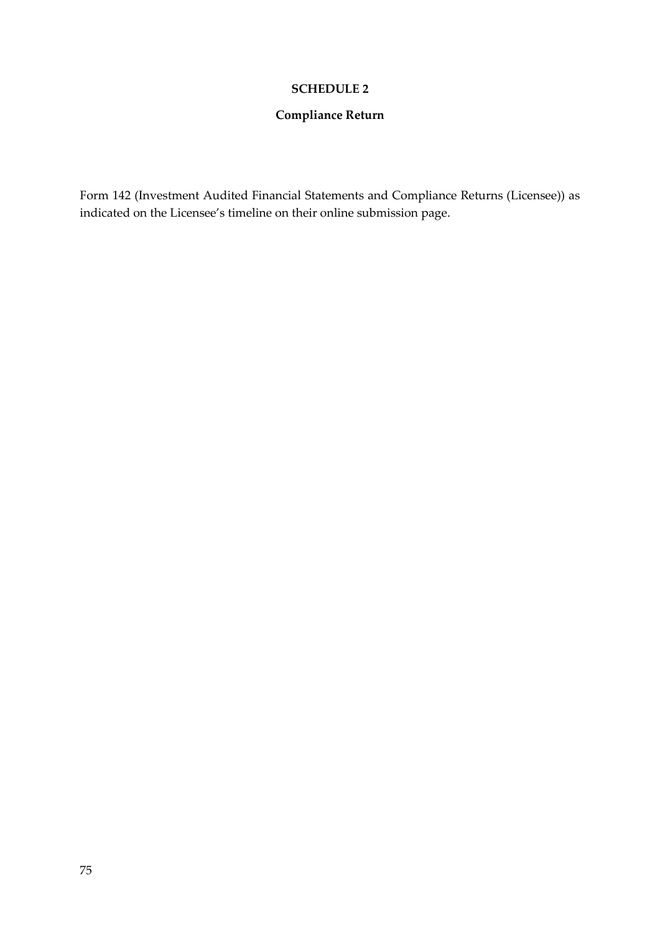## **SCHEDULE 2**

# **Compliance Return**

Form 142 (Investment Audited Financial Statements and Compliance Returns (Licensee)) as indicated on the Licensee's timeline on their online submission page.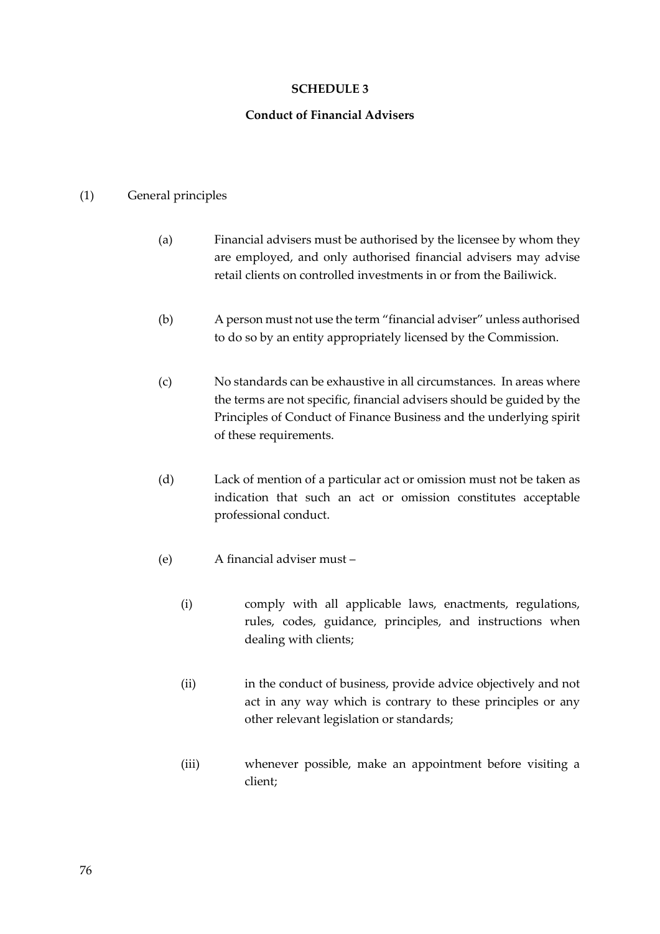### **SCHEDULE 3**

### **Conduct of Financial Advisers**

#### (1) General principles

- (a) Financial advisers must be authorised by the licensee by whom they are employed, and only authorised financial advisers may advise retail clients on controlled investments in or from the Bailiwick.
- (b) A person must not use the term "financial adviser" unless authorised to do so by an entity appropriately licensed by the Commission.
- (c) No standards can be exhaustive in all circumstances. In areas where the terms are not specific, financial advisers should be guided by the Principles of Conduct of Finance Business and the underlying spirit of these requirements.
- (d) Lack of mention of a particular act or omission must not be taken as indication that such an act or omission constitutes acceptable professional conduct.
- (e) A financial adviser must
	- (i) comply with all applicable laws, enactments, regulations, rules, codes, guidance, principles, and instructions when dealing with clients;
	- (ii) in the conduct of business, provide advice objectively and not act in any way which is contrary to these principles or any other relevant legislation or standards;
	- (iii) whenever possible, make an appointment before visiting a client;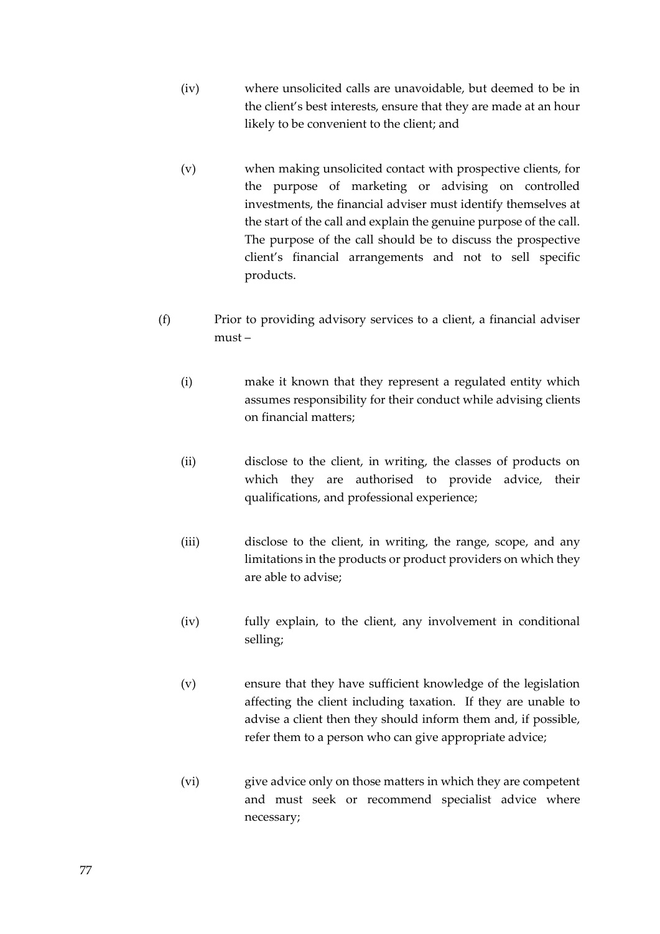- (iv) where unsolicited calls are unavoidable, but deemed to be in the client's best interests, ensure that they are made at an hour likely to be convenient to the client; and
- (v) when making unsolicited contact with prospective clients, for the purpose of marketing or advising on controlled investments, the financial adviser must identify themselves at the start of the call and explain the genuine purpose of the call. The purpose of the call should be to discuss the prospective client's financial arrangements and not to sell specific products.
- (f) Prior to providing advisory services to a client, a financial adviser must –
	- (i) make it known that they represent a regulated entity which assumes responsibility for their conduct while advising clients on financial matters;
	- (ii) disclose to the client, in writing, the classes of products on which they are authorised to provide advice, their qualifications, and professional experience;
	- (iii) disclose to the client, in writing, the range, scope, and any limitations in the products or product providers on which they are able to advise;
	- (iv) fully explain, to the client, any involvement in conditional selling;
	- (v) ensure that they have sufficient knowledge of the legislation affecting the client including taxation. If they are unable to advise a client then they should inform them and, if possible, refer them to a person who can give appropriate advice;
	- (vi) give advice only on those matters in which they are competent and must seek or recommend specialist advice where necessary;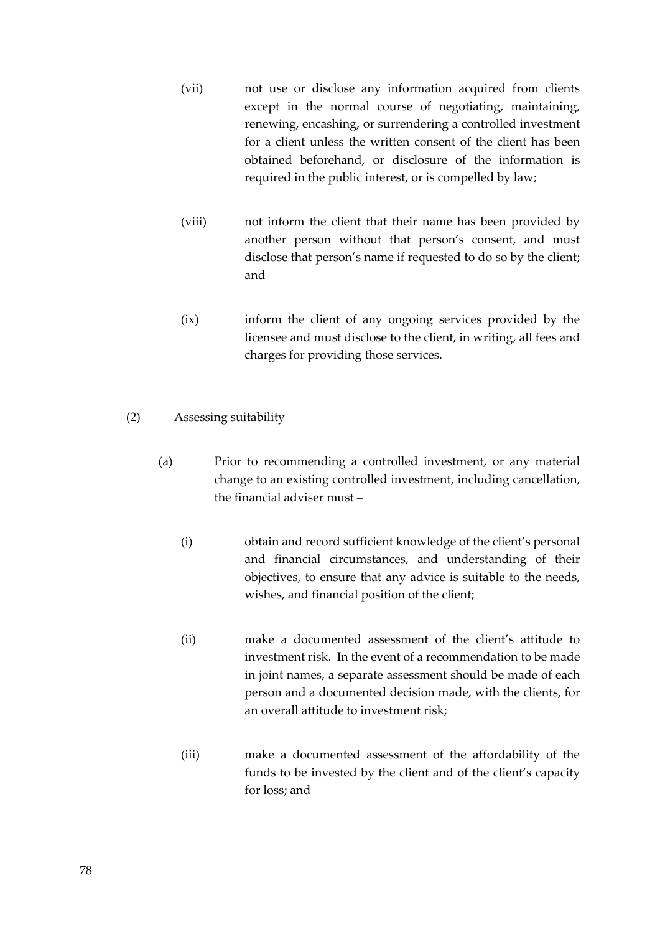- (vii) not use or disclose any information acquired from clients except in the normal course of negotiating, maintaining, renewing, encashing, or surrendering a controlled investment for a client unless the written consent of the client has been obtained beforehand, or disclosure of the information is required in the public interest, or is compelled by law;
- (viii) not inform the client that their name has been provided by another person without that person's consent, and must disclose that person's name if requested to do so by the client; and
- (ix) inform the client of any ongoing services provided by the licensee and must disclose to the client, in writing, all fees and charges for providing those services.
- (2) Assessing suitability
	- (a) Prior to recommending a controlled investment, or any material change to an existing controlled investment, including cancellation, the financial adviser must –
		- (i) obtain and record sufficient knowledge of the client's personal and financial circumstances, and understanding of their objectives, to ensure that any advice is suitable to the needs, wishes, and financial position of the client;
		- (ii) make a documented assessment of the client's attitude to investment risk. In the event of a recommendation to be made in joint names, a separate assessment should be made of each person and a documented decision made, with the clients, for an overall attitude to investment risk;
		- (iii) make a documented assessment of the affordability of the funds to be invested by the client and of the client's capacity for loss; and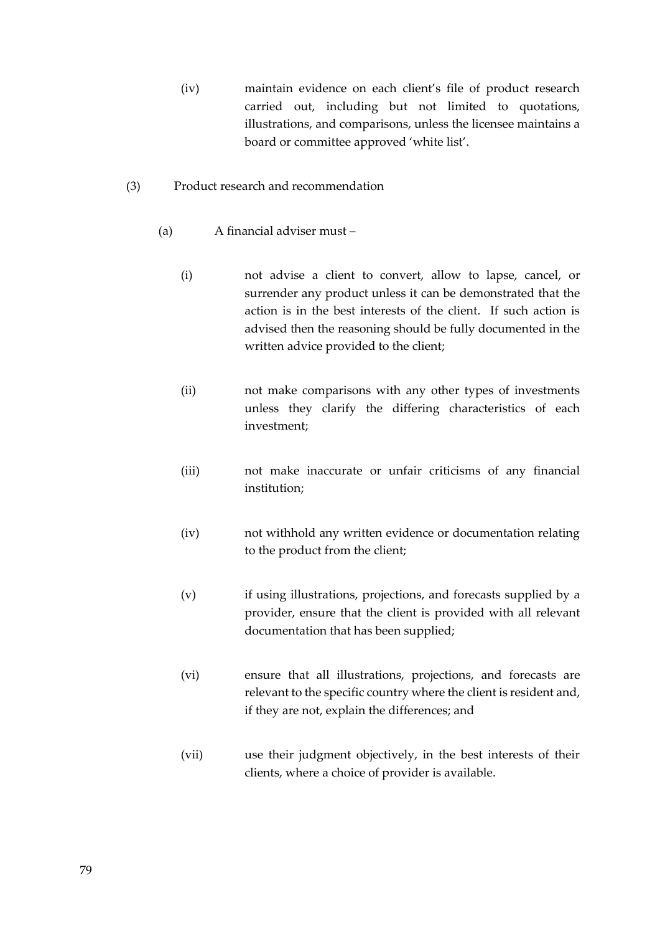- (iv) maintain evidence on each client's file of product research carried out, including but not limited to quotations, illustrations, and comparisons, unless the licensee maintains a board or committee approved 'white list'.
- (3) Product research and recommendation
	- (a) A financial adviser must
		- (i) not advise a client to convert, allow to lapse, cancel, or surrender any product unless it can be demonstrated that the action is in the best interests of the client. If such action is advised then the reasoning should be fully documented in the written advice provided to the client;
		- (ii) not make comparisons with any other types of investments unless they clarify the differing characteristics of each investment;
		- (iii) not make inaccurate or unfair criticisms of any financial institution;
		- (iv) not withhold any written evidence or documentation relating to the product from the client;
		- (v) if using illustrations, projections, and forecasts supplied by a provider, ensure that the client is provided with all relevant documentation that has been supplied;
		- (vi) ensure that all illustrations, projections, and forecasts are relevant to the specific country where the client is resident and, if they are not, explain the differences; and
		- (vii) use their judgment objectively, in the best interests of their clients, where a choice of provider is available.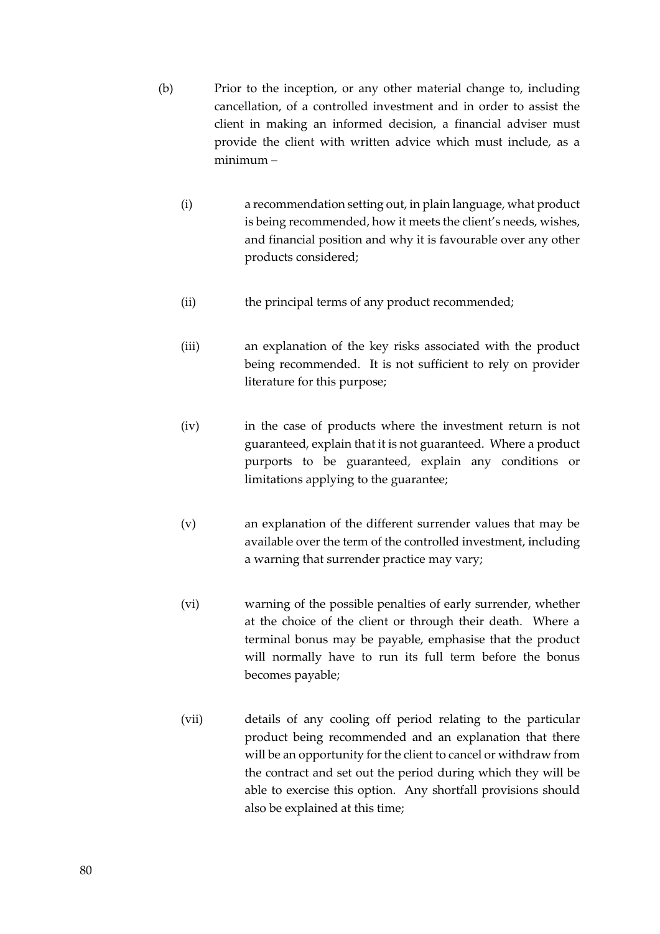- (b) Prior to the inception, or any other material change to, including cancellation, of a controlled investment and in order to assist the client in making an informed decision, a financial adviser must provide the client with written advice which must include, as a minimum –
	- (i) a recommendation setting out, in plain language, what product is being recommended, how it meets the client's needs, wishes, and financial position and why it is favourable over any other products considered;
	- (ii) the principal terms of any product recommended;
	- (iii) an explanation of the key risks associated with the product being recommended. It is not sufficient to rely on provider literature for this purpose;
	- (iv) in the case of products where the investment return is not guaranteed, explain that it is not guaranteed. Where a product purports to be guaranteed, explain any conditions or limitations applying to the guarantee;
	- (v) an explanation of the different surrender values that may be available over the term of the controlled investment, including a warning that surrender practice may vary;
	- (vi) warning of the possible penalties of early surrender, whether at the choice of the client or through their death. Where a terminal bonus may be payable, emphasise that the product will normally have to run its full term before the bonus becomes payable;
	- (vii) details of any cooling off period relating to the particular product being recommended and an explanation that there will be an opportunity for the client to cancel or withdraw from the contract and set out the period during which they will be able to exercise this option. Any shortfall provisions should also be explained at this time;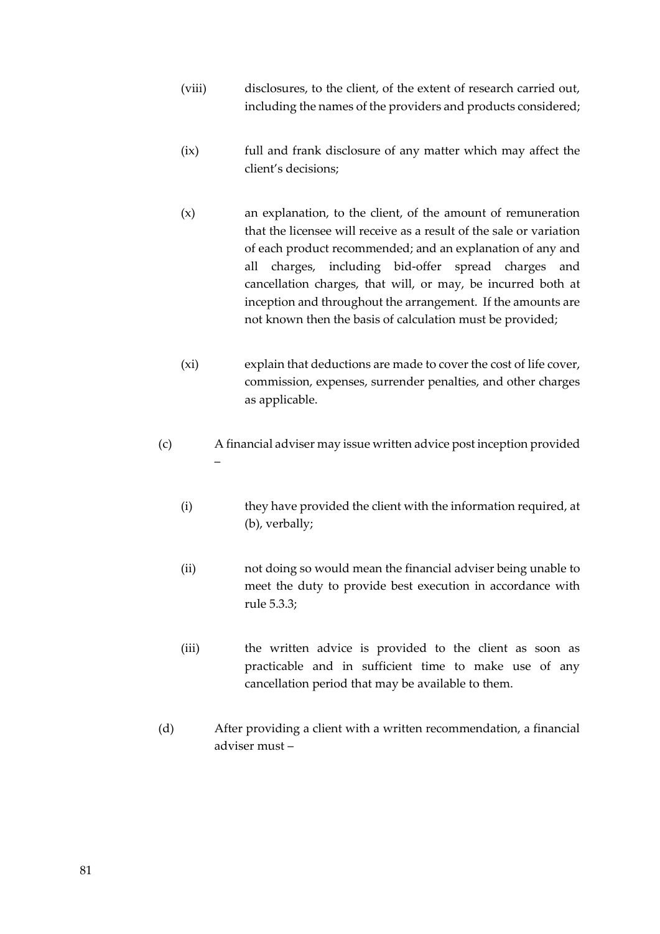- (viii) disclosures, to the client, of the extent of research carried out, including the names of the providers and products considered;
- (ix) full and frank disclosure of any matter which may affect the client's decisions;
- (x) an explanation, to the client, of the amount of remuneration that the licensee will receive as a result of the sale or variation of each product recommended; and an explanation of any and all charges, including bid-offer spread charges and cancellation charges, that will, or may, be incurred both at inception and throughout the arrangement. If the amounts are not known then the basis of calculation must be provided;
- (xi) explain that deductions are made to cover the cost of life cover, commission, expenses, surrender penalties, and other charges as applicable.
- (c) A financial adviser may issue written advice post inception provided –
	- (i) they have provided the client with the information required, at (b), verbally;
	- (ii) not doing so would mean the financial adviser being unable to meet the duty to provide best execution in accordance with rule 5.3.3;
	- (iii) the written advice is provided to the client as soon as practicable and in sufficient time to make use of any cancellation period that may be available to them.
- (d) After providing a client with a written recommendation, a financial adviser must –